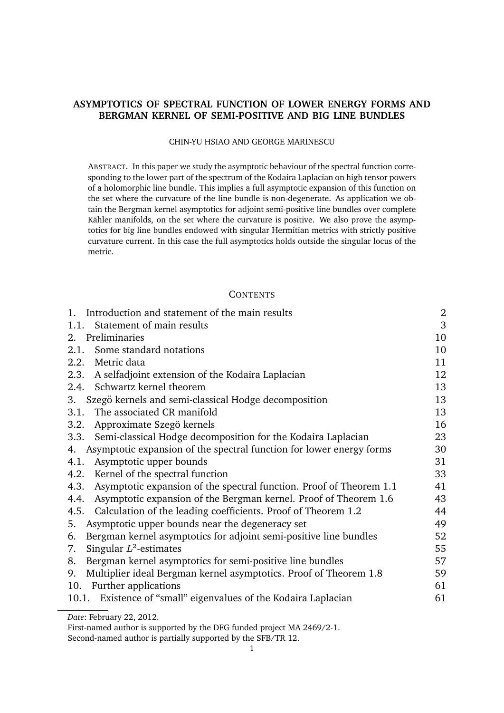# **ASYMPTOTICS OF SPECTRAL FUNCTION OF LOWER ENERGY FORMS AND BERGMAN KERNEL OF SEMI-POSITIVE AND BIG LINE BUNDLES**

#### CHIN-YU HSIAO AND GEORGE MARINESCU

ABSTRACT. In this paper we study the asymptotic behaviour of the spectral function corresponding to the lower part of the spectrum of the Kodaira Laplacian on high tensor powers of a holomorphic line bundle. This implies a full asymptotic expansion of this function on the set where the curvature of the line bundle is non-degenerate. As application we obtain the Bergman kernel asymptotics for adjoint semi-positive line bundles over complete Kähler manifolds, on the set where the curvature is positive. We also prove the asymptotics for big line bundles endowed with singular Hermitian metrics with strictly positive curvature current. In this case the full asymptotics holds outside the singular locus of the metric.

## **CONTENTS**

| Introduction and statement of the main results<br>1.                        | $\overline{c}$ |
|-----------------------------------------------------------------------------|----------------|
| Statement of main results<br>1.1.                                           | 3              |
| 2. Preliminaries                                                            | 10             |
| Some standard notations<br>2.1.                                             | 10             |
| 2.2. Metric data                                                            | 11             |
| A selfadjoint extension of the Kodaira Laplacian<br>2.3.                    | 12             |
| 2.4. Schwartz kernel theorem                                                | 13             |
| 3. Szegö kernels and semi-classical Hodge decomposition                     | 13             |
| 3.1. The associated CR manifold                                             | 13             |
| Approximate Szegö kernels<br>3.2.                                           | 16             |
| Semi-classical Hodge decomposition for the Kodaira Laplacian<br>3.3.        | 23             |
| 4. Asymptotic expansion of the spectral function for lower energy forms     | 30             |
| Asymptotic upper bounds<br>4.1.                                             | 31             |
| 4.2. Kernel of the spectral function                                        | 33             |
| Asymptotic expansion of the spectral function. Proof of Theorem 1.1<br>4.3. | 41             |
| 4.4. Asymptotic expansion of the Bergman kernel. Proof of Theorem 1.6       | 43             |
| Calculation of the leading coefficients. Proof of Theorem 1.2<br>4.5.       | 44             |
| Asymptotic upper bounds near the degeneracy set<br>5.                       | 49             |
| Bergman kernel asymptotics for adjoint semi-positive line bundles<br>6.     | 52             |
| Singular $L^2$ -estimates<br>7.                                             | 55             |
| Bergman kernel asymptotics for semi-positive line bundles<br>8.             | 57             |
| Multiplier ideal Bergman kernel asymptotics. Proof of Theorem 1.8<br>9.     | 59             |
| 10. Further applications                                                    | 61             |
| 10.1. Existence of "small" eigenvalues of the Kodaira Laplacian             | 61             |
| Date: February 22, 2012.                                                    |                |

Second-named author is partially supported by the SFB/TR 12.

First-named author is supported by the DFG funded project MA 2469/2-1.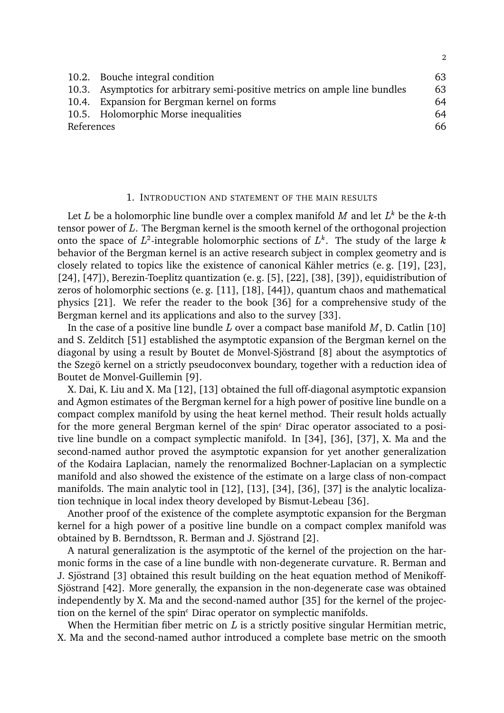|            | 10.2. Bouche integral condition                                             | 63 |
|------------|-----------------------------------------------------------------------------|----|
|            | 10.3. Asymptotics for arbitrary semi-positive metrics on ample line bundles | 63 |
|            | 10.4. Expansion for Bergman kernel on forms                                 | 64 |
|            | 10.5. Holomorphic Morse inequalities                                        | 64 |
| References |                                                                             | 66 |
|            |                                                                             |    |

2

### 1. INTRODUCTION AND STATEMENT OF THE MAIN RESULTS

Let  $L$  be a holomorphic line bundle over a complex manifold  $M$  and let  $L^k$  be the  $k$ -th tensor power of L. The Bergman kernel is the smooth kernel of the orthogonal projection onto the space of  $L^2$ -integrable holomorphic sections of  $L^k$ . The study of the large k behavior of the Bergman kernel is an active research subject in complex geometry and is closely related to topics like the existence of canonical Kähler metrics (e.g. [19], [23], [24], [47]), Berezin-Toeplitz quantization (e. g. [5], [22], [38], [39]), equidistribution of zeros of holomorphic sections (e. g. [11], [18], [44]), quantum chaos and mathematical physics [21]. We refer the reader to the book [36] for a comprehensive study of the Bergman kernel and its applications and also to the survey [33].

In the case of a positive line bundle  $L$  over a compact base manifold  $M$ , D. Catlin [10] and S. Zelditch [51] established the asymptotic expansion of the Bergman kernel on the diagonal by using a result by Boutet de Monvel-Sjöstrand [8] about the asymptotics of the Szegö kernel on a strictly pseudoconvex boundary, together with a reduction idea of Boutet de Monvel-Guillemin [9].

X. Dai, K. Liu and X. Ma [12], [13] obtained the full off-diagonal asymptotic expansion and Agmon estimates of the Bergman kernel for a high power of positive line bundle on a compact complex manifold by using the heat kernel method. Their result holds actually for the more general Bergman kernel of the spin $<sup>c</sup>$  Dirac operator associated to a posi-</sup> tive line bundle on a compact symplectic manifold. In [34], [36], [37], X. Ma and the second-named author proved the asymptotic expansion for yet another generalization of the Kodaira Laplacian, namely the renormalized Bochner-Laplacian on a symplectic manifold and also showed the existence of the estimate on a large class of non-compact manifolds. The main analytic tool in [12], [13], [34], [36], [37] is the analytic localization technique in local index theory developed by Bismut-Lebeau [36].

Another proof of the existence of the complete asymptotic expansion for the Bergman kernel for a high power of a positive line bundle on a compact complex manifold was obtained by B. Berndtsson, R. Berman and J. Sjöstrand [2].

A natural generalization is the asymptotic of the kernel of the projection on the harmonic forms in the case of a line bundle with non-degenerate curvature. R. Berman and J. Sjöstrand [3] obtained this result building on the heat equation method of Menikoff-Sjöstrand [42]. More generally, the expansion in the non-degenerate case was obtained independently by X. Ma and the second-named author [35] for the kernel of the projection on the kernel of the spin<sup>c</sup> Dirac operator on symplectic manifolds.

When the Hermitian fiber metric on  $L$  is a strictly positive singular Hermitian metric, X. Ma and the second-named author introduced a complete base metric on the smooth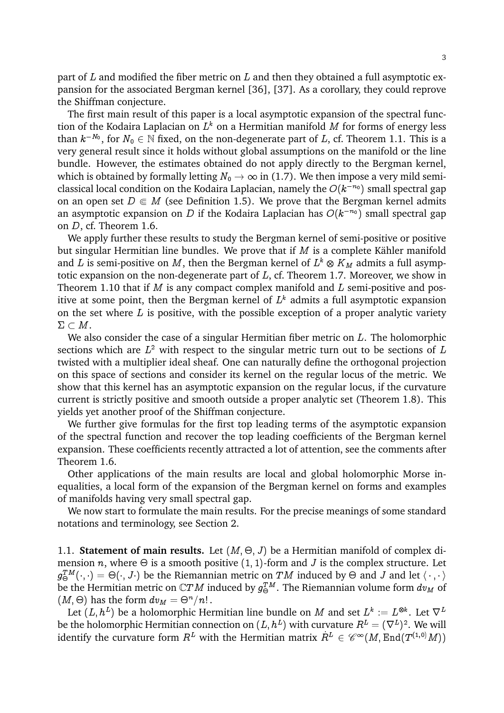part of  $L$  and modified the fiber metric on  $L$  and then they obtained a full asymptotic expansion for the associated Bergman kernel [36], [37]. As a corollary, they could reprove the Shiffman conjecture.

The first main result of this paper is a local asymptotic expansion of the spectral function of the Kodaira Laplacian on  $L^k$  on a Hermitian manifold  $M$  for forms of energy less than  $k^{-N_0},$  for  $N_0\in\mathbb{N}$  fixed, on the non-degenerate part of  $L,$  cf. Theorem 1.1. This is a very general result since it holds without global assumptions on the manifold or the line bundle. However, the estimates obtained do not apply directly to the Bergman kernel, which is obtained by formally letting  $N_0 \to \infty$  in (1.7). We then impose a very mild semiclassical local condition on the Kodaira Laplacian, namely the  $O(k^{-n_0})$  small spectral gap on an open set  $D \in M$  (see Definition 1.5). We prove that the Bergman kernel admits an asymptotic expansion on D if the Kodaira Laplacian has  $O(k^{-n_0})$  small spectral gap on D, cf. Theorem 1.6.

We apply further these results to study the Bergman kernel of semi-positive or positive but singular Hermitian line bundles. We prove that if  $M$  is a complete Kähler manifold and  $L$  is semi-positive on  $M,$  then the Bergman kernel of  $L^k\otimes K_M$  admits a full asymptotic expansion on the non-degenerate part of  $L$ , cf. Theorem 1.7. Moreover, we show in Theorem 1.10 that if  $M$  is any compact complex manifold and  $L$  semi-positive and positive at some point, then the Bergman kernel of  $L^k$  admits a full asymptotic expansion on the set where  $L$  is positive, with the possible exception of a proper analytic variety  $\Sigma \subset M$ .

We also consider the case of a singular Hermitian fiber metric on L. The holomorphic sections which are  $L^2$  with respect to the singular metric turn out to be sections of  $L$ twisted with a multiplier ideal sheaf. One can naturally define the orthogonal projection on this space of sections and consider its kernel on the regular locus of the metric. We show that this kernel has an asymptotic expansion on the regular locus, if the curvature current is strictly positive and smooth outside a proper analytic set (Theorem 1.8). This yields yet another proof of the Shiffman conjecture.

We further give formulas for the first top leading terms of the asymptotic expansion of the spectral function and recover the top leading coefficients of the Bergman kernel expansion. These coefficients recently attracted a lot of attention, see the comments after Theorem 1.6.

Other applications of the main results are local and global holomorphic Morse inequalities, a local form of the expansion of the Bergman kernel on forms and examples of manifolds having very small spectral gap.

We now start to formulate the main results. For the precise meanings of some standard notations and terminology, see Section 2.

1.1. **Statement of main results.** Let  $(M, \Theta, J)$  be a Hermitian manifold of complex dimension n, where  $\Theta$  is a smooth positive (1, 1)-form and J is the complex structure. Let  $g_{\Theta}^{TM}(\cdot,\cdot)=\Theta(\cdot,J\cdot)$  be the Riemannian metric on  $TM$  induced by  $\Theta$  and  $J$  and let  $\langle\,\cdot\,,\cdot\,\rangle$ be the Hermitian metric on  $\mathbb C TM$  induced by  $g_\Theta^{TM}.$  The Riemannian volume form  $dv_M$  of  $(M, \Theta)$  has the form  $dv_M = \Theta^n/n!$  .

Let  $(L,h^L)$  be a holomorphic Hermitian line bundle on  $M$  and set  $L^k:=L^{\otimes k}.$  Let  $\nabla^L$ be the holomorphic Hermitian connection on  $(L,h^L)$  with curvature  $R^L=(\nabla^L)^2.$  We will identify the curvature form  $R^L$  with the Hermitian matrix  $\dot R^L \, \in \, \mathscr{C}^\infty(M,\mathrm{End}(T^{(1,0)}M))$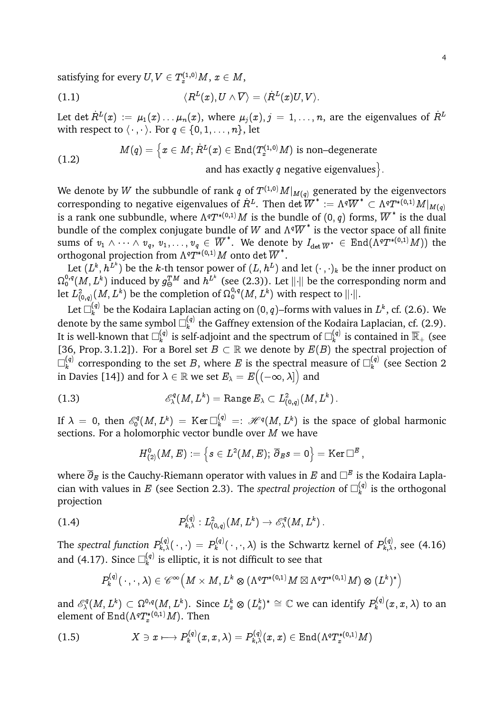satisfying for every  $U, V \in T^{(1,0)}_xM, \, x \in M,$ 

(1.1) 
$$
\langle R^L(x), U \wedge \overline{V} \rangle = \langle \dot{R}^L(x)U, V \rangle.
$$

Let det  $\dot{R}^L(x) := \mu_1(x) \ldots \mu_n(x),$  where  $\mu_j(x), j = 1, \ldots, n,$  are the eigenvalues of  $\dot{R}^L$ with respect to  $\langle \cdot, \cdot \rangle$ . For  $q \in \{0, 1, \ldots, n\}$ , let

$$
M(q)=\left\{x\in M; \dot{R}^L(x)\in \text{End}(T^{(1,0)}_xM)\text{ is non-degenerate} \right.\\[1.2]
$$

and has exactly  $q$  negative eigenvalues $\rangle$ .

We denote by  $W$  the subbundle of rank  $q$  of  $T^{(1,0)}M|_{M(q)}$  generated by the eigenvectors corresponding to negative eigenvalues of  $R^L.$  Then det  $\overline{W}^*:=\Lambda^q\overline{W}^*\subset \Lambda^qT^{*(0,1)}M|_{M(q)}$ is a rank one subbundle, where  $\Lambda^q T^{*(0,1)}M$  is the bundle of  $(0,q)$  forms,  $\overline{W}^*$  is the dual bundle of the complex conjugate bundle of W and  $\Lambda^q \overline{W}^*$  is the vector space of all finite sums of  $v_1\wedge\cdots\wedge v_q,\ v_1,\ldots,v_q\,\in\,\overline{W}^*.\,$  We denote by  $I_{\det\overline{W}^*}\,\in\, \mathrm{End}(\tilde{\Lambda}^qT^{*(0,1)}M))$  the orthogonal projection from  $\Lambda^q T^{*(0,1)}M$  onto det  $\overline{W}^* .$ 

Let  $(L^k, h^{L^k})$  be the  $k$ -th tensor power of  $(L, h^{L})$  and let  $(\cdot \, , \cdot)_k$  be the inner product on  $\Omega^{0,q}_0(M,L^k)$  induced by  $g_\Theta^{TM}$  and  $h^{L^k}$  (see (2.3)). Let  $\| \cdot \|$  be the corresponding norm and let  $L^2_{(0,q)}(M,L^k)$  be the completion of  $\Omega^{0,q}_0(M,L^k)$  with respect to  $\lVert\cdot\rVert.$ 

Let  $\Box_k^{(q)}$  be the Kodaira Laplacian acting on  $(0,q)$ –forms with values in  $L^k$ , cf. (2.6). We denote by the same symbol  $\Box^{(q)}_k$  $\mathbf{k}^{(q)}$  the Gaffney extension of the Kodaira Laplacian, cf. (2.9). It is well-known that  $\Box_k^{(q)}$  $\mathbf{F}_k^{(q)}$  is self-adjoint and the spectrum of  $\square_k^{(q)}$  $\mathbf{g}_{k}^{(q)}$  is contained in  $\overline{\mathbb{R}}_{+}$  (see [36, Prop. 3.1.2]). For a Borel set  $B \subset \mathbb{R}$  we denote by  $E(B)$  the spectral projection of  $\square^{(q)}_\iota$  $\mathbf{F}_k^{(q)}$  corresponding to the set  $B,$  where  $E$  is the spectral measure of  $\square_k^{(q)}$  $\binom{q}{k}$  (see Section 2) in Davies [14]) and for  $\lambda \in \mathbb{R}$  we set  $E_\lambda = E\big((-\infty,\lambda]\big)$  and

(1.3) 
$$
\mathscr{E}^q_\lambda(M,L^k)=\operatorname{Range} E_\lambda\subset L^2_{(0,q)}(M,L^k)\,.
$$

If  $\lambda~=~0,$  then  $\mathscr{E}^q_0(M,L^k)~=~{\rm Ker} \, \Box^{(q)}_k~=:~\mathscr{H}^q(M,L^k)$  is the space of global harmonic sections. For a holomorphic vector bundle over M we have

$$
H^0_{(2)}(M,E):=\left\{s\in L^2(M,E);\ \overline{\partial}_E s=0\right\}=\mathrm{Ker}\,\Box^E\ ,
$$

where  $\overline{\partial}_E$  is the Cauchy-Riemann operator with values in E and  $\Box^E$  is the Kodaira Laplacian with values in  $E$  (see Section 2.3). The *spectral projection* of  $\square^{(q)}_k$  $k^{(q)}$  is the orthogonal projection

(1.4) 
$$
P_{k,\lambda}^{(q)} : L^2_{(0,q)}(M,L^k) \to \mathscr{E}_{\lambda}^q(M,L^k) \, .
$$

The *spectral function*  $P_{k,\lambda}^{(q)}(\,\cdot\,,\cdot\,)=P_k^{(q)}$  $p_k^{(q)}(\,\cdot\,,\cdot,\lambda)$  is the Schwartz kernel of  $P_{k,\lambda}^{(q)},$  see (4.16) and (4.17). Since  $\square_k^{(q)}$  $\binom{q}{k}$  is elliptic, it is not difficult to see that

$$
P_k^{(q)}(\cdot,\cdot,\lambda)\in\mathscr{C}^\infty\left(M\times M,L^k\otimes\left(\Lambda^qT^{*(0,1)}M\boxtimes\Lambda^qT^{*(0,1)}M\right)\otimes\left(L^k\right)^*\right)
$$

and  $\mathscr{E}^q_\lambda$  $L^\infty_\lambda(M,L^k)\subset \Omega^{0,q}(M,L^k).$  Since  $L^k_x\otimes (L^k_x)^*\cong \mathbb{C}$  we can identify  $P^{(q)}_k$  $\mathcal{R}_k^{(q)}(x,x,\lambda)$  to an element of  $\operatorname{End}(\Lambda^q T^{*(0,1)}_x M).$  Then

$$
(1.5) \tX \ni x \longmapsto P_k^{(q)}(x,x,\lambda) = P_{k,\lambda}^{(q)}(x,x) \in \operatorname{End}(\Lambda^q T_x^{*(0,1)}M)
$$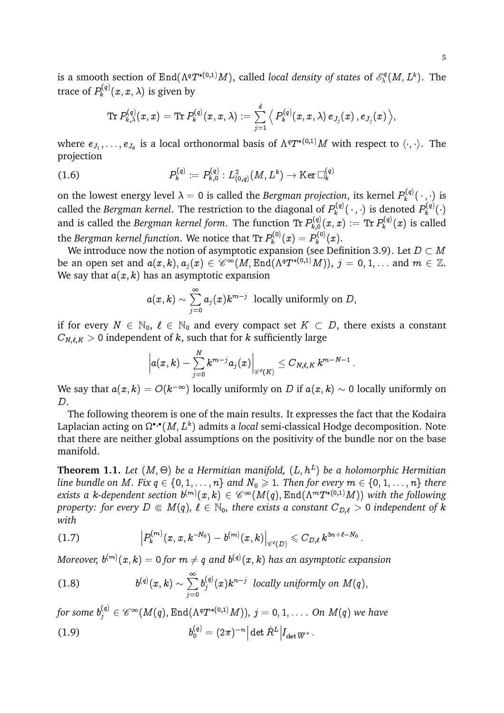is a smooth section of  $\text{End}(\Lambda^qT^{*(0,1)}M)$ , called *local density of states* of  $\mathscr{E}^q_\lambda$  $\lambda^{\circ q}(M,L^k)$ . The trace of  $P_k^{\left(q\right)}$  $\mathcal{R}_k^{\left(q\right)}\!\left(x,x,\lambda\right)$  is given by

$$
{\rm Tr}\, P_{k,\lambda}^{(q)}(x,x)={\rm Tr}\, P_k^{(q)}(x,x,\lambda):=\sum_{j=1}^d \big\langle\, P_k^{(q)}(x,x,\lambda)\, e_{J_j}(x)\, , e_{J_j}(x)\,\big\rangle,
$$

where  $e_{J_1},\ldots,e_{J_d}$  is a local orthonormal basis of  $\Lambda^qT^{*(0,1)}M$  with respect to  $\langle\cdot,\cdot\rangle.$  The projection

(1.6) 
$$
P_k^{(q)} := P_{k,0}^{(q)} : L^2_{(0,q)}(M,L^k) \to \text{Ker } \Box_k^{(q)}
$$

on the lowest energy level  $\lambda = 0$  is called the *Bergman projection*, its kernel  $P_k^{(q)}$  $\mathbf{R}_k^{(q)}(\cdot,\cdot)$  is called the *Bergman kernel*. The restriction to the diagonal of  $P_k^{(q)}$  $P^{(q)}_k(\,\cdot\,,\,\cdot)$  is denoted  $P^{(q)}_k$  $\hat{k}^{(q)}(\cdot)$ and is called the *Bergman kernel form*. The function Tr  $P_{k,0}^{(q)}$  $P_{k\,,0}^{(q)}(x,x):=\operatorname{Tr} P_{k}^{(q)}$  $\mathcal{C}_k^{(q)}(x)$  is called the *Bergman kernel function*. We notice that Tr  $P_k^{(0)}$  $P_k^{(0)}(x)=P_k^{(0)}$  $\mathcal{C}_k^{(0)}(x).$ 

We introduce now the notion of asymptotic expansion (see Definition 3.9). Let  $D \subset M$ be an open set and  $a(x,k), a_j(x)\in \mathscr{C}^\infty(M,\mathrm{End}(\Lambda^qT^{\ast (0,1)}M)),\ j=0,1,\dots$  and  $m\in \mathbb{Z}.$ We say that  $a(x, k)$  has an asymptotic expansion

$$
a(x,k)\sim \sum_{j=0}^\infty a_j(x) k^{m-j} \ \ \text{locally uniformly on}\ D,
$$

if for every  $N \in \mathbb{N}_0$ ,  $\ell \in \mathbb{N}_0$  and every compact set  $K \subset D$ , there exists a constant  $C_{N,\ell,K} > 0$  independent of k, such that for k sufficiently large

$$
\left|a(x,k)-\sum_{j=0}^N k^{m-j}a_j(x)\right|_{\mathscr{C}^\ell(K)}\leq C_{N,\ell,K}\,k^{m-N-1}\,.
$$

We say that  $a(x,k) = O(k^{-\infty})$  locally uniformly on  $D$  if  $a(x,k) \sim$  0 locally uniformly on D.

The following theorem is one of the main results. It expresses the fact that the Kodaira Laplacian acting on  $\Omega^{\bullet,\bullet}(M,L^k)$  admits a *local* semi-classical Hodge decomposition. Note that there are neither global assumptions on the positivity of the bundle nor on the base manifold.

**Theorem 1.1.** Let  $(M, \Theta)$  be a Hermitian manifold,  $(L, h^L)$  be a holomorphic Hermitian *line bundle on* M. Fix  $q \in \{0, 1, \ldots, n\}$  and  $N_0 \geq 1$ . Then for every  $m \in \{0, 1, \ldots, n\}$  there exists a k-dependent section  $b^{(m)}(x,k)\in \mathscr{C}^\infty(M(q),\mathrm{End}(\Lambda^mT^{\ast(0,1)}M))$  with the following *property: for every*  $D \subseteq M(q)$ ,  $\ell \in \mathbb{N}_0$ , there exists a constant  $C_{D,\ell} > 0$  independent of k *with*

(1.7) P (m) k (x; x; kN<sup>0</sup> ) b (m) (x; k) C `(D) 6 CD;` k 3n+`N<sup>0</sup> :

Moreover,  $b^{(m)}(x,k)=0$  for  $m\neq q$  and  $b^{(q)}(x,k)$  has an asymptotic expansion

(1.8) 
$$
b^{(q)}(x,k) \sim \sum_{j=0}^{\infty} b_j^{(q)}(x) k^{n-j} \text{ locally uniformly on } M(q),
$$

for some  $b_j^{(q)} \in \mathscr{C}^\infty(M(q),\mathop{\mathrm{End}}\nolimits(\Lambda^q T^{\ast (0,1)}M)),\ j=0,1,\ldots .$  *On*  $M(q)$  *we have*  $(1.9)$  $\dot{\Omega}_0^{(q)} = (2\pi)^{-n} \Big| \det \dot{R}^L \Big| I_{\det \overline{W}^{\, *} } \,.$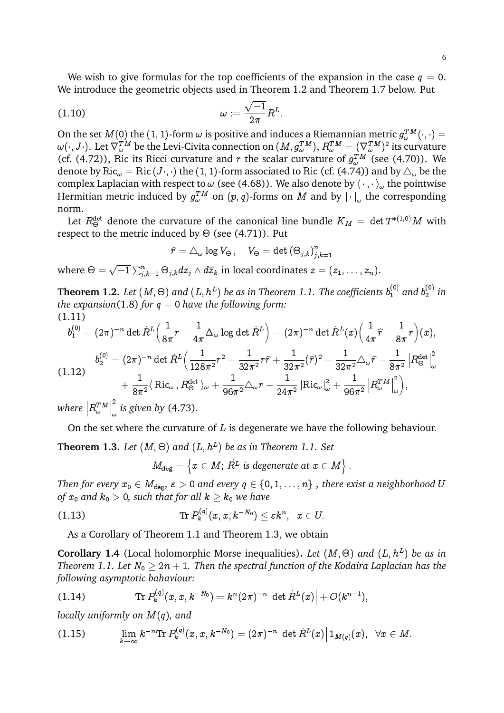We wish to give formulas for the top coefficients of the expansion in the case  $q = 0$ . We introduce the geometric objects used in Theorem 1.2 and Theorem 1.7 below. Put

$$
\omega := \frac{\sqrt{-1}}{2\pi} R^L.
$$

On the set  $M(0)$  the  $(1,1)$ -form  $\omega$  is positive and induces a Riemannian metric  $g_\omega^{TM}(\cdot,\cdot)=$  $\omega(\cdot,J\cdot)$ . Let  $\nabla^{TM}_\omega$  be the Levi-Civita connection on  $(M,g^{TM}_\omega),$   $R^{TM}_\omega=(\nabla^{TM}_\omega)^2$  its curvature (cf. (4.72)), Ric its Ricci curvature and r the scalar curvature of  $g_{\omega}^{TM}$  (see (4.70)). We denote by Ric<sub> $\omega$ </sub> = Ric (J·,·) the (1, 1)-form associated to Ric (cf. (4.74)) and by  $\Delta_{\omega}$  be the complex Laplacian with respect to  $\omega$  (see (4.68)). We also denote by  $\langle \cdot, \cdot \rangle_{\omega}$  the pointwise Hermitian metric induced by  $g_\omega^{TM}$  on  $(p,q)$ -forms on  $M$  and by  $|\cdot|_\omega$  the corresponding norm.

Let  $R^{\rm det}_\Theta$  denote the curvature of the canonical line bundle  $K_M \,=\, \det T^{*(1,0)}M$  with respect to the metric induced by  $\Theta$  (see (4.71)). Put

$$
\widehat{r}=\triangle_{\omega}\log V_{\Theta}\,,\quad V_{\Theta}=\det\left(\Theta_{j,k}\right)_{j,k=1}^n
$$

where  $\Theta = \sqrt{-1} \sum_{j,k=1}^n \Theta_{j,k} dz_j \wedge d\overline{z}_k$  in local coordinates  $z = (z_1, \ldots, z_n)$ .

**Theorem 1.2.** Let  $(M, \Theta)$  and  $(L, h^L)$  be as in Theorem 1.1. The coefficients  $b_1^{(0)}$  and  $b_2^{(0)}$  $n_2^{(0)}$  in *the expansion*(1.8) *for*  $q = 0$  *have the following form:* (1.11)

$$
b_1^{(0)} = (2\pi)^{-n} \det \dot{R}^L \left( \frac{1}{8\pi} r - \frac{1}{4\pi} \Delta_\omega \log \det \dot{R}^L \right) = (2\pi)^{-n} \det \dot{R}^L(x) \left( \frac{1}{4\pi} \hat{r} - \frac{1}{8\pi} r \right) (x),
$$
  
\n
$$
b_2^{(0)} = (2\pi)^{-n} \det \dot{R}^L \left( \frac{1}{128\pi^2} r^2 - \frac{1}{32\pi^2} r \hat{r} + \frac{1}{32\pi^2} (\hat{r})^2 - \frac{1}{32\pi^2} \Delta_\omega \hat{r} - \frac{1}{8\pi^2} \left| R^{\text{det}}_\Theta \right|^2_\omega \right)
$$
  
\n
$$
+ \frac{1}{8\pi^2} \langle \text{Ric}_\omega \, , R^{\text{det}}_\Theta \rangle_\omega + \frac{1}{96\pi^2} \Delta_\omega r - \frac{1}{24\pi^2} \left| \text{Ric}_\omega \right|^2_\omega + \frac{1}{96\pi^2} \left| R^{\text{TM}}_\omega \right|^2_\omega \right),
$$

where  $\left|R_\omega^{T M}\right|$  $\begin{array}{c} \hline \end{array}$ 2 ! *is given by* (4.73)*.*

On the set where the curvature of  $L$  is degenerate we have the following behaviour.

**Theorem 1.3.** Let  $(M, \Theta)$  and  $(L, h^L)$  be as in Theorem 1.1. Set

 $M_{\text{deg}} = \left\{x \in M; \, \dot{R^L} \text{ is degenerate at } x \in M \right\}.$ 

*Then for every*  $x_0 \in M_{\text{deg}}, \varepsilon > 0$  and every  $q \in \{0, 1, \ldots, n\}$ , there exist a neighborhood U *of*  $x_0$  and  $k_0 > 0$ , such that for all  $k \geq k_0$  we have

$$
\qquad \qquad (\text{1.13}) \qquad \qquad \text{Tr}\, P^{(q)}_k(x,x,k^{-N_0}) \leq \varepsilon k^n, \;\; x \in U.
$$

As a Corollary of Theorem 1.1 and Theorem 1.3, we obtain

**Corollary 1.4** (Local holomorphic Morse inequalities). Let  $(M, \Theta)$  and  $(L, h^L)$  be as in *Theorem 1.1. Let*  $N_0 \geq 2n + 1$ *. Then the spectral function of the Kodaira Laplacian has the following asymptotic bahaviour:*

(1.14) 
$$
\operatorname{Tr} P_k^{(q)}(x,x,k^{-N_0}) = k^n (2\pi)^{-n} \left| \det R^L(x) \right| + O(k^{n-1}),
$$

*locally uniformly on* M(q)*, and*

$$
(1.15) \qquad \lim_{k\to\infty} k^{-n}{\rm Tr}\, P_k^{(q)}(x,x,k^{-N_0}) = (2\pi)^{-n} \left| \det \dot{R}^L(x) \right| 1_{M(q)}(x), \ \ \forall x\in M.
$$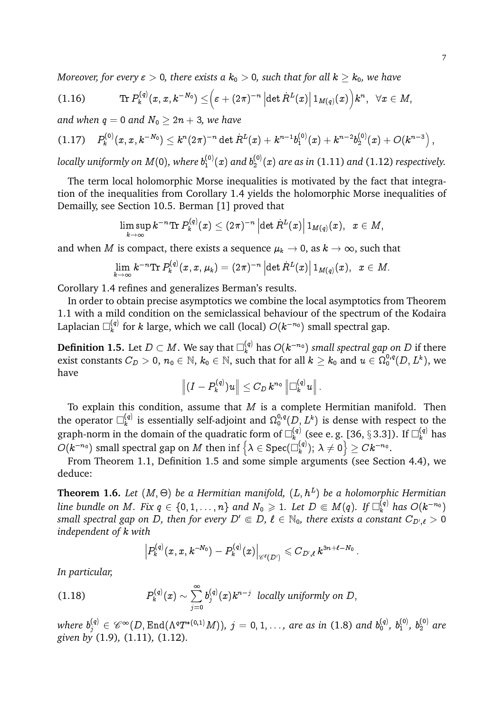*Moreover, for every*  $\varepsilon > 0$ , there exists a  $k_0 > 0$ , such that for all  $k \geq k_0$ , we have

$$
(1.16) \qquad \qquad {\rm Tr}\, P^{(q)}_k(x,x,k^{-N_0})\leq \Bigr(\varepsilon+(2\pi)^{-n}\left|\det \dot{R}^L(x)\right|1_{M(q)}(x)\Bigr)k^n,\quad \forall x\in M,
$$

*and when*  $q = 0$  *and*  $N_0 \geq 2n + 3$ *, we have* 

$$
(1.17) \tP_k^{(0)}(x,x,k^{-N_0}) \leq k^n (2\pi)^{-n} \det \dot{R}^L(x) + k^{n-1} b_1^{(0)}(x) + k^{n-2} b_2^{(0)}(x) + O(k^{n-3}),
$$

locally uniformly on M(0), where  $b_1^{(0)}$  $f_1^{(0)}(x)$  and  $b_2^{(0)}$  $\binom{10}{2}(x)$  are as in (1.11) and (1.12) respectively.

The term local holomorphic Morse inequalities is motivated by the fact that integration of the inequalities from Corollary 1.4 yields the holomorphic Morse inequalities of Demailly, see Section 10.5. Berman [1] proved that

$$
\limsup_{k\to\infty}k^{-n}{\rm Tr}\, P^{(q)}_k(x)\leq (2\pi)^{-n}\left|\det \dot{R}^L(x)\right|1_{M(q)}(x),\;\;x\in M,
$$

and when *M* is compact, there exists a sequence  $\mu_k \to 0$ , as  $k \to \infty$ , such that

$$
\lim_{k\to\infty} k^{-n} {\rm Tr} \, P^{(q)}_k(x,x,\mu_k) = (2\pi)^{-n} \left| \det \dot{R}^L(x) \right| 1_{M(q)}(x), \;\; x\in M.
$$

Corollary 1.4 refines and generalizes Berman's results.

In order to obtain precise asymptotics we combine the local asymptotics from Theorem 1.1 with a mild condition on the semiclassical behaviour of the spectrum of the Kodaira Laplacian  $\Box_k^{(q)}$  $\binom{q}{k}$  for k large, which we call (local)  $O(k^{-n_0})$  small spectral gap.

**Definition 1.5.** Let  $D\subset M.$  We say that  $\Box^{(q)}_k$  has  $O(k^{-n_0})$  *small spectral gap on*  $D$  *if th*ere exist constants  $C_D>0,$   $n_0\in\mathbb{N},$   $k_0\in\mathbb{N},$  such that for all  $k\geq k_0$  and  $u\in\Omega^{0,q}_0(D,L^k),$  we have

$$
\left\| (I - P_k^{(q)})u \right\| \leq C_D \, k^{n_0} \left\| \Box_k^{(q)} u \right\|.
$$

To explain this condition, assume that  $M$  is a complete Hermitian manifold. Then the operator  $\Box_k^{(q)}$  $\mathbf{k}^{(q)}$  is essentially self-adjoint and  $\Omega_0^{0,q}(D,L^k)$  is dense with respect to the graph-norm in the domain of the quadratic form of  $\square^{(q)}_k$  $_{k}^{(q)}$  (see e. g. [36, § 3.3]). If  $\Box_{k}^{(q)}$  has  $O(k^{-n_0})$  small spectral gap on  $M$  then inf  $\big\{\lambda\in\mathrm{Spec}(\overline{\square}_k^{(q)})\big\}$  ${k(q) \choose k}; \ \lambda \neq 0 \Big\} \geq Ck^{-n_0}.$ 

From Theorem 1.1, Definition 1.5 and some simple arguments (see Section 4.4), we deduce:

**Theorem 1.6.** Let  $(M, \Theta)$  be a Hermitian manifold,  $(L, h^L)$  be a holomorphic Hermitian line bundle on  $M.$  Fix  $q\in\{0,1,\ldots,n\}$  and  $N_0\geqslant 1.$  Let  $D\Subset M(q).$  If  $\square^{(q)}_k$  has  $O(k^{-n_0})$  $s$ mall spectral gap on D, then for every  $D' \Subset D$ ,  $\ell \in \mathbb{N}_0$ , there exists a constant  $C_{D',\ell} > 0$ *independent of* k *with*

$$
\left|P^{(q)}_k(x,x,k^{-N_0})-P^{(q)}_k(x)\right|_{\mathscr{C}^{\ell}(D')}\leqslant C_{D',\ell}\,k^{3\,n+\ell-N_0}\,.
$$

*In particular,*

(1.18) 
$$
P_k^{(q)}(x) \sim \sum_{j=0}^{\infty} b_j^{(q)}(x) k^{n-j} \text{ locally uniformly on } D,
$$

where  $b_j^{(q)}\in \mathscr{C}^\infty (D, \mathrm{End}(\Lambda^q T^{*(0,1)}M)),$   $j=0,1,\ldots,$  are as in (1.8) and  $b_0^{(q)}$  $\overset{(q)}{\underset{0}{\smash{0}}},\;\overset{(0)}{\underset{1}{\smash{b}}}\,$ 1 *,* b (0) <sup>2</sup> *are given by* (1.9)*,* (1.11)*,* (1.12)*.*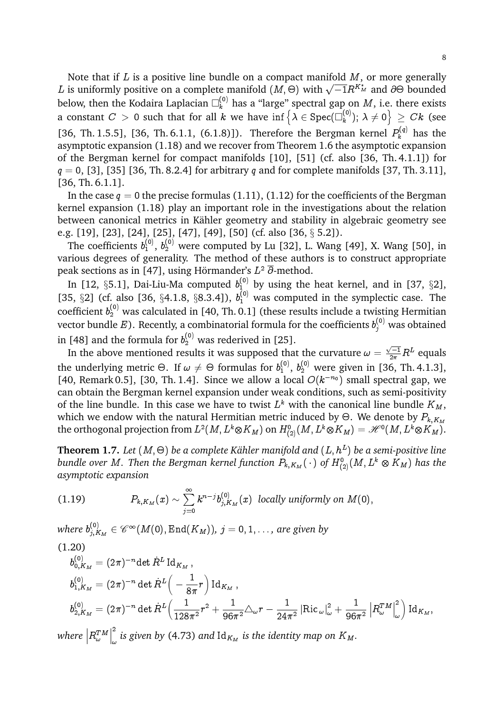Note that if  $L$  is a positive line bundle on a compact manifold  $M$ , or more generally Note that if *D* is a positive line bundle on a compact manifold  $M$ , of more generally <br>*L* is uniformly positive on a complete manifold  $(M, \Theta)$  with  $\sqrt{-1}R^{K_M^*}$  and  $\partial\Theta$  bounded below, then the Kodaira Laplacian  $\square^{(0)}_k$  has a "large" spectral gap on  $M$ , i.e. there exists a constant  $C \, > \, 0$  such that for all  $k$  we have  $\inf \big\{ \lambda \in \mathrm{Spec}(\square_k^{(0)} \big)$  $\left. \begin{array}{l} (0) \ k \end{array} \right) ;\ \lambda \neq 0 \Big\} \ \geq \ C k \ \text{(see}$ [36, Th. 1.5.5], [36, Th. 6.1.1, (6.1.8)]). Therefore the Bergman kernel  $P_k^{(q)}$  has the asymptotic expansion (1.18) and we recover from Theorem 1.6 the asymptotic expansion of the Bergman kernel for compact manifolds [10], [51] (cf. also [36, Th. 4.1.1]) for  $q = 0$ , [3], [35] [36, Th. 8.2.4] for arbitrary q and for complete manifolds [37, Th. 3.11], [36, Th. 6.1.1].

In the case  $q = 0$  the precise formulas (1.11), (1.12) for the coefficients of the Bergman kernel expansion (1.18) play an important role in the investigations about the relation between canonical metrics in Kähler geometry and stability in algebraic geometry see e.g. [19], [23], [24], [25], [47], [49], [50] (cf. also [36, § 5.2]).

The coefficients  $b_1^{(0)}$  $_1^{(0)}$ ,  $b_2^{(0)}$  were computed by Lu [32], L. Wang [49], X. Wang [50], in various degrees of generality. The method of these authors is to construct appropriate peak sections as in [47], using Hörmander's  $L^2$   $\overline{\partial}$ -method.

In [12,  $\S 5.1$ ], Dai-Liu-Ma computed  $b_1^{(0)}$  by using the heat kernel, and in [37,  $\S 2$ ], [35,  $\S$ 2] (cf. also [36,  $\S$ 4.1.8,  $\S$ 8.3.4]),  $b_1^{(0)}$  was computed in the symplectic case. The coefficient  $b_2^{(0)}$  was calculated in [40, Th. 0.1] (these results include a twisting Hermitian vector bundle  $E$ ). Recently, a combinatorial formula for the coefficients  $b_j^{(0)}$  was obtained in [48] and the formula for  $b_2^{(0)}$  was rederived in [25].

In the above mentioned results it was supposed that the curvature  $\omega = \frac{\sqrt{-1}}{2\pi}R^L$  equals the underlying metric  $\Theta.$  If  $\omega \neq \Theta$  formulas for  $b_1^{(0)}$  $_1^{(0)}$ ,  $b_2^{(0)}$  were given in [36, Th. 4.1.3], [40, Remark 0.5], [30, Th. 1.4]. Since we allow a local  $O(k^{-n_0})$  small spectral gap, we can obtain the Bergman kernel expansion under weak conditions, such as semi-positivity of the line bundle. In this case we have to twist  $L^k$  with the canonical line bundle  $K_M$ , which we endow with the natural Hermitian metric induced by  $\Theta.$  We denote by  $P_{k,K_M}$ the orthogonal projection from  $L^2(M,L^k\otimes K_M)$  on  $H^0_{(2)}(M,L^k\otimes K_M)=\mathscr{H}^0(M,L^k\otimes K_M).$ 

 ${\bf Theorem~1.7.}$  Let  $(M,\Theta)$  be a complete Kähler manifold and  $(L,h^L)$  be a semi-positive line bundle over  $M.$  Then the Bergman kernel function  $P_{k,K_M}(\,\cdot\,)$  of  $H^0_{(2)}(M,L^k\otimes K_M)$  has the *asymptotic expansion*

(1.19) 
$$
P_{k,K_M}(x) \sim \sum_{j=0}^{\infty} k^{n-j} b_{j,K_M}^{(0)}(x) \text{ locally uniformly on } M(0),
$$

where  $b_{j,K_M}^{(0)} \in \mathscr{C}^\infty(M(0),\operatorname{End}(K_M)),\,j=0,1,\ldots,$  are given by (1.20)

$$
b_{0,K_M}^{(0)} = (2\pi)^{-n} \det \dot{R}^L \operatorname{Id}_{K_M},
$$
  
\n
$$
b_{1,K_M}^{(0)} = (2\pi)^{-n} \det \dot{R}^L \left( -\frac{1}{8\pi} r \right) \operatorname{Id}_{K_M},
$$
  
\n
$$
b_{2,K_M}^{(0)} = (2\pi)^{-n} \det \dot{R}^L \left( \frac{1}{128\pi^2} r^2 + \frac{1}{96\pi^2} \triangle_{\omega} r - \frac{1}{24\pi^2} \left| \operatorname{Ric}_{\omega} \right|^2_{\omega} + \frac{1}{96\pi^2} \left| R_{\omega}^{TM} \right|^2_{\omega} \right) \operatorname{Id}_{K_M},
$$
  
\n
$$
\operatorname{Area} |P^{TM}|^2 \leq \operatorname{given} \operatorname{bv} (4.73) \text{ and Id} \quad \text{is the identity map on } K.
$$

where  $\left|R_\omega^{T M}\right|$  $\begin{array}{c} \hline \end{array}$  $\int_{\omega}$  is given by (4.73) and Id $_{K_M}$  is the identity map on  $K_M.$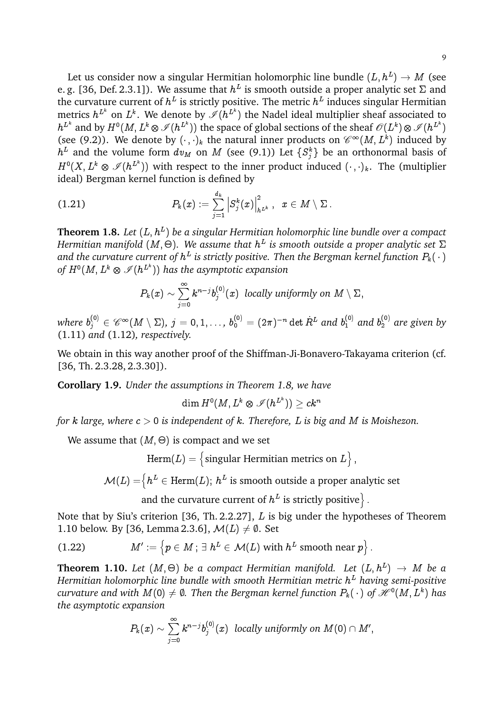Let us consider now a singular Hermitian holomorphic line bundle  $(L,h^L)\rightarrow M$  (see e. g. [36, Def. 2.3.1]). We assume that  $h^L$  is smooth outside a proper analytic set  $\Sigma$  and the curvature current of  $h^L$  is strictly positive. The metric  $h^L$  induces singular Hermitian metrics  $h^{L^k}$  on  $L^k.$  We denote by  $\mathscr{I}(h^{L^k})$  the Nadel ideal multiplier sheaf associated to  $h^{L^k}$  and by  $H^0(M,L^k\otimes\mathscr{I}(h^{L^k}))$  the space of global sections of the sheaf  $\mathscr{O}(L^k)\otimes\mathscr{I}(h^{L^k})$ (see (9.2)). We denote by  $(\cdot, \cdot)_k$  the natural inner products on  $\mathcal{C}^{\infty}(M, L^k)$  induced by  $h^L$  and the volume form  $dv_M$  on  $M$  (see (9.1)) Let  $\{S_j^k\}$  be an orthonormal basis of  $H^0(X,L^k\otimes \mathscr{I}(h^{L^k}))$  with respect to the inner product induced  $(\cdot\,,\cdot)_k.$  The (multiplier ideal) Bergman kernel function is defined by

$$
(1.21) \qquad \qquad P_k(x):=\sum_{j=1}^{d_k}\left|S_j^k(x)\right|_{h^{L^k}}^2,\;\;x\in M\setminus\Sigma\,.
$$

**Theorem 1.8.** Let  $(L, h^L)$  be a singular Hermitian holomorphic line bundle over a compact Hermitian manifold (M,  $\Theta$ ). We assume that  $h^L$  is smooth outside a proper analytic set  $\Sigma$ and the curvature current of  $h^L$  is strictly positive. Then the Bergman kernel function  $P_k(\,\cdot\,)$ of  $H^0(M,L^k\otimes \mathscr{I}(h^{L^k}))$  has the asymptotic expansion

$$
P_k(x) \sim \sum_{j=0}^\infty k^{n-j} b_j^{(0)}(x) \hspace{2mm} \text{locally uniformly on} \hspace{2mm} M \setminus \Sigma,
$$

where  $b_j^{(0)}\in \mathscr{C}^\infty(M\setminus\Sigma)$ ,  $j=0,1,\ldots$ ,  $b_0^{(0)}=(2\pi)^{-n}\det \dot{R}^L$  and  $b_1^{(0)}$  and  $b_2^{(0)}$  are given by (1.11) *and* (1.12)*, respectively.*

We obtain in this way another proof of the Shiffman-Ji-Bonavero-Takayama criterion (cf. [36, Th. 2.3.28, 2.3.30]).

**Corollary 1.9.** *Under the assumptions in Theorem 1.8, we have*

$$
\dim H^0(M,L^k\otimes\mathscr{I}(h^{L^k}))\geq ck^n
$$

*for* k *large, where* c > 0 *is independent of* k*. Therefore,* L *is big and* M *is Moishezon.*

We assume that  $(M, \Theta)$  is compact and we set

 $\text{Herm}(L) = \big\{ \text{singular Hermitian metrics on } L \big\}$  ,

 $\mathcal{M}(L)=\stackrel[\hbar^L\in\text{Herm}(L);\ h^L\text{ is smooth outside a proper analytic set}$ 

and the curvature current of  $h^L$  is strictly positive  $\rbrace$ .

Note that by Siu's criterion [36, Th. 2.2.27], L is big under the hypotheses of Theorem 1.10 below. By [36, Lemma 2.3.6],  $\mathcal{M}(L) \neq \emptyset$ . Set

(1.22) 
$$
M' := \left\{ p \in M \, ; \, \exists \, h^L \in \mathcal{M}(L) \text{ with } h^L \text{ smooth near } p \right\}.
$$

 ${\bf Theorem\ \ 1.10.}$  Let  $(M,\Theta)$  be a compact Hermitian manifold. Let  $(L,h^{L})\,\rightarrow\,M$  be a *Hermitian holomorphic line bundle with smooth Hermitian metric* h <sup>L</sup> *having semi-positive*  $curvature$  and with  $M(0)\neq\emptyset.$  Then the Bergman kernel function  $P_k(\ \cdot\ )$  of  $\mathscr{H}^0(M,L^k)$  has *the asymptotic expansion*

$$
P_k(x) \sim \sum_{j=0}^\infty k^{n-j} b_j^{(0)}(x) \ \ locally \ uniformly \ on \ M(0) \cap M',
$$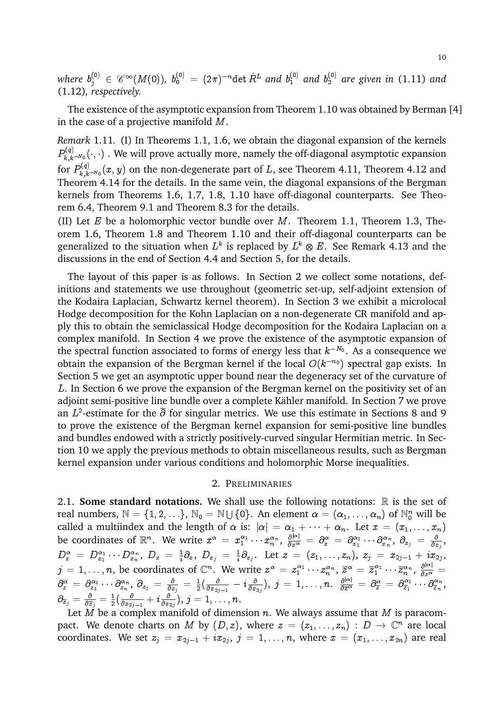where  $b_j^{(0)}\ \in\ \mathscr{C}^\infty(M(0)),\ b_0^{(0)}\ =\ (2\pi)^{-n}$ det  $R^L$  and  $b_1^{(0)}$  and  $b_2^{(0)}$  are given in (1.11) and (1.12)*, respectively.*

The existence of the asymptotic expansion from Theorem 1.10 was obtained by Berman [4] in the case of a projective manifold M.

*Remark* 1.11*.* (I) In Theorems 1.1, 1.6, we obtain the diagonal expansion of the kernels  $P_{k \ k}^{(q)}$  $\chi_{k,k^{-N_0}}^{(q)}(\cdot,\cdot)$  . We will prove actually more, namely the off-diagonal asymptotic expansion for  $P_{k,k}^{(q)}$  $\chi_{k,k-N_0}^{(q)}(x,y)$  on the non-degenerate part of  $L$ , see Theorem 4.11, Theorem 4.12 and Theorem 4.14 for the details. In the same vein, the diagonal expansions of the Bergman kernels from Theorems 1.6, 1.7, 1.8, 1.10 have off-diagonal counterparts. See Theorem 6.4, Theorem 9.1 and Theorem 8.3 for the details.

(II) Let  $E$  be a holomorphic vector bundle over  $M$ . Theorem 1.1, Theorem 1.3, Theorem 1.6, Theorem 1.8 and Theorem 1.10 and their off-diagonal counterparts can be generalized to the situation when  $L^k$  is replaced by  $L^k\otimes E.$  See Remark 4.13 and the discussions in the end of Section 4.4 and Section 5, for the details.

The layout of this paper is as follows. In Section 2 we collect some notations, definitions and statements we use throughout (geometric set-up, self-adjoint extension of the Kodaira Laplacian, Schwartz kernel theorem). In Section 3 we exhibit a microlocal Hodge decomposition for the Kohn Laplacian on a non-degenerate CR manifold and apply this to obtain the semiclassical Hodge decomposition for the Kodaira Laplacian on a complex manifold. In Section 4 we prove the existence of the asymptotic expansion of the spectral function associated to forms of energy less that  $k^{-N_0}$ . As a consequence we obtain the expansion of the Bergman kernel if the local  $O(k^{-n_0})$  spectral gap exists. In Section 5 we get an asymptotic upper bound near the degeneracy set of the curvature of L. In Section 6 we prove the expansion of the Bergman kernel on the positivity set of an adjoint semi-positive line bundle over a complete Kähler manifold. In Section 7 we prove an  $L^2$ -estimate for the  $\overline{\partial}$  for singular metrics. We use this estimate in Sections 8 and 9 to prove the existence of the Bergman kernel expansion for semi-positive line bundles and bundles endowed with a strictly positively-curved singular Hermitian metric. In Section 10 we apply the previous methods to obtain miscellaneous results, such as Bergman kernel expansion under various conditions and holomorphic Morse inequalities.

### 2. PRELIMINARIES

2.1. **Some standard notations.** We shall use the following notations:  $\mathbb{R}$  is the set of real numbers,  $\mathbb{N} = \{1, 2, \ldots\}$ ,  $\mathbb{N}_0 = \mathbb{N} \cup \{0\}$ . An element  $\alpha = (\alpha_1, \ldots, \alpha_n)$  of  $\mathbb{N}_0^n$  will be called a multiindex and the length of  $\alpha$  is:  $|\alpha| = \alpha_1 + \cdots + \alpha_n.$  Let  $x = (x_1, \ldots, x_n)$ be coordinates of  $\R^n$ . We write  $x^\alpha\,=\,x_1^{\alpha_1}\cdots x_n^{\alpha_n},\ \frac{\partial^{|\alpha|}}{\partial x^\alpha}\,=\,\partial_x^\alpha\,=\,\partial_{x_1}^{\alpha_1}\cdots\partial_{x_n}^{\alpha_n},\ \partial_{x_j}\,=\,\frac{\partial^{|\alpha|}}{\partial x^\alpha}\,$  $\frac{\partial}{\partial x_j},$  $D^{\, \alpha}_{\, x} \; = \; D^{\, \alpha_{1}}_{\, x_{1}} \cdots D^{\, \alpha_{\, n}}_{\, x_{\, n}}, \; D_{x} \; = \; \frac{1}{i}$  $\frac{1}{i}\partial _{x},\;D_{x_{j}}\;=\;\frac{1}{i}% \sum_{j\in N_{i}}\tilde{\gamma}_{j}(\vec{x})\;\;\text{and}\;\;\Omega_{n}=\frac{1}{i}% \sum_{j\in N_{i}}\tilde{\gamma}_{j}(\vec{x})\;\;\text{and}\;\;\Omega_{n}=\frac{1}{i}% \sum_{j\in N_{i}}\tilde{\gamma}_{j}(\vec{x})\;\;\text{and}\;\;\Omega_{n}=\frac{1}{i}% \sum_{j\in N_{i}}\tilde{\gamma}_{j}(\vec{x})\;\;\text{and}\;\;\Omega_{n}=\frac{1}{i}% \sum_{j\in N_{i}}\tilde{\gamma}_{j}(\vec{x})$  $\frac{1}{i}\partial_{x_j}.$  Let  $z\ =\ (z_1,\ldots,z_n),\ z_j\ =\ x_{2j-1}+ix_{2j},$  $j=1,\ldots,n,$  be coordinates of  $\mathbb{C}^n$ . We write  $z^\alpha\,=z_1^{\alpha_1}\cdots z_n^{\alpha_n},\ \overline{z}^\alpha\,=\overline{z}_1^{\alpha_1}\cdots\overline{z}_n^{\alpha_n},\ \frac{\partial^{|\alpha|}}{\partial z^\alpha}=z_1^{\alpha_1}\cdots\overline{z}_n^{\alpha_n}$  $\partial_z^\alpha\,=\,\partial_{z_1}^{\alpha_1}\cdots\partial_{z_n}^{\alpha_n},\ \partial_{z_j}\,=\,\frac{\partial}{\partial z}$  $\frac{\partial}{\partial z_j} \,=\, \frac{1}{2}$  $\frac{1}{2}(\frac{\delta}{\partial x_2}$  $\frac{\partial}{\partial x_{2j-1}} - i \frac{\partial}{\partial x}$  $\frac{\partial}{\partial x_{2j}}), \; j \, = \, 1, \ldots, n. \;\; \frac{\partial^{|\alpha|}}{\partial \overline{z}^{\alpha}}$  $\frac{\partial^{\vert \alpha \vert}}{\partial \overline{z}^{\alpha}} \, = \, \partial^{\alpha}_{\overline{z}} \, = \, \partial^{\alpha_{1}}_{\overline{z}_{1}}$  $\theta_{\overline z_1}^{\alpha_1}\cdots\theta_{\overline z_n}^{\alpha_n}$  $\frac{\alpha_n}{\overline{z}_n}$ ,  $\partial_{\overline z_j} = \frac{\partial}{\partial \overline z}$  $\frac{\partial}{\partial \overline{z}_j}=\frac{1}{2}$  $\frac{1}{2} \bigl( \frac{\partial}{\partial x_2}$  $\frac{\partial}{\partial x_{2j-1}} + i \frac{\partial}{\partial x}$  $\frac{\partial}{\partial x_{2j}}),\, j=1,\ldots,n.$ 

Let  $M$  be a complex manifold of dimension  $n$ . We always assume that  $M$  is paracompact. We denote charts on M by  $(D, z)$ , where  $z = (z_1, \ldots, z_n) : D \to \mathbb{C}^n$  are local coordinates. We set  $z_j\,=\,x_{2j-1}+ix_{2j},\ j\,=\,1,\ldots,n,$  where  $x\,=\,(x_1,\ldots,x_{2n})$  are real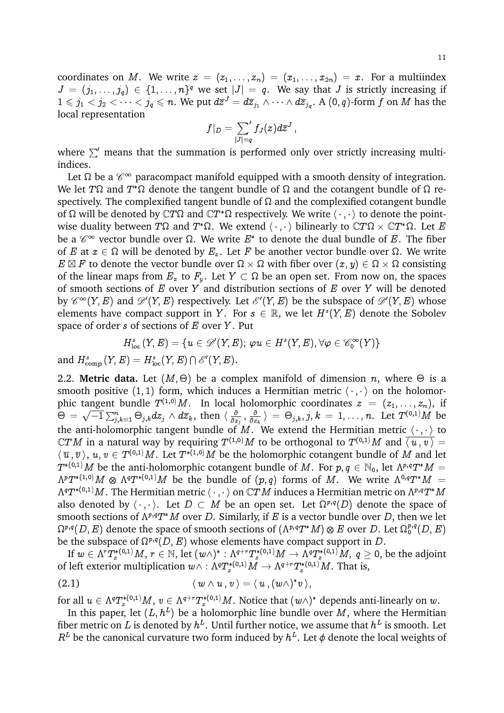coordinates on M. We write  $z = (z_1, \ldots, z_n) = (x_1, \ldots, x_{2n}) = x$ . For a multiindex  $J = (j_1, \ldots, j_q) \in \{1, \ldots, n\}^q$  we set  $|J| = q$ . We say that J is strictly increasing if  $1\leqslant j_1< j_2<\cdots< j_q\leqslant n.$  We put  $d\overline z^J=d\overline z_{j_1}\wedge\cdots\wedge d\overline z_{j_q}.$  A (0, *q*)-form  $f$  on  $M$  has the local representation

$$
f|_D=\sum_{|J|=q}{}' f_J(z) d\overline{z}^J\,,
$$

where  $\Sigma'$  means that the summation is performed only over strictly increasing multiindices.

Let  $\Omega$  be a  $\mathscr{C}^\infty$  paracompact manifold equipped with a smooth density of integration. We let T $\Omega$  and  $T^*\Omega$  denote the tangent bundle of  $\Omega$  and the cotangent bundle of  $\Omega$  respectively. The complexified tangent bundle of  $\Omega$  and the complexified cotangent bundle of  $\Omega$  will be denoted by  $\mathbb{C}T\Omega$  and  $\mathbb{C}T^*\Omega$  respectively. We write  $\langle \cdot \, , \cdot \, \rangle$  to denote the pointwise duality between  $T\Omega$  and  $T^*\Omega.$  We extend  $\langle\,\cdot\,,\,\cdot\,\rangle$  bilinearly to  $\mathbb{C} T\Omega\times \mathbb{C} T^*\Omega.$  Let  $E$ be a  $\mathscr{C}^\infty$  vector bundle over  $\Omega$ . We write  $E^*$  to denote the dual bundle of  $E.$  The fiber of  $E$  at  $x\in\Omega$  will be denoted by  $E_x.$  Let  $F$  be another vector bundle over  $\Omega.$  We write  $E \boxtimes F$  to denote the vector bundle over  $\Omega \times \Omega$  with fiber over  $(x, y) \in \Omega \times \Omega$  consisting of the linear maps from  $E_x$  to  $F_y.$  Let  $Y \subset \Omega$  be an open set. From now on, the spaces of smooth sections of  $E$  over  $Y$  and distribution sections of  $E$  over  $Y$  will be denoted by  $\mathscr{C}^{\infty}(Y, E)$  and  $\mathscr{D}'(Y, E)$  respectively. Let  $\mathscr{E}'(Y, E)$  be the subspace of  $\mathscr{D}'(Y, E)$  whose elements have compact support in Y. For  $s \in \mathbb{R}$ , we let  $H^s(Y, E)$  denote the Sobolev space of order  $s$  of sections of  $E$  over  $Y$ . Put

$$
H^s_{\text{loc}}\left(Y,E\right)=\{u\in \mathscr{D}'(Y,E);\, \varphi u\in H^s(Y,E), \forall \varphi\in \mathscr{C}_0^\infty(Y)\}
$$
 and  $H^s_{\text{comp}}\left(Y,E\right)=H^s_{\text{loc}}(Y,E)\cap \mathscr{E}'(Y,E).$ 

2.2. **Metric data.** Let  $(M, \Theta)$  be a complex manifold of dimension n, where  $\Theta$  is a smooth positive (1, 1) form, which induces a Hermitian metric  $\langle \cdot, \cdot \rangle$  on the holomorphic tangent bundle  $T^{(1,0)}M$ . In local holomorphic coordinates  $z~=~(z_1,\ldots,z_n),$  if  $\Theta = \sqrt{-1} \sum_{j,k=1}^n \Theta_{j,k} dz_j \wedge d\overline{z}_k$ , then  $\langle \frac{\partial}{\partial z_j} \rangle$  $\frac{\partial}{\partial z_j}$  ,  $\frac{\partial}{\partial z}$  $\frac{\partial}{\partial z_k} \big \rangle \ = \ \Theta_{j,k}, j,k \ = \ 1, \ldots, n. \ \ \textrm{Let} \ \ T^{(0,1)}M \ \ \textrm{be}$ the anti-holomorphic tangent bundle of  $M.$  We extend the Hermitian metric  $\langle\,\cdot\,,\cdot\,\rangle$  to  $\mathbb C TM$  in a natural way by requiring  $T^{(1,0)}M$  to be orthogonal to  $T^{(0,1)}M$  and  $\overline{\langle\,u\,,v\,\rangle}\,=\,$  $\langle \,\overline{u}\,,\overline{v}\,\rangle,\,u,v\in T^{(0,1)}M.$  Let  $T^{*(1,0)}M$  be the holomorphic cotangent bundle of  $M$  and let  $T^{*(0,1)}M$  be the anti-holomorphic cotangent bundle of  $M.$  For  $p,q\in \mathbb{N}_{0},$  let  $\Lambda^{p,q}T^*M=$  $\Lambda^pT^{*(1,0)}M \,\otimes\, \Lambda^qT^{*(0,1)}M$  be the bundle of  $(p,q)$  forms of  $M.$  We write  $\Lambda^{0,q}T^*M =$  $\Lambda^qT^{*(0,1)}M.$  The Hermitian metric  $\langle\,\cdot\,,\,\cdot\,\rangle$  on  $\mathbb CTM$  induces a Hermitian metric on  $\Lambda^{p,q}T^*M$ also denoted by  $\langle \cdot, \cdot \rangle$ . Let  $D \subset M$  be an open set. Let  $\Omega^{p,q}(D)$  denote the space of smooth sections of  $\Lambda^{p,q}T^*M$  over D. Similarly, if E is a vector bundle over D, then we let  $\Omega^{p,q}(D,E)$  denote the space of smooth sections of  $(\Lambda^{p,q}T^*M)\otimes E$  over  $D.$  Let  $\Omega^{p,q}_0(D,E)$ be the subspace of  $\Omega^{p,q}(D, E)$  whose elements have compact support in D.

If  $w\in\Lambda^rT^{*(0,1)}_zM,\,r\in\mathbb N,$  let  $(w\wedge)^*:\Lambda^{q+r}T^{*(0,1)}_zM\to\Lambda^qT^{*(0,1)}_zM,\ q\geq 0,$  be the adjoint of left exterior multiplication  $w\wedge: \Lambda^qT^{*(0,1)}_zM\to \Lambda^{q+r}T^{*(0,1)}_zM.$  That is,

$$
(2.1) \t\t \langle w \wedge u, v \rangle = \langle u, (w \wedge)^* v \rangle,
$$

for all  $u\in \Lambda^qT^{*(0,1)}_zM,\,v\in \Lambda^{q+r}T^{*(0,1)}_zM.$  Notice that  $(w\wedge)^*$  depends anti-linearly on  $w.$ 

In this paper, let  $(L, h^L)$  be a holomorphic line bundle over M, where the Hermitian fiber metric on  $L$  is denoted by  $h^L.$  Until further notice, we assume that  $h^L$  is smooth. Let  $R^L$  be the canonical curvature two form induced by  $h^L$ . Let  $\phi$  denote the local weights of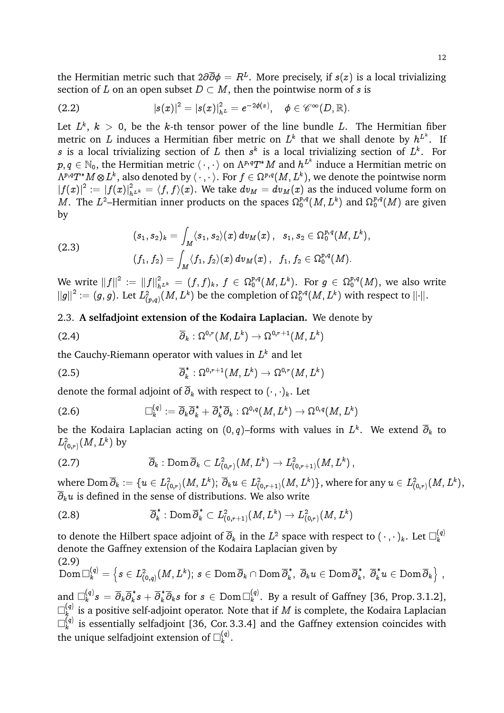the Hermitian metric such that 2 $\partial\overline{\partial}\phi = R^L.$  More precisely, if  $s(z)$  is a local trivializing section of L on an open subset  $D \subset M$ , then the pointwise norm of s is

(2.2) 
$$
|s(x)|^2 = |s(x)|_{h^L}^2 = e^{-2\phi(x)}, \quad \phi \in \mathscr{C}^{\infty}(D,\mathbb{R}).
$$

Let  $L^k,\;k\;>\;0,\;$  be the  $k$ -th tensor power of the line bundle  $L.$  The Hermitian fiber metric on  $L$  induces a Hermitian fiber metric on  $L^k$  that we shall denote by  $h^{L^k}.$  If s is a local trivializing section of L then  $s^k$  is a local trivializing section of  $L^k$ . For  $p,q\in\mathbb N_0,$  the Hermitian metric  $\langle\,\cdot\,,\cdot\,\rangle$  on  $\Lambda^{p,q}T^\ast M$  and  $h^{L^k}$  induce a Hermitian metric on  $\Lambda^{p,q}T^*M\mathop{\otimes} L^k,$  also denoted by  $\langle\,\cdot\,,\cdot\,\rangle.$  For  $f\in\Omega^{p,q}(M,L^k),$  we denote the pointwise norm  $\left|f(x)\right|^2:=\left|f(x)\right|^2_{h^{L^k}}=\langle f,f\rangle(x).$  We take  $dv_M=dv_M(x)$  as the induced volume form on M. The  $L^2$ -Hermitian inner products on the spaces  $\Omega_0^{p,q}(M,L^k)$  and  $\Omega_0^{p,q}(M)$  are given by

(2.3)  
\n
$$
(s_1, s_2)_k = \int_M \langle s_1, s_2 \rangle(x) dv_M(x), s_1, s_2 \in \Omega_0^{p,q}(M, L^k),
$$
\n
$$
(f_1, f_2) = \int_M \langle f_1, f_2 \rangle(x) dv_M(x), f_1, f_2 \in \Omega_0^{p,q}(M).
$$

We write  $\|f\|^2\,:=\,\|f\|^2_{h^{L^k}}\,=\,(f,f)_k,\;f\,\in\,\Omega_0^{p,q}(M,L^k).$  For  $g\,\in\,\Omega_0^{p,q}(M),$  we also write  $\left\|g\right\|^2 \vcentcolon= (g,g).$  Let  $L^2_{(p,q)}(M,L^k)$  be the completion of  $\Omega^{p,q}_0(M,L^k)$  with respect to  $\| \cdot \|.$ 

# 2.3. **A selfadjoint extension of the Kodaira Laplacian.** We denote by

(2.4) 
$$
\overline{\partial}_k : \Omega^{0,r}(M,L^k) \to \Omega^{0,r+1}(M,L^k)
$$

the Cauchy-Riemann operator with values in  $L^k$  and let

(2.5) 
$$
\overline{\partial}_k^* : \Omega^{0,r+1}(M,L^k) \to \Omega^{0,r}(M,L^k)
$$

denote the formal adjoint of  $\overline{\partial}_k$  with respect to  $(\cdot, \cdot)_k$ . Let

$$
(2.6) \qquad \qquad \Box_k^{(q)}:= \overline{\partial}_k \overline{\partial}_k^* + \overline{\partial}_k^* \overline{\partial}_k : \Omega^{0,q}(M,L^k) \to \Omega^{0,q}(M,L^k)
$$

be the Kodaira Laplacian acting on (0, $q$ )–forms with values in  $L^k.$  We extend  $\overline{\partial}_k$  to  $L^2_{(0,r)}(M,L^k)$  by

(2.7) 
$$
\overline{\partial}_k : \text{Dom } \overline{\partial}_k \subset L^2_{(0,r)}(M,L^k) \to L^2_{(0,r+1)}(M,L^k),
$$

where  ${\rm Dom\,}\overline{\partial}_k:=\{u\in L^2_{(0,r)}(M,L^k);\ \overline{\partial}_ku\in L^2_{(0,r+1)}(M,L^k)\},$  where for any  $u\in L^2_{(0,r)}(M,L^k),$  $\overline{\partial}_k u$  is defined in the sense of distributions. We also write

$$
(2.8) \qquad \qquad \overline{\partial}_k^* : \text{Dom } \overline{\partial}_k^* \subset L^2_{(0,r+1)}(M,L^k) \to L^2_{(0,r)}(M,L^k)
$$

to denote the Hilbert space adjoint of  $\overline\partial_k$  in the  $L^2$  space with respect to  $(\,\cdot\,,\,\cdot\,)_{k}.$  Let  $\Box^{(q)}_k$ k denote the Gaffney extension of the Kodaira Laplacian given by (2.9)

$$
\text{Dom\,}\Box_k^{(q)}=\left\{s\in L^2_{(0,q)}(M,L^k);\,s\in\text{Dom\,}\overline\partial_k\cap\text{Dom\,}\overline\partial_k^*,\ \overline\partial_ku\in\text{Dom\,}\overline\partial_k^*,\ \overline\partial_k^*u\in\text{Dom\,}\overline\partial_k\right\}\,,
$$

and  $\Box_k^{(q)}s\,=\,\overline\partial_k\overline\partial_k^{\,\,*}$  $\overline{k} s + \overline{\partial}_{k}^{\ast} \overline{\partial}_{k} s \,\, \text{for} \,\, s \in \text{Dom\,}^{\left(q\right)}_{k}$  $\binom{q}{k}$ . By a result of Gaffney [36, Prop. 3.1.2],  $\Box^{(q)}_\iota$  $\mathcal{F}_{k}^{(q)}$  is a positive self-adjoint operator. Note that if  $M$  is complete, the Kodaira Laplacian  $\Box^{(q)}_\iota$  $\mathbf{k}^{(q)}$  is essentially selfadjoint [36, Cor. 3.3.4] and the Gaffney extension coincides with the unique selfadjoint extension of  $\square^{(q)}_k$  $\frac{(q)}{k}$ .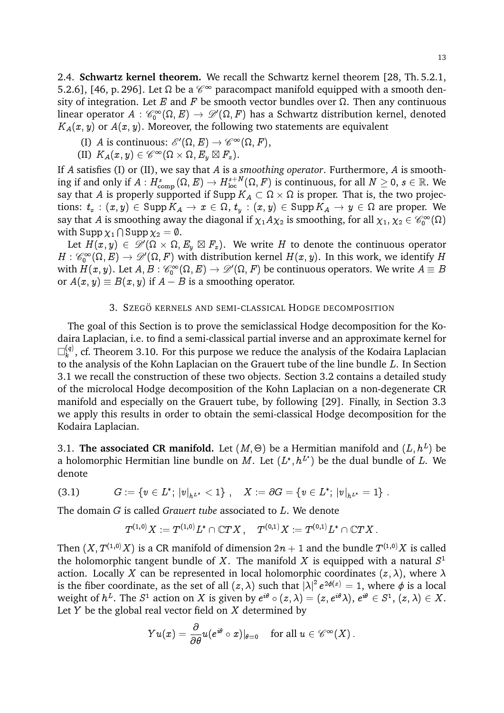2.4. **Schwartz kernel theorem.** We recall the Schwartz kernel theorem [28, Th. 5.2.1, 5.2.6], [46, p. 296]. Let  $\Omega$  be a  $\mathscr{C}^\infty$  paracompact manifold equipped with a smooth density of integration. Let E and F be smooth vector bundles over  $\Omega$ . Then any continuous linear operator  $A$  :  $\mathscr{C}_0^\infty(\Omega,E)\to \mathscr{D}'(\Omega,F)$  has a Schwartz distribution kernel, denoted  $K_A(x, y)$  or  $A(x, y)$ . Moreover, the following two statements are equivalent

- (I) A is continuous:  $\mathscr{E}'(\Omega, E) \to \mathscr{C}^{\infty}(\Omega, F)$ ,
- (II)  $K_A(x, y) \in \mathscr{C}^\infty(\Omega \times \Omega, E_y \boxtimes F_x).$

If A satisfies (I) or (II), we say that A is a *smoothing operator*. Furthermore, A is smoothing if and only if  $A:H_{\rm comp}^s(\Omega,E)\to H_{\rm loc}^{s+N}(\Omega,F)$  is continuous, for all  $N\geq 0,$   $s\in\mathbb{R}.$  We say that  $A$  is properly supported if  $\text{Supp}\, K_A\subset \Omega\times\Omega$  is proper. That is, the two projections:  $t_x$  :  $(x,y)\in \operatorname{Supp} K_A\to x\in \Omega,$   $t_y$  :  $(x,y)\in \operatorname{Supp} K_A\to y\in \Omega$  are proper. We say that  $A$  is smoothing away the diagonal if  $\chi_1A\chi_2$  is smoothing, for all  $\chi_1,\chi_2\in{\mathscr{C}^\infty_0}(\Omega)$ with  $\mathrm{Supp\,}\chi_1\cap\mathrm{Supp\,}\chi_2=\emptyset.$ 

Let  $H(x,y)\, \in\, \mathscr{D}'(\Omega\times \Omega,E_y\boxtimes F_x).$  We write  $H$  to denote the continuous operator  $H:\mathscr{C}_0^\infty(\Omega,E)\to\mathscr{D}'(\Omega,F)$  with distribution kernel  $H(x,y).$  In this work, we identify  $H$ with  $H(x,y).$  Let  $A,B:$   $\mathscr{C}_0^\infty(\Omega,E)\to \mathscr{D}'(\Omega,F)$  be continuous operators. We write  $A\equiv B$ or  $A(x, y) \equiv B(x, y)$  if  $A - B$  is a smoothing operator.

#### 3. SZEGÖ KERNELS AND SEMI-CLASSICAL HODGE DECOMPOSITION

The goal of this Section is to prove the semiclassical Hodge decomposition for the Kodaira Laplacian, i.e. to find a semi-classical partial inverse and an approximate kernel for  $\Box^{(q)}_\iota$  $\binom{q}{k}$ , cf. Theorem 3.10. For this purpose we reduce the analysis of the Kodaira Laplacian to the analysis of the Kohn Laplacian on the Grauert tube of the line bundle L. In Section 3.1 we recall the construction of these two objects. Section 3.2 contains a detailed study of the microlocal Hodge decomposition of the Kohn Laplacian on a non-degenerate CR manifold and especially on the Grauert tube, by following [29]. Finally, in Section 3.3 we apply this results in order to obtain the semi-classical Hodge decomposition for the Kodaira Laplacian.

3.1. **The associated CR manifold.** Let  $(M, \Theta)$  be a Hermitian manifold and  $(L, h^L)$  be a holomorphic Hermitian line bundle on M. Let  $(L^*, h^{L^*})$  be the dual bundle of L. We denote

(3.1) 
$$
G := \{v \in L^*; |v|_{h^{L^*}} < 1\}, \quad X := \partial G = \{v \in L^*; |v|_{h^{L^*}} = 1\}.
$$

The domain G is called *Grauert tube* associated to L. We denote

$$
T^{(1,0)}X:=T^{(1,0)}L^*\cap\mathbb{C} TX\ ,\quad T^{(0,1)}X:=T^{(0,1)}L^*\cap\mathbb{C} TX\ .
$$

Then  $(X, T^{(1,0)}X)$  is a CR manifold of dimension  $2n+1$  and the bundle  $T^{(1,0)}X$  is called the holomorphic tangent bundle of X. The manifold X is equipped with a natural  $S^1$ action. Locally X can be represented in local holomorphic coordinates  $(z, \lambda)$ , where  $\lambda$ is the fiber coordinate, as the set of all  $(z, \lambda)$  such that  $|\lambda|^2 e^{2\phi(z)} = 1$ , where  $\phi$  is a local weight of  $h^L.$  The  $S^1$  action on  $X$  is given by  $e^{i\theta}\circ(z,\lambda)=(z,e^{i\theta}\lambda),$   $e^{i\theta}\in S^1,$   $(z,\lambda)\in X.$ Let  $Y$  be the global real vector field on  $X$  determined by

$$
Yu(x)=\frac{\partial}{\partial \theta}u(e^{i\theta}\circ x)|_{\theta=0}\quad\text{ for all }u\in\mathscr{C}^\infty(X)\,.
$$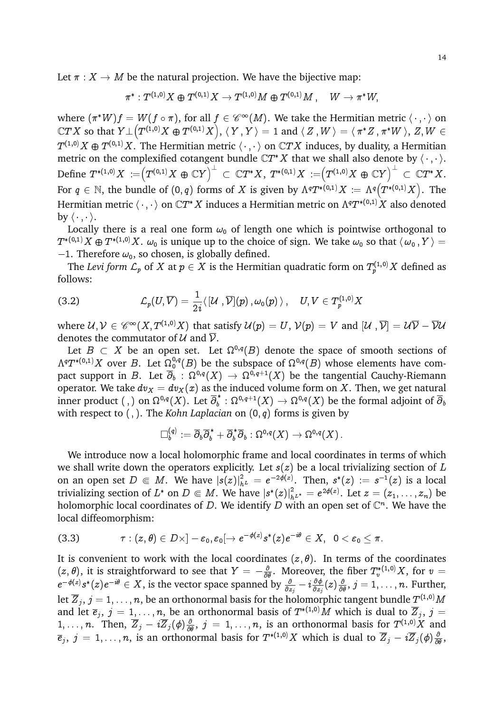Let  $\pi : X \to M$  be the natural projection. We have the bijective map:

$$
\pi^*: T^{(1,0)}X\oplus T^{(0,1)}X \to T^{(1,0)}M\oplus T^{(0,1)}M\ , \quad W\to \pi^*W,
$$

where  $(\pi^*W)f = W(f \circ \pi),$  for all  $f \in \mathscr{C}^\infty(M).$  We take the Hermitian metric  $\langle\,\cdot\,,\cdot\,\rangle$  on  $\mathbb CTX$  so that  $Y\bot\big(T^{(1,0)}X\oplus T^{(0,1)}X\big),$   $\langle\,Y\,,Y\,\rangle=1$  and  $\langle\,Z\,,W\,\rangle=\langle\,\pi^*Z\,,\pi^*W\,\rangle,\,Z,W\in$  $T^{(1,0)}X\oplus T^{(0,1)}X.$  The Hermitian metric  $\langle\,\cdot\,,\cdot\,\rangle$  on  $\mathbb CTX$  induces, by duality, a Hermitian metric on the complexified cotangent bundle  $\mathbb{C}T^*X$  that we shall also denote by  $\langle \cdot, \cdot \rangle$ .  $\text{Define }\, T^{*(1,0)}X\, := \Bigr( T^{(0,1)}X \oplus \mathbb{C} Y \Bigr)^{\perp} \ \subset \ \mathbb{C} T^{*}X,\,\, T^{*(0,1)}X\, := \Bigr( T^{(1,0)}X \oplus \mathbb{C} Y \Bigr)^{\perp} \ \subset \ \mathbb{C} T^{*}X.$ For  $q\in \mathbb{N}$ , the bundle of  $(0,q)$  forms of  $X$  is given by  $\Lambda^qT^{*(0,1)}X:=\Lambda^q\big(T^{*(0,1)}X\big).$  The Hermitian metric  $\langle\,\cdot\,,\cdot\,\rangle$  on  $\mathbb CT^*X$  induces a Hermitian metric on  $\Lambda^qT^{*(0,1)}X$  also denoted by  $\langle \cdot , \cdot \rangle$ .

Locally there is a real one form  $\omega_0$  of length one which is pointwise orthogonal to  $T^{*(0,1)}X\oplus T^{*(1,0)}X.$   $\omega_0$  is unique up to the choice of sign. We take  $\omega_0$  so that  $\langle\,\omega_0\,,Y\,\rangle=$  $-1$ . Therefore  $\omega_0$ , so chosen, is globally defined.

The *Levi form*  ${\mathcal L}_p$  *of*  $X$  *at*  $p\in X$  *is the Hermitian quadratic form on*  $T^{(1,0)}_pX$  *defined as* follows:

(3.2) 
$$
\mathcal{L}_p(U,\overline{V})=\frac{1}{2i}\langle [\mathcal{U},\overline{\mathcal{V}}](p),\omega_0(p)\rangle, \quad U,V\in T_p^{(1,0)}X
$$

where  $\mathcal{U},\mathcal{V}\in\mathscr{C}^\infty(X,T^{(1,0)}X)$  that satisfy  $\mathcal{U}(p)=U,$   $\mathcal{V}(p)=V$  and  $[\mathcal{U}$  ,  $\overline{\mathcal{V}}]=\mathcal{U}\overline{\mathcal{V}}-\overline{\mathcal{V}}\mathcal{U}$ denotes the commutator of  $U$  and  $\overline{V}$ .

Let  $B\, \subset\, X$  be an open set. Let  $\Omega^{0,q}(B)$  denote the space of smooth sections of  $\Lambda^qT^{*(0,1)}X$  over  $B.$  Let  $\Omega^{0,q}_0(B)$  be the subspace of  $\Omega^{0,q}(B)$  whose elements have compact support in  $B.$  Let  $\overline\partial_b\,:\, \Omega^{0,q}(X)\,\to\,\Omega^{0,q+1}(X)$  be the tangential Cauchy-Riemann operator. We take  $dv_x = dv_x(x)$  as the induced volume form on X. Then, we get natural inner product (, ) on  $\Omega^{0,q}(X)$ . Let  $\overline{\partial}_{b}^{*}$  $\frac{\ast}{b}:\Omega^{0,q+1}(X)\rightarrow \Omega^{0,q}(X)$  be the formal adjoint of  $\overline{\partial}_{b}$ with respect to  $($ ,  $)$ . The *Kohn Laplacian* on  $(0, q)$  forms is given by

$$
\Box^{(q)}_b:= \overline\partial_b\overline\partial^{~*}_b + \overline\partial^{~*}_b\overline\partial_b:\Omega^{0,q}(X)\to \Omega^{0,q}(X)\,.
$$

We introduce now a local holomorphic frame and local coordinates in terms of which we shall write down the operators explicitly. Let  $s(z)$  be a local trivializing section of L on an open set  $D \in M$ . We have  $|s(z)|^2_{h^L} = e^{-2\phi(z)}$ . Then,  $s^*(z) := s^{-1}(z)$  is a local trivializing section of  $L^*$  on  $D\Subset M.$  We have  $|s^*(z)|^2_{h^{L^*}}=e^{2\phi(z)}.$  Let  $z=(z_1,\ldots,z_n)$  be holomorphic local coordinates of D. We identify D with an open set of  $\mathbb{C}^n$ . We have the local diffeomorphism:

$$
(3.3) \qquad \qquad \tau:(z,\theta)\in D\times ]-\varepsilon_0, \varepsilon_0[\to e^{-\phi(z)}s^*(z)e^{-i\theta}\in X,\;\;0<\varepsilon_0\leq \pi.
$$

It is convenient to work with the local coordinates  $(z, \theta)$ . In terms of the coordinates  $(z, \theta)$ , it is straightforward to see that  $Y = -\frac{\partial}{\partial \theta}$ . Moreover, the fiber  $T_v^{*(1,0)}X$ , for  $v =$  $e^{-\phi(z)}s^*(z)e^{-i\theta}\in X,$  is the vector space spanned by  $\frac{\partial}{\partial z_j}-i\frac{\partial\phi}{\partial z_j}$  $\frac{\partial \phi}{\partial z_j}(z) \frac{\partial}{\partial \theta}, \, j=1,\ldots,n.$  Further, let  $\overline{Z}_j,\,j=1,\ldots,n,$  be an orthonormal basis for the holomorphic tangent bundle  $T^{(1,0)}M$ and let  $\overline{e}_j,\ j=1,\ldots,n,$  be an orthonormal basis of  $T^{*(1,0)}M$  which is dual to  $\overline{Z}_j,\ j=1$ 1, ..., *n*. Then,  $\overline{Z}_j - i\overline{Z}_j(\phi)\frac{\partial}{\partial \theta}$ ,  $j = 1, ..., n$ , is an orthonormal basis for  $T^{(1,0)}X$  and  $\overline e_j,\ j=1,\ldots,n,$  is an orthonormal basis for  $T^{*(1,0)}X$  which is dual to  $\overline Z_j-i\overline Z_j(\phi)\frac\partial{\partial\theta},$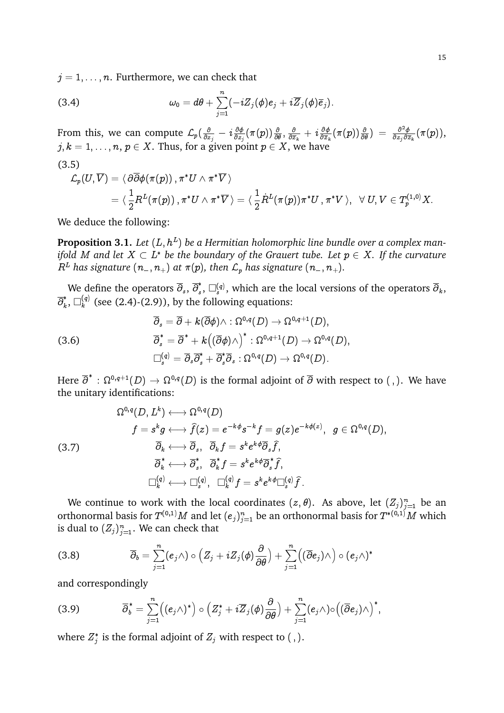$j = 1, \ldots, n$ . Furthermore, we can check that

(3.4) 
$$
\omega_0 = d\theta + \sum_{j=1}^n (-iZ_j(\phi)e_j + i\overline{Z}_j(\phi)\overline{e}_j).
$$

From this, we can compute  $\mathcal{L}_p(\frac{\delta}{\delta z})$  $\frac{\partial}{\partial z_j}\,-\,i\frac{\partial\phi}{\partial z_j}$  $\frac{\partial \phi}{\partial z_j}(\pi(p)) \frac{\partial}{\partial \theta}, \frac{\partial}{\partial \overline{z}}$  $\frac{\partial}{\partial \overline{z}_k} + i \frac{\partial \phi}{\partial \overline{z}_k}$  $\frac{\partial \phi}{\partial \overline{z}_k}(\pi(p)) \frac{\partial}{\partial \theta} ) \; = \; \frac{\partial^2 \phi}{\partial z_j \partial \overline{z}}$  $\frac{\partial^2 \phi}{\partial z_j \partial \overline{z}_k}(\pi(p)),$  $j, k = 1, \ldots, n, \, p \in X.$  Thus, for a given point  $p \in X,$  we have (3.5)

$$
\begin{aligned} \mathcal{L}_p(U,\overline{V})&=\langle\ \partial\overline{\partial}\phi(\pi(p))\,,\pi^*U\wedge\pi^*\overline{V}\,\rangle\\&=\langle\ \frac{1}{2}R^L(\pi(p))\,,\pi^*U\wedge\pi^*\overline{V}\,\rangle=\langle\ \frac{1}{2}\dot{R}^L(\pi(p))\pi^*U\,,\pi^*V\,\rangle,\ \ \forall\ U,V\in T^{(1,0)}_pX.\end{aligned}
$$

We deduce the following:

**Proposition 3.1.** Let  $(L, h^L)$  be a Hermitian holomorphic line bundle over a complex manifold M and let  $X\subset L^*$  be the boundary of the Grauert tube. Let  $p\in X.$  If the curvature  $R^L$  has signature  $(n_-, n_+)$  at  $\pi(p)$ , then  $\mathcal{L}_p$  has signature  $(n_-, n_+)$ .

We define the operators  $\overline{\partial}_s, \, \overline{\partial}^*_s$  $_{s}^{*},$   $\Box_{s}^{(q)},$  which are the local versions of the operators  $\overline{\partial}_{k},$  $\overline{\partial}_k^*$  $_{k}^{\ast },$   $\square _{k}^{\left( q\right) }$  $\kappa_k^{(q)}$  (see (2.4)-(2.9)), by the following equations:

(3.6)  
\n
$$
\overline{\partial}_s = \overline{\partial} + k(\overline{\partial}\phi) \wedge : \Omega^{0,q}(D) \to \Omega^{0,q+1}(D),
$$
\n
$$
\overline{\partial}_s^* = \overline{\partial}^* + k\big((\overline{\partial}\phi) \wedge \big)^* : \Omega^{0,q+1}(D) \to \Omega^{0,q}(D),
$$
\n
$$
\Box_s^{(q)} = \overline{\partial}_s \overline{\partial}_s^* + \overline{\partial}_s^* \overline{\partial}_s : \Omega^{0,q}(D) \to \Omega^{0,q}(D).
$$

Here  $\overline\partial^*:\Omega^{0,q+1}(D)\to\Omega^{0,q}(D)$  is the formal adjoint of  $\overline\partial$  with respect to ( , ). We have the unitary identifications:

$$
\Omega^{0,q}(D,L^k)\longleftrightarrow \Omega^{0,q}(D)\\ f=s^kg\longleftrightarrow \widehat{f}(z)=e^{-k\phi}s^{-k}f=g(z)e^{-k\phi(z)},\quad g\in \Omega^{0,q}(D),\\ \overline{\partial}_k\longleftrightarrow \overline{\partial}_s,\quad \overline{\partial}_kf=s^ke^{k\phi}\overline{\partial}_s\widehat{f},\\ \overline{\partial}_k^*\longleftrightarrow \overline{\partial}_s^*,\quad \overline{\partial}_kf^* =s^ke^{k\phi}\overline{\partial}_s^*\widehat{f},\\ \square_k^{(q)}\longleftrightarrow \square_s^{(q)},\quad \square_k^{(q)}f=s^ke^{k\phi}\square_s^{(q)}\widehat{f}\,.
$$

We continue to work with the local coordinates  $(z, \theta)$ . As above, let  $(Z_j)_{j=1}^n$  be an orthonormal basis for  $T^{(0,1)}M$  and let  $(e_j)_{j=1}^n$  be an orthonormal basis for  $T^{*(0,1)}M$  which is dual to  $(Z_j)_{j=1}^n.$  We can check that

(3.8) 
$$
\overline{\partial}_b = \sum_{j=1}^n (e_j \wedge) \circ (Z_j + i Z_j(\phi) \frac{\partial}{\partial \theta}) + \sum_{j=1}^n ((\overline{\partial} e_j) \wedge) \circ (e_j \wedge)^*
$$

and correspondingly

(3.9) 
$$
\overline{\partial}_b^* = \sum_{j=1}^n ((e_j \wedge)^*) \circ (Z_j^* + i \overline{Z}_j(\phi) \frac{\partial}{\partial \theta}) + \sum_{j=1}^n (e_j \wedge) \circ ((\overline{\partial} e_j) \wedge)^*,
$$

where  $Z_j^*$  is the formal adjoint of  $Z_j$  with respect to (, ).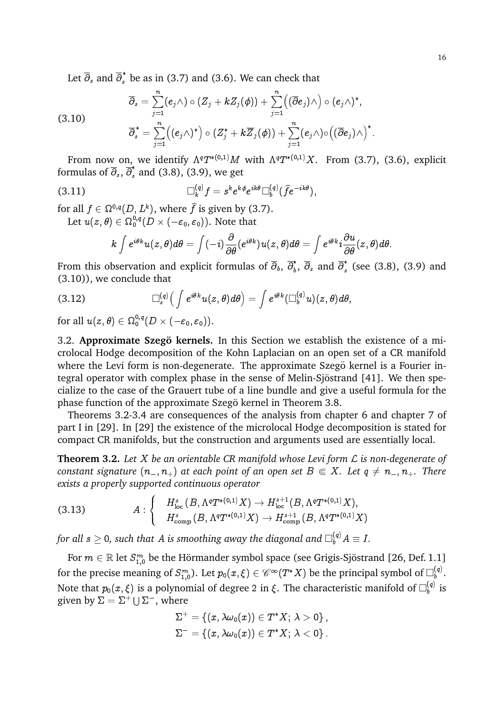Let  $\overline{\partial}_s$  and  $\overline{\partial}_s^*$  be as in (3.7) and (3.6). We can check that

(3.10) 
$$
\overline{\partial}_s = \sum_{j=1}^n (e_j \wedge) \circ (Z_j + k Z_j(\phi)) + \sum_{j=1}^n ((\overline{\partial} e_j) \wedge) \circ (e_j \wedge)^*,
$$

$$
\overline{\partial}_s^* = \sum_{j=1}^n ((e_j \wedge)^*) \circ (Z_j^* + k \overline{Z}_j(\phi)) + \sum_{j=1}^n (e_j \wedge) \circ ((\overline{\partial} e_j) \wedge)^*.
$$

From now on, we identify  $\Lambda^qT^{*(0,1)}M$  with  $\Lambda^qT^{*(0,1)}X$ . From (3.7), (3.6), explicit formulas of  $\overline{\partial}_s$ ,  $\overline{\partial}_s^*$  and (3.8), (3.9), we get

(3.11) 
$$
\Box_k^{(q)} f = s^k e^{k\phi} e^{ik\theta} \Box_b^{(q)} (\widehat{f} e^{-ik\theta}),
$$

for all  $f \in \Omega^{0,q}(D,L^k),$  where  $\widehat{f}$  is given by (3.7). Let  $u(z,\theta)\in\Omega_{0}^{0,q}(D\times (-\varepsilon_{0},\varepsilon_{0})).$  Note that

$$
k\int e^{i\theta k}u(z,\theta)d\theta=\int (-i)\frac{\partial}{\partial \theta}(e^{i\theta k})u(z,\theta)d\theta=\int e^{i\theta k}i\frac{\partial u}{\partial \theta}(z,\theta)d\theta.
$$

From this observation and explicit formulas of  $\overline\partial_b, \, \overline\partial_b^*$  $\bar{b}$ ,  $\overline{\partial}_s$  and  $\overline{\partial}_s^*$  $\int_{s}^{t}$  (see (3.8), (3.9) and (3.10)), we conclude that

(3.12) 
$$
\Box_s^{(q)}\left(\int e^{i\theta k} u(z,\theta)d\theta\right) = \int e^{i\theta k} (\Box_b^{(q)} u)(z,\theta)d\theta,
$$

for all  $u(z,\theta)\in \Omega_{0}^{0,q}(D\times (-{\varepsilon}_{0},{\varepsilon}_{0})).$ 

3.2. **Approximate Szegö kernels.** In this Section we establish the existence of a microlocal Hodge decomposition of the Kohn Laplacian on an open set of a CR manifold where the Levi form is non-degenerate. The approximate Szegö kernel is a Fourier integral operator with complex phase in the sense of Melin-Sjöstrand [41]. We then specialize to the case of the Grauert tube of a line bundle and give a useful formula for the phase function of the approximate Szegö kernel in Theorem 3.8.

Theorems 3.2-3.4 are consequences of the analysis from chapter 6 and chapter 7 of part I in [29]. In [29] the existence of the microlocal Hodge decomposition is stated for compact CR manifolds, but the construction and arguments used are essentially local.

**Theorem 3.2.** *Let* X *be an orientable CR manifold whose Levi form* L *is non-degenerate of constant signature*  $(n_-, n_+)$  *at each point of an open set*  $B \in X$ *. Let*  $q \neq n_-, n_+$ *. There exists a properly supported continuous operator*

(3.13) 
$$
A: \begin{cases} H_{\text{loc}}^{s}(B, \Lambda^{q}T^{*(0,1)}X) \to H_{\text{loc}}^{s+1}(B, \Lambda^{q}T^{*(0,1)}X), \\ H_{\text{comp}}^{s}(B, \Lambda^{q}T^{*(0,1)}X) \to H_{\text{comp}}^{s+1}(B, \Lambda^{q}T^{*(0,1)}X) \end{cases}
$$

for all  $s\geq$  0, such that  $A$  is smoothing away the diagonal and  $\Box_{b}^{(q)}A\equiv I.$ 

For  $m\in \mathbb{R}$  let  $S^m_{1,0}$  be the Hörmander symbol space (see Grigis-Sjöstrand [26, Def. 1.1] for the precise meaning of  $S^m_{1,0}$ ). Let  $p_0(x,\xi)\in \mathscr{C}^\infty(T^*X)$  be the principal symbol of  $\square_b^{(q)}$  $\stackrel{(q)}{b}$ . Note that  $p_0(x,\xi)$  is a polynomial of degree 2 in  $\xi.$  The characteristic manifold of  $\square_b^{(q)}$  $\int_b^{(q)}$  is given by  $\Sigma = \Sigma^+ \cup \Sigma^-$ , where

$$
\begin{aligned} \Sigma^+ &= \left\{ (x, \lambda \omega_0(x)) \in T^*X; \ \lambda > 0 \right\}, \\ \Sigma^- &= \left\{ (x, \lambda \omega_0(x)) \in T^*X; \ \lambda < 0 \right\}. \end{aligned}
$$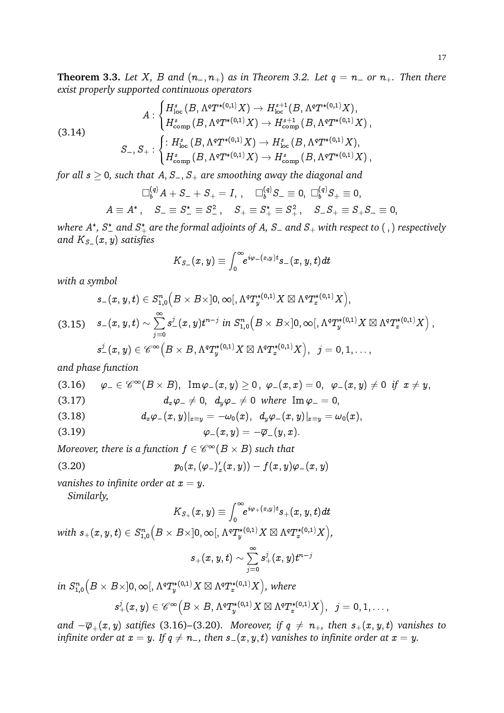$$
A: \begin{cases} H^s_{\mathrm{loc}}\left(B, \Lambda^q T^{*(0,1)}X\right) \to H^{s+1}_{\mathrm{loc}}(B, \Lambda^q T^{*(0,1)}X), \\ H^s_{\mathrm{comp}}\left(B, \Lambda^q T^{*(0,1)}X\right) \to H^{s+1}_{\mathrm{comp}}\left(B, \Lambda^q T^{*(0,1)}X\right), \\ S_-, S_+: \begin{cases} \colon H^s_{\mathrm{loc}}\left(B, \Lambda^q T^{*(0,1)}X\right) \to H^s_{\mathrm{loc}}\left(B, \Lambda^q T^{*(0,1)}X\right), \\ H^s_{\mathrm{comp}}\left(B, \Lambda^q T^{*(0,1)}X\right) \to H^s_{\mathrm{comp}}\left(B, \Lambda^q T^{*(0,1)}X\right), \end{cases}
$$

*for all*  $s \geq 0$ , such that  $A, S_-, S_+$  are smoothing away the diagonal and

$$
\Box_b^{(q)} A+S_-+S_+=I\,,\quad\Box_b^{(q)} S_-\equiv 0,\ \Box_b^{(q)} S_+\equiv 0,\\ A\equiv A^*\,,\quad S_-\equiv S_-^*\equiv S_-^2\,,\quad S_+\equiv S_+^*\equiv S_+^2\,,\quad S_-S_+\equiv S_+S_-\equiv 0,
$$

where  $A^*$ ,  $S^*_-$  and  $S^*_+$  are the formal adjoints of  $A$ ,  $S_-$  and  $S_+$  with respect to ( , ) respectively *and*  $K_{S}$   $(x, y)$  *satisfies* 

$$
K_{S-}(x,y)\equiv \int_0^\infty\!\! e^{i\varphi_-(x,y)t} s_-(x,y,t) dt
$$

*with a symbol*

$$
\begin{aligned} s_{-}(x,y,t) & \in S^n_{1,0}\Big(B\times B\times]0,\infty[,\Lambda^qT_y^{*(0,1)}X\boxtimes\Lambda^qT_x^{*(0,1)}X\Big),\\ (3.15) \quad s_{-}(x,y,t) & \sim \sum_{j=0}^\infty s^j_-(x,y)t^{n-j}\ in\ S^n_{1,0}\Big(B\times B\times]0,\infty[,\Lambda^qT_y^{*(0,1)}X\boxtimes\Lambda^qT_x^{*(0,1)}X\Big)\,,\\ s_{-}^j(x,y) & \in {\mathscr{C}^\infty}\Big(B\times B,\Lambda^qT_y^{*(0,1)}X\boxtimes\Lambda^qT_x^{*(0,1)}X\Big),\ \ j=0,1,\ldots, \end{aligned}
$$

*and phase function*

(3.16) 
$$
\varphi_{-} \in \mathscr{C}^{\infty}(B \times B), \ \operatorname{Im} \varphi_{-}(x, y) \ge 0, \ \varphi_{-}(x, x) = 0, \ \varphi_{-}(x, y) \ne 0 \ \text{if} \ x \ne y,
$$
  
(3.17) 
$$
d_{x}\varphi_{-} \neq 0, \ d_{y}\varphi_{-} \neq 0 \ \text{where} \ \operatorname{Im} \varphi_{-} = 0,
$$

(3.18) 
$$
d_x \varphi_-(x,y)|_{x=y} = -\omega_0(x), \ \ d_y \varphi_-(x,y)|_{x=y} = \omega_0(x),
$$

$$
\varphi_-(x,y)=-\overline{\varphi}_-(y,x).
$$

Moreover, there is a function  $f \in \mathscr{C}^\infty(B \times B)$  such that

(3.20) 
$$
p_0(x, (\varphi_-)_x'(x, y)) - f(x, y)\varphi_-(x, y)
$$

*vanishes to infinite order at*  $x = y$ .

*Similarly,*

$$
K_{S_+}(x,y)\equiv \int_0^\infty\!\!\! e^{i\varphi_+(x,y)t} s_+(x,y,t) dt
$$

with  $s_+(x,y,t)\in S^n_{1,0}$  $\overline{\left(B\times B\times \left]0,\infty \right[,\Lambda ^qT_{y}^{\ast \left( 0,1\right) }X\boxtimes \Lambda ^qT_{x}^{\ast \left( 0,1\right) }X\right] },$ 

$$
s_+(x,y,t)\sim\sum_{j=0}^\infty s_+^j(x,y)t^{n-j}
$$

 $in S_{1,0}^n$  $(B \times B \times ]0, \infty[, \Lambda^q T^{*(0,1)}_y X \boxtimes \Lambda^q T^{*(0,1)}_x X),$  where

$$
s_{+}^{j}(x,y)\in \mathscr{C}^{\infty}\Big(B\times B,\Lambda^{q}T_{y}^{*(0,1)}X\boxtimes \Lambda^{q}T_{x}^{*(0,1)}X\Big),\;\;j=0,1,\ldots,
$$

and  $-\overline{\varphi}_{+}(x, y)$  *satifies* (3.16)–(3.20)*.* Moreover, if  $q \neq n_+$ , then  $s_+(x, y, t)$  *vanishes to infinite order at*  $x = y$ *. If*  $q \neq n_$ *, then*  $s_-(x, y, t)$  *vanishes to infinite order at*  $x = y$ *.*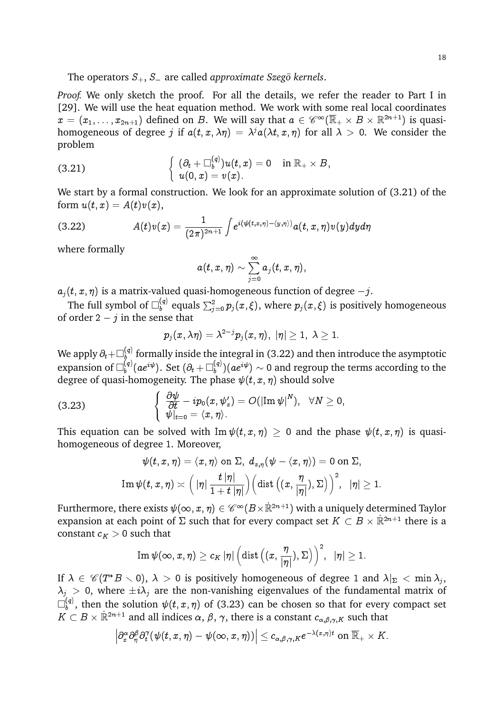*Proof.* We only sketch the proof. For all the details, we refer the reader to Part I in [29]. We will use the heat equation method. We work with some real local coordinates  $x=(x_1,\ldots,x_{2n+1})$  defined on  $B.$  We will say that  $a\in \mathscr{C}^\infty(\overline{\mathbb{R}}_+\times B\times\mathbb{R}^{2n+1})$  is quasihomogeneous of degree  $j$  if  $a(t,x,\lambda\eta) = \lambda^j a(\lambda t,x,\eta)$  for all  $\lambda > 0$ . We consider the problem

(3.21) 
$$
\begin{cases} (\partial_t + \Box_b^{(q)}) u(t,x) = 0 & \text{in } \mathbb{R}_+ \times B, \\ u(0,x) = v(x). \end{cases}
$$

We start by a formal construction. We look for an approximate solution of (3.21) of the form  $u(t, x) = A(t)v(x)$ ,

$$
(3.22) \hspace{3.1em} A(t)v(x) = \frac{1}{(2\pi)^{2n+1}}\int e^{i(\psi(t,x,\eta)-\langle y,\eta\rangle)}a(t,x,\eta)v(y)dyd\eta
$$

where formally

$$
a(t,x,\eta) \sim \sum_{j=0}^\infty a_j(t,x,\eta),
$$

 $a_i(t, x, \eta)$  is a matrix-valued quasi-homogeneous function of degree  $-i$ .

The full symbol of  $\Box_b^{(q)}$  equals  $\sum_{j=0}^2 p_j(x,\xi),$  where  $p_j(x,\xi)$  is positively homogeneous of order  $2 - j$  in the sense that

$$
p_j(x,\lambda\eta)=\lambda^{2-j}p_j(x,\eta),\;|\eta|\geq 1,\;\lambda\geq 1.
$$

We apply  $\partial_t{+}\square_b^{(q)}$  $\mathbf{b}_{\mathbf{b}}^{(q)}$  formally inside the integral in (3.22) and then introduce the asymptotic expansion of  $\Box_b^{(q)}$  $\mathcal{E}_b^{(q)}(ae^{i\psi}).$  Set  $(\partial_t + \Box_b^{(q)})$  $\binom{(q)}{b}(ae^{i\psi})\sim 0$  and regroup the terms according to the degree of quasi-homogeneity. The phase  $\psi(t, x, \eta)$  should solve

(3.23) 
$$
\begin{cases} \frac{\partial \psi}{\partial t} - ip_0(x, \psi_x') = O(|\text{Im }\psi|^N), & \forall N \geq 0, \\ \psi|_{t=0} = \langle x, \eta \rangle. \end{cases}
$$

This equation can be solved with  $\text{Im } \psi(t, x, \eta) > 0$  and the phase  $\psi(t, x, \eta)$  is quasihomogeneous of degree 1. Moreover,

$$
\psi(t,x,\eta)=\langle x,\eta\rangle \text{ on }\Sigma,\ d_{x,\eta}(\psi-\langle x,\eta\rangle)=0\text{ on }\Sigma,\\ \text{Im}\,\psi(t,x,\eta)\asymp\Big(\left.\vert\eta\right|\frac{t\,\vert\eta\vert}{1+t\,\vert\eta\vert}\Big)\Big(\text{dist}\left((x,\frac{\eta}{\vert\eta\vert}),\Sigma\right)\Big)^2,\ \ \vert\eta\vert\geq 1.
$$

Furthermore, there exists  $\psi(\infty,x,\eta)\in \mathscr C^\infty(B\times \mathbb R^{2n+1})$  with a uniquely determined Taylor expansion at each point of  $\Sigma$  such that for every compact set  $K\subset B\times \mathbb{R}^{2n+1}$  there is a constant  $c_K > 0$  such that

$$
\operatorname{Im} \psi(\infty,x,\eta) \geq c_K \, |\eta| \, \Bigl(\operatorname{dist}\Bigl((x,\frac{\eta}{|\eta|}),\Sigma\bigr)\Bigr)^2, \ \ |\eta| \geq 1.
$$

If  $\lambda \in \mathscr{C}(T^*B\smallsetminus 0),\ \lambda >0$  is positively homogeneous of degree 1 and  $\lambda|_\Sigma<\min \lambda_j,$  $\lambda_j > 0$ , where  $\pm i\lambda_j$  are the non-vanishing eigenvalues of the fundamental matrix of  $\Box^{(q)}_\iota$  $\psi_b^{(q)}$ , then the solution  $\psi(t,x,\eta)$  of (3.23) can be chosen so that for every compact set  $K \subset B \times \mathbb{R}^{2n+1}$  and all indices  $\alpha, \beta, \gamma$ , there is a constant  $c_{\alpha,\beta,\gamma,K}$  such that

$$
\left|\partial_x^\alpha\partial_\eta^\beta\partial_t^\gamma(\psi(t,x,\eta)-\psi(\infty,x,\eta))\right|\leq c_{\alpha,\beta,\gamma,K}e^{-\lambda(x,\eta)t}\text{ on }\overline{\mathbb{R}}_+\times K.
$$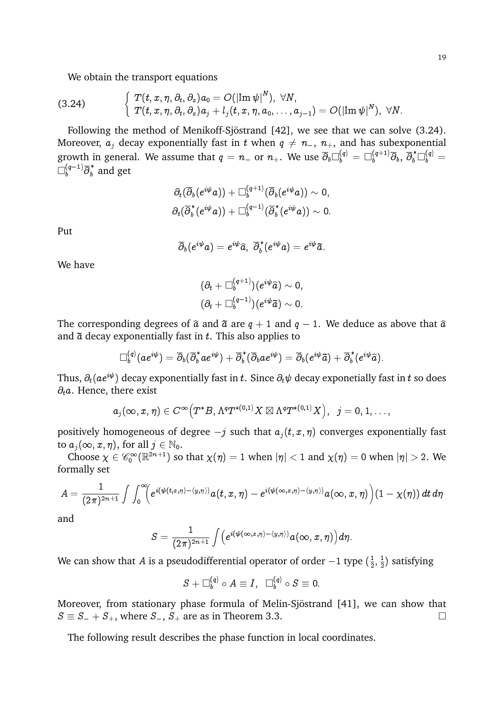We obtain the transport equations

$$
(3.24) \qquad \qquad \left\{ \begin{array}{l} T(t,x,\eta,\partial_t,\partial_x) a_0 = O(|\mathrm{Im}\,\psi|^N), \;\forall N, \\ T(t,x,\eta,\partial_t,\partial_x) a_j + l_j(t,x,\eta,a_0,\ldots,a_{j-1}) = O(|\mathrm{Im}\,\psi|^N), \;\forall N. \end{array} \right.
$$

Following the method of Menikoff-Sjöstrand [42], we see that we can solve (3.24). Moreover,  $a_i$  decay exponentially fast in t when  $q \neq n_-, n_+$ , and has subexponential growth in general. We assume that  $q=n_-$  or  $n_+$ . We use  $\overline\partial_b\Box^{(q)}_b=\Box^{(q+1)}_b\overline\partial_b,$   $\overline\partial^*_b\Box^{(q)}_b=$  $\Box_{b}^{(q-1)}\overline{\partial}_{b}^{\,\ast}$  and get

$$
\begin{aligned} &\partial_t(\overline{\partial}_b(e^{i\psi}a))+\Box_b^{(q+1)}(\overline{\partial}_b(e^{i\psi}a))\sim 0,\\ &\partial_t(\overline{\partial}_b^*(e^{i\psi}a))+\Box_b^{(q-1)}(\overline{\partial}_b^*(e^{i\psi}a))\sim 0. \end{aligned}
$$

Put

$$
\overline{\partial}_b(e^{i\psi}a)=e^{i\psi}\widehat{a},\ \overline{\partial}^{\,\ast}_b(e^{i\psi}a)=e^{i\psi}\widetilde{a}.
$$

We have

$$
\begin{aligned} &(\partial_t+\Box_b^{(q+1)})(e^{i\psi}\widehat{a})\sim 0,\\ &(\partial_t+\Box_b^{(q-1)})(e^{i\psi}\widetilde{a})\sim 0.\end{aligned}
$$

The corresponding degrees of  $\hat{a}$  and  $\tilde{a}$  are  $q + 1$  and  $q - 1$ . We deduce as above that  $\hat{a}$ and  $\tilde{a}$  decay exponentially fast in t. This also applies to

$$
\Box_b^{(q)}(ae^{i\psi})=\overline{\partial}_b(\overline{\partial}_b^*ae^{i\psi})+\overline{\partial}_b^*(\overline{\partial}_bae^{i\psi})=\overline{\partial}_b(e^{i\psi}\tilde{a})+\overline{\partial}_b^*(e^{i\psi}\widehat{a}).
$$

Thus,  $\partial_t(a e^{i\psi})$  decay exponentially fast in t. Since  $\partial_t \psi$  decay exponetially fast in t so does  $\partial_t a$ . Hence, there exist

$$
a_j(\infty, x, \eta) \in C^\infty\big(T^*B, \Lambda^qT^{*(0, 1)}X \boxtimes \Lambda^qT^{*(0, 1)}X\big), \;\; j=0,1,\ldots,
$$

positively homogeneous of degree  $-j$  such that  $a_i(t; x, \eta)$  converges exponentially fast to  $a_j(\infty, x, \eta)$ , for all  $j \in \mathbb{N}_0$ .

Choose  $\chi \in \mathscr{C}_0^\infty(\mathbb{R}^{2n+1})$  so that  $\chi(\eta) = 1$  when  $|\eta| < 1$  and  $\chi(\eta) = 0$  when  $|\eta| > 2$ . We formally set

$$
A=\frac{1}{(2\pi)^{2n+1}}\int\int_0^\infty\!\!\!\left(e^{i(\psi(t,x,\eta)-\langle y,\eta\rangle)}a(t,x,\eta)-e^{i(\psi(\infty,x,\eta)-\langle y,\eta\rangle)}a(\infty,x,\eta)\right)\!\left(1-\chi(\eta)\right)dt\,d\eta
$$

and

$$
S=\frac{1}{(2\pi)^{2n+1}}\int\Bigl(e^{i(\psi(\infty,x,\eta)-\langle y,\eta\rangle)}a(\infty,x,\eta)\Bigr)d\eta.
$$

We can show that A is a pseudodifferential operator of order  $-1$  type  $(\frac{1}{2})$  $\frac{1}{2}$ ,  $\frac{1}{2}$  $\frac{1}{2}$ ) satisfying

$$
S+\square_b^{(q)}\circ A\equiv I,\;\;\square_b^{(q)}\circ S\equiv 0.
$$

Moreover, from stationary phase formula of Melin-Sjöstrand [41], we can show that  $S \equiv S_- + S_+$ , where  $S_-$ ,  $S_+$  are as in Theorem 3.3.

The following result describes the phase function in local coordinates.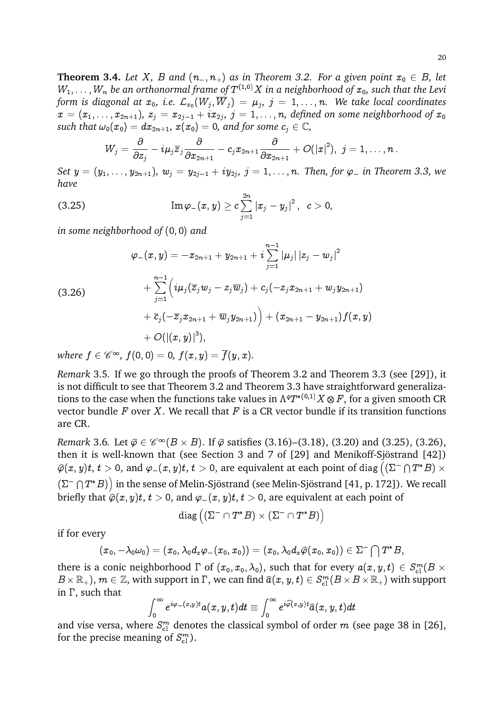**Theorem 3.4.** Let X, B and  $(n_-, n_+)$  as in Theorem 3.2. For a given point  $x_0 \in B$ , let  $W_1,\ldots,W_n$  be an orthonormal frame of  $T^{(1,0)}X$  in a neighborhood of  $x_0$ , such that the Levi form is diagonal at  $x_0$ , i.e.  ${\mathcal L}_{x_0}(W_j,{\overline W}_j) \,=\, \mu_j,\,\, j \,=\, 1,\dots, n.$  We take local coordinates  $x\,=\,(x_1,\ldots,x_{2n+1}),\;z_j\,=x_{2j-1}+ix_{2j},\;j\,=\,1,\ldots,n,$  defined on some neighborhood of  $x_0$ *such that*  $\omega_0(x_0) = dx_{2n+1}$ ,  $x(x_0) = 0$ , and for some  $c_i \in \mathbb{C}$ ,

$$
W_j=\frac{\partial}{\partial z_j}-i\mu_j\overline{z}_j\frac{\partial}{\partial x_{2n+1}}-c_jx_{2n+1}\frac{\partial}{\partial x_{2n+1}}+O(|x|^2),\,\,j=1,\ldots,n\,.
$$

Set  $y=(y_1,\ldots,y_{2n+1}),\ w_j=y_{2j-1}+iy_{2j},\ j=1,\ldots,n.$  Then, for  $\varphi_-$  in Theorem 3.3, we *have*

$$
\text{(3.25)} \qquad \qquad \text{Im}\, \varphi_{-}(x,y) \geq c \sum_{j=1}^{2n} \left| x_{j} - y_{j} \right|^{2}, \;\; c > 0,
$$

*in some neighborhood of* (0; 0) *and*

$$
\varphi_{-}(x,y) = -x_{2n+1} + y_{2n+1} + i \sum_{j=1}^{n-1} |\mu_j| |z_j - w_j|^2
$$
\n
$$
+ \sum_{j=1}^{n-1} \left( i\mu_j (\overline{z}_j w_j - z_j \overline{w}_j) + c_j (-z_j x_{2n+1} + w_j y_{2n+1}) + \overline{c}_j (-\overline{z}_j x_{2n+1} + \overline{w}_j y_{2n+1}) \right) + (x_{2n+1} - y_{2n+1}) f(x,y) + O((x,y)|^3),
$$

where  $f\in \mathscr{C}^\infty$ ,  $f(\hspace{.02cm}0, 0)=0, \, f(x,y)=\overline{f}(y,x).$ 

*Remark* 3.5*.* If we go through the proofs of Theorem 3.2 and Theorem 3.3 (see [29]), it is not difficult to see that Theorem 3.2 and Theorem 3.3 have straightforward generalizations to the case when the functions take values in  $\Lambda^qT^{*(0,1)}X\otimes F,$  for a given smooth CR vector bundle  $F$  over  $X$ . We recall that  $F$  is a CR vector bundle if its transition functions are CR.

*Remark* 3.6*.* Let  $\hat{\varphi} \in \mathscr{C}^{\infty}(B \times B)$ . If  $\hat{\varphi}$  satisfies (3.16)–(3.18), (3.20) and (3.25), (3.26), then it is well-known that (see Section 3 and 7 of  $[29]$  and Menikoff-Sjöstrand  $[42]$ )  $\widehat{\varphi}(x,y)t, \, t>0,$  and  $\varphi_-(x,y)t, \, t>0,$  are equivalent at each point of  $\mathrm{diag}\left((\Sigma^- \cap T^*B) \times$  $(\Sigma^- \cap T^*B))$  in the sense of Melin-Sjöstrand (see Melin-Sjöstrand [41, p. 172]). We recall briefly that  $\hat{\varphi}(x, y)t$ ,  $t > 0$ , and  $\varphi(x, y)t$ ,  $t > 0$ , are equivalent at each point of

$$
\text{ diag}\left( \left(\Sigma^{-}\cap T^*B\right) \times \left(\Sigma^{-}\cap T^*B\right)\right)
$$

if for every

$$
(x_0,-\lambda_0\omega_0)=(x_0,\lambda_0d_x\varphi_-(x_0,x_0))=(x_0,\lambda_0d_x\widehat{\varphi}(x_0,x_0))\in\Sigma^-\bigcap T^*B,
$$

there is a conic neighborhood  $\Gamma$  of  $(x_0, x_0, \lambda_0),$  such that for every  $a(x, y, t) \in S^m_{\rm cl}(B \times$  $B\times\mathbb{R}_+,$  ),  $m\in\mathbb{Z}$ , with support in  $\Gamma$ , we can find  $\widehat{a}(x,y,t)\in S^m_{\rm cl}(B\times B\times \mathbb{R}_+)$  with support in  $\Gamma$ , such that

$$
\int_0^\infty e^{i\varphi_-(x,y)t}a(x,y,t)dt\equiv \int_0^\infty e^{i\widehat{\varphi}(x,y)t}\widehat{a}(x,y,t)dt
$$

and vise versa, where  $S^m_{\text{cl}}$  denotes the classical symbol of order  $m$  (see page 38 in [26], for the precise meaning of  $S_{\text{cl}}^m$ ).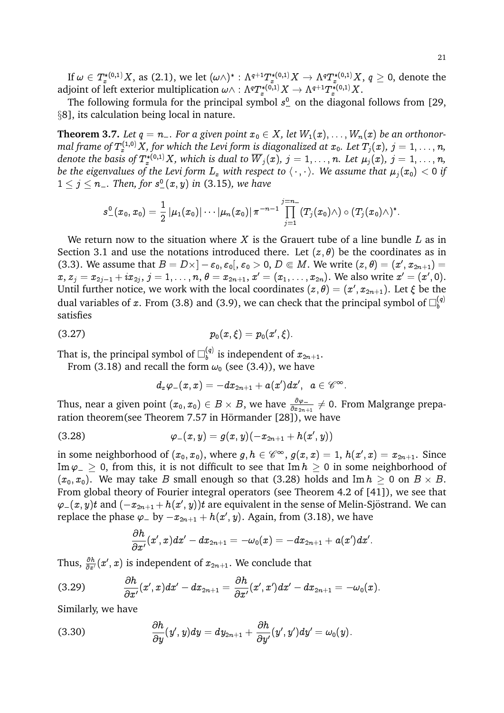If  $\omega\in T^{*(0,1)}_xX,$  as (2.1), we let  $(\omega\wedge)^*:\Lambda^{q+1}T^{*(0,1)}_xX\to\Lambda^qT^{*(0,1)}_xX,$   $q\geq 0,$  denote the adjoint of left exterior multiplication  $\omega\wedge:\Lambda^qT^{*(0,1)}_xX\to\Lambda^{q+1}T^{*(0,1)}_xX.$ 

The following formula for the principal symbol  $s^0$  on the diagonal follows from [29, §8], its calculation being local in nature.

**Theorem 3.7.** Let  $q = n_-\$ . For a given point  $x_0 \in X$ , let  $W_1(x), \ldots, W_n(x)$  be an orthonormal frame of  $T^{(1,0)}_xX$  , for which the Levi form is diagonalized at  $x_0.$  Let  $T_j(x)$ ,  $j=1,\ldots,n$ , denote the basis of  $T^{*(0,1)}_xX$ , which is dual to  $\overline{W}_j(x)$ ,  $j=1,\ldots,n.$  Let  $\mu_j(x),\ j=1,\ldots,n,$ *be the eigenvalues of the Levi form*  $L_x$  *with respect to*  $\langle \cdot, \cdot \rangle$ *. We assume that*  $\mu_i(x_0) < 0$  *if*  $1 \leq j \leq n_{-}.$  Then, for  $s_{-}^{0}(x,y)$  in (3.15), we have

$$
s_{-}^{0}(x_0,x_0)=\frac{1}{2}\left|\mu_1(x_0)|\cdots\left|\mu_n(x_0)\right|\pi^{-n-1}\prod_{j=1}^{j=n-}(T_j(x_0)\wedge)\circ(T_j(x_0)\wedge)^*.
$$

We return now to the situation where X is the Grauert tube of a line bundle  $L$  as in Section 3.1 and use the notations introduced there. Let  $(z, \theta)$  be the coordinates as in (3.3). We assume that  $B = D \times ] - \varepsilon_0, \varepsilon_0[, \varepsilon_0 > 0, D \in M.$  We write  $(z, \theta) = (x', x_{2n+1}) =$  $x,\,z_j=x_{2j-1}+ix_{2j},\,j=1,\ldots,n,$   $\theta=x_{2n+1},$   $x'=(x_1,\ldots,x_{2n}).$  We also write  $x'=(x',0).$ Until further notice, we work with the local coordinates  $(z,\theta) = (x',x_{2n+1})$ . Let  $\xi$  be the dual variables of  $x.$  From (3.8) and (3.9), we can check that the principal symbol of  $\Box^{(q)}_b$ b satisfies

(3.27) 
$$
p_0(x,\xi)=p_0(x',\xi).
$$

That is, the principal symbol of  $\Box_b^{(q)}$  $\mathbf{b}_{b}^{(q)}$  is independent of  $x_{2n+1}$ .

From (3.18) and recall the form  $\omega_0$  (see (3.4)), we have

$$
d_x\varphi_-(x,x)=-dx_{2n+1}+a(x')dx',\;\;a\in\mathscr{C}^\infty.
$$

Thus, near a given point  $(x_0,x_0)\in B\times B,$  we have  $\frac{\partial\varphi_-}{\partial x_{2n+1}}\neq 0.$  From Malgrange preparation theorem(see Theorem 7.57 in Hörmander [28]), we have

(3.28) 
$$
\varphi_{-}(x,y)=g(x,y)(-x_{2n+1}+h(x',y))
$$

in some neighborhood of  $(x_0,x_0),$  where  $g,h\in \mathscr C^\infty,$   $g(x,x)=1,$   $h(x',x)=x_{2n+1}.$  Since Im  $\varphi$   $\geq$  0, from this, it is not difficult to see that Im  $h \geq 0$  in some neighborhood of  $(x_0,x_0).$  We may take  $B$  small enough so that (3.28) holds and Im  $h\,\geq\, 0$  on  $B\times\, B.$ From global theory of Fourier integral operators (see Theorem 4.2 of [41]), we see that  $\varphi_-(x,y)t$  and  $(-x_{2n+1} + h(x',y))t$  are equivalent in the sense of Melin-Sjöstrand. We can replace the phase  $\varphi_-$  by  $-x_{2n+1} + h(x',y).$  Again, from (3.18), we have

$$
\frac{\partial h}{\partial x'}(x',x)dx'-dx_{2n+1}=-\omega_0(x)=-dx_{2n+1}+a(x')dx'.
$$

Thus,  $\frac{\partial h}{\partial x^{\prime}}(x^{\prime},x)$  is independent of  $x_{2n+1}.$  We conclude that

$$
(3.29) \hspace{3.1em} \dfrac{\partial h}{\partial x'}(x',x)dx'-dx_{2n+1}=\dfrac{\partial h}{\partial x'}(x',x')dx'-dx_{2n+1}=-\omega_0(x).
$$

Similarly, we have

$$
(3.30) \hspace{3.1em} \dfrac{\partial h}{\partial y}(y',y)dy = dy_{2n+1} + \dfrac{\partial h}{\partial y'}(y',y')dy' = \omega_0(y).
$$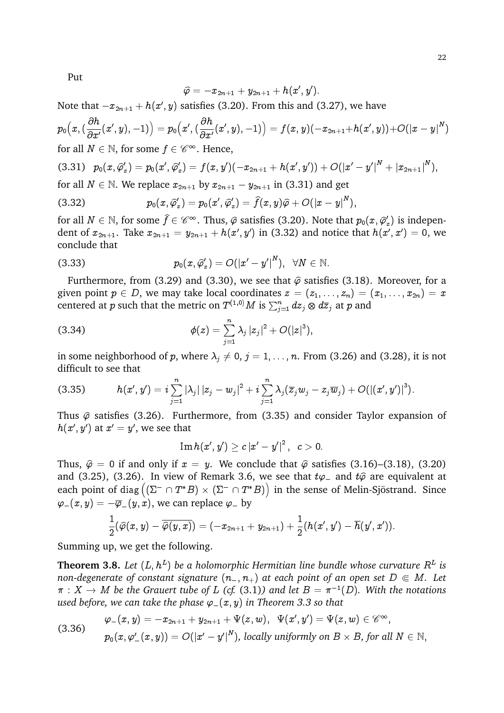Put

$$
\widehat{\varphi}=-x_{2n+1}+y_{2n+1}+h(x',y').
$$

Note that  $-x_{2n+1} + h(x',y)$  satisfies (3.20). From this and (3.27), we have

$$
p_0\big(x, (\frac{\partial h}{\partial x'}(x',y),-1)\big)=p_0\big(x', (\frac{\partial h}{\partial x'}(x',y),-1)\big)=f(x,y)(-x_{2n+1}+h(x',y))+O(|x-y|^N)\\ \text{for all } N\in\mathbb{N}, \text{ for some } f\in\mathscr{C}^\infty. \text{ Hence,}
$$

$$
(3.31) \quad p_0(x,\widehat{\varphi}_x')=p_0(x',\widehat{\varphi}_x')=f(x,y')(-x_{2n+1}+h(x',y'))+O(|x'-y'|^N+|x_{2n+1}|^N),
$$

for all  $N \in \mathbb{N}$ . We replace  $x_{2n+1}$  by  $x_{2n+1} - y_{2n+1}$  in (3.31) and get

$$
(3.32) \t\t\t p_0(x,\widehat{\varphi}_x')=p_0(x',\widehat{\varphi}_x')=\widehat{f}(x,y)\widehat{\varphi}+O(|x-y|^N),
$$

for all  $N \in \mathbb{N}$ , for some  $\widehat{f} \in \mathscr{C}^{\infty}$ . Thus,  $\widehat{\varphi}$  satisfies (3.20). Note that  $p_0(x, \widehat{\varphi}_x)$  is independent of  $x_{2n+1}.$  Take  $x_{2n+1}=y_{2n+1}+h(x',y')$  in (3.32) and notice that  $h(x',x')=0,$  we conclude that

(3.33) 
$$
p_0(x,\hat{\varphi}'_x)=O(|x'-y'|^N), \ \ \forall N\in\mathbb{N}.
$$

Furthermore, from (3.29) and (3.30), we see that  $\hat{\varphi}$  satisfies (3.18). Moreover, for a given point  $p \in D$ , we may take local coordinates  $z = (z_1, \ldots, z_n) = (x_1, \ldots, x_{2n}) = x$ centered at  $p$  such that the metric on  $T^{(1,0)}M$  is  $\sum_{j=1}^n dz_j\otimes d\overline z_j$  at  $p$  and

(3.34) 
$$
\phi(z) = \sum_{j=1}^n \lambda_j |z_j|^2 + O(|z|^3),
$$

in some neighborhood of p, where  $\lambda_j \neq 0, j = 1, ..., n$ . From (3.26) and (3.28), it is not difficult to see that

(3.35) 
$$
h(x', y') = i \sum_{j=1}^{n} |\lambda_j| |z_j - w_j|^2 + i \sum_{j=1}^{n} \lambda_j (\overline{z}_j w_j - z_j \overline{w}_j) + O(|(x', y')|^3).
$$

Thus  $\hat{\varphi}$  satisfies (3.26). Furthermore, from (3.35) and consider Taylor expansion of  $h(x',y')$  at  $x'=y',$  we see that

$$
\mathop{\rm Im}\nolimits h(x',y')\ge c\,{|x'-y'|}^2\,,\;\; c>0.
$$

Thus,  $\hat{\varphi} = 0$  if and only if  $x = y$ . We conclude that  $\hat{\varphi}$  satisfies (3.16)–(3.18), (3.20) and (3.25), (3.26). In view of Remark 3.6, we see that  $t\varphi$  and  $t\hat{\varphi}$  are equivalent at each point of diag  $((\Sigma^- \cap T^*B) \times (\Sigma^- \cap T^*B))$  in the sense of Melin-Sjöstrand. Since  $\varphi_{-}(x, y) = -\overline{\varphi}_{-}(y, x)$ , we can replace  $\varphi_{-}$  by

$$
\frac{1}{2}(\widehat{\varphi}(x,y)-\overline{\widehat{\varphi}(y,x)})=(-x_{2n+1}+y_{2n+1})+\frac{1}{2}(h(x',y')-\overline{h}(y',x')).
$$

Summing up, we get the following.

**Theorem 3.8.** Let  $(L, h^L)$  be a holomorphic Hermitian line bundle whose curvature  $R^L$  is *non-degenerate of constant signature*  $(n_-, n_+)$  *at each point of an open set*  $D \in M$ *. Let*  $\pi\,:\,X\,\rightarrow\,M$  be the Grauert tube of  $L$  (cf. (3.1)) and let  $B=\pi^{-1}(D).$  With the notations *used before, we can take the phase*  $\varphi_-(x, y)$  *in Theorem 3.3 so that* 

$$
\varphi_-(x,y)=-x_{2n+1}+y_{2n+1}+\Psi(z,w),\;\;\Psi(x',y')=\Psi(z,w)\in\mathscr{C}^\infty,\\p_0(x,\varphi_-'(x,y))=O(|x'-y'|^N),\text{ locally uniformly on }B\times B\text{, for all }N\in\mathbb{N},
$$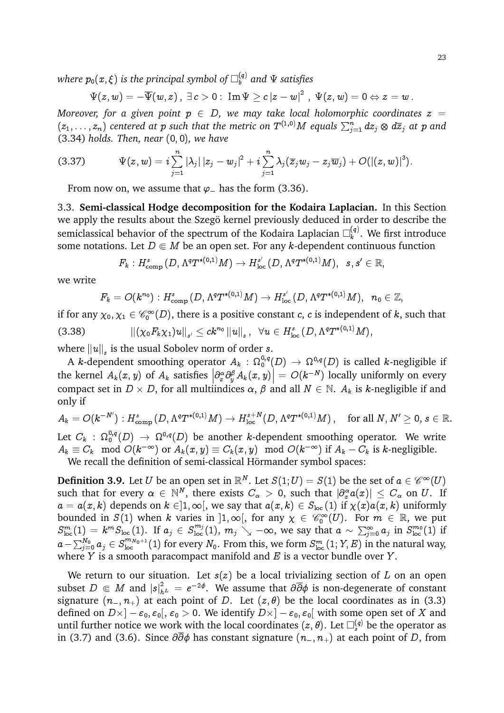where  $p_0(x,\xi)$  is the principal symbol of  $\square_b^{(q)}$  and  $\Psi$  satisfies

$$
\Psi(z,w)=-\overline{\Psi}(w,z)\,,\;\exists\,c>0:\;\mathrm{Im}\,\Psi\ge c\,|z-w|^2\,\,,\;\Psi(z,w)=0\Leftrightarrow z=w\,.
$$

*Moreover, for a given point*  $p \in D$ , we may take local holomorphic coordinates  $z =$  $(z_1,\ldots,z_n)$  centered at  $p$  such that the metric on  $T^{(1,0)}M$  equals  $\sum_{j=1}^n dz_j\otimes d\overline z_j$  at  $p$  and (3.34) *holds. Then, near* (0; 0)*, we have*

(3.37) 
$$
\Psi(z,w) = i \sum_{j=1}^n |\lambda_j| |z_j - w_j|^2 + i \sum_{j=1}^n \lambda_j (\overline{z}_j w_j - z_j \overline{w}_j) + O(|(z,w)|^3).
$$

From now on, we assume that  $\varphi$  has the form (3.36).

3.3. **Semi-classical Hodge decomposition for the Kodaira Laplacian.** In this Section we apply the results about the Szegö kernel previously deduced in order to describe the semiclassical behavior of the spectrum of the Kodaira Laplacian  $\square^{(q)}_k$  $k^{(q)}$ . We first introduce some notations. Let  $D \in M$  be an open set. For any k-dependent continuous function

$$
F_k:H^s_{\mathrm{comp}}\left(D,\Lambda^qT^{*(0,1)}M\right)\to H^{s'}_{\mathrm{loc}}\left(D,\Lambda^qT^{*(0,1)}M\right), \ \ s,s'\in\mathbb{R},
$$

we write

$$
F_k=O(k^{n_0}): H^{s}_\mathrm{comp}\left(D,\Lambda^q T^{*(0,1)}M\right)\rightarrow H^{s'}_\mathrm{loc}\left(D,\Lambda^q T^{*(0,1)}M\right),\;\;n_0\in\mathbb{Z},
$$

if for any  $\chi_0, \chi_1 \in {\mathscr{C}^\infty_0} (D),$  there is a positive constant  $c,$   $c$  is independent of  $k,$  such that  $\left\| (\chi_0 F_k \chi_1) u \right\|_{s'} \leq c k^{n_0} \left\| u \right\|_s, \;\; \forall u \in H^s_{\text{loc}}\left( D, \Lambda^q T^{*(0,1)} M \right),$ 

where  $\|u\|_{s}$  is the usual Sobolev norm of order s.

A  $k$ -dependent smoothing operator  $A_k\,:\,\Omega^{0,q}_0(D)\,\to\,\Omega^{0,q}(D)$  is called  $k$ -negligible if the kernel  $A_k(x, y)$  of  $A_k$  satisfies  $\left|\frac{\partial_x^{\alpha} \partial_y^{\beta} A_k(x, y)}{y}\right| = O(k^{-N})$  locally uniformly on every compact set in  $D \times D$ , for all multiindices  $\alpha$ ,  $\beta$  and all  $N \in \mathbb{N}$ .  $A_k$  is k-negligible if and only if

 $A_k=O(k^{-N^\prime}) : H^{s}_{\text{comp}}\left(D, \Lambda^q T^{*(0,1)}M\right) \rightarrow H^{s+N}_{\text{loc}}\left(D, \Lambda^q T^{*(0,1)}M\right), \quad \text{for all $N, N^\prime \geq 0$, $s \in \mathbb{R}$.}$ Let  $C_k$  :  $\Omega^{0,q}_0(D)$   $\to$   $\Omega^{0,q}(D)$  be another  $k$ -dependent smoothing operator. We write  $A_k\equiv C_k\mod O(k^{-\infty}) \text{ or } A_k(x,y)\equiv C_k(x,y)\mod O(k^{-\infty}) \text{ if } A_k-C_k \text{ is $k$-negligible.}$ We recall the definition of semi-classical Hörmander symbol spaces:

**Definition 3.9.** Let  $U$  be an open set in  $\mathbb{R}^N$ . Let  $S(1;U) = S(1)$  be the set of  $a \in \mathscr{C}^\infty(U)$ such that for every  $\alpha \in \mathbb{N}^N$ , there exists  $C_\alpha > 0$ , such that  $|\partial_x^\alpha a(x)| \leq C_\alpha$  on  $U$ . If  $a = a(x, k)$  depends on  $k \in ]1, \infty[$ , we say that  $a(x, k) \in S_{loc}(1)$  if  $\chi(x)a(x, k)$  uniformly bounded in  $S(1)$  when k varies in  $]1,\infty[$ , for any  $\chi \in \mathscr{C}_0^\infty(U).$  For  $m \in \mathbb{R}$ , we put  $S_{\text{loc}}^m(1) = k^m S_{\text{loc}}(1)$ . If  $a_j \in S_{\text{loc}}^{m_j}(1)$ ,  $m_j \searrow -\infty$ , we say that  $a \sim \sum_{j=0}^{\infty} a_j$  in  $S_{\text{loc}}^{m_0}(1)$  if  $a-\sum_{j=0}^{N_0}a_j\in S^{m_{N_0+1}}_{\rm loc}(1)$  for every  $N_0.$  From this, we form  $S^m_{\rm loc}(1;Y,E)$  in the natural way, where  $Y$  is a smooth paracompact manifold and  $E$  is a vector bundle over  $Y$ .

We return to our situation. Let  $s(z)$  be a local trivializing section of L on an open subset  $D\Subset M$  and  $|s|^2_{h^L}=e^{-2\phi}.$  We assume that  $\partial\overline{\partial}\phi$  is non-degenerate of constant signature  $(n_-, n_+)$  at each point of D. Let  $(z, \theta)$  be the local coordinates as in (3.3) defined on  $D\times ]-\varepsilon_0,\varepsilon_0[,\,\varepsilon_0>0.$  We identify  $D\times ]-\varepsilon_0,\varepsilon_0[$  with some open set of  $X$  and until further notice we work with the local coordinates  $(z, \theta)$ . Let  $\square_s^{(q)}$  be the operator as in (3.7) and (3.6). Since  $\partial \partial \phi$  has constant signature  $(n_-, n_+)$  at each point of D, from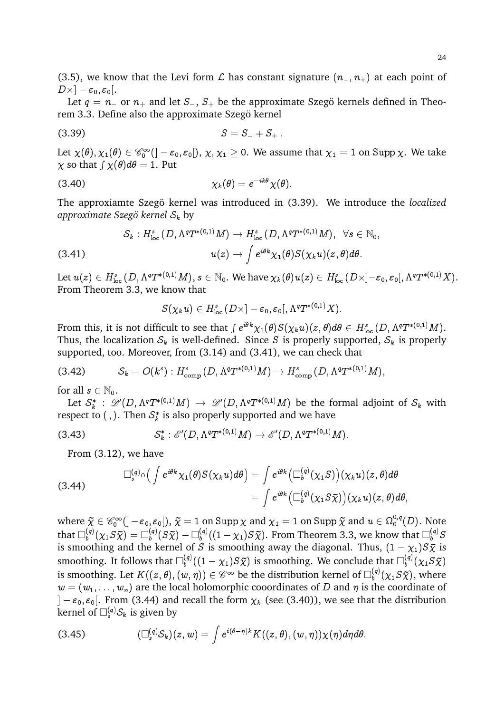(3.5), we know that the Levi form  $\mathcal L$  has constant signature  $(n_-, n_+)$  at each point of  $D\times ]-\varepsilon_0,\varepsilon_0[.$ 

Let  $q = n_{-}$  or  $n_{+}$  and let  $S_{-}$ ,  $S_{+}$  be the approximate Szegö kernels defined in Theorem 3.3. Define also the approximate Szegö kernel

$$
(3.39) \t\t S = S_- + S_+.
$$

Let  $\chi(\theta), \chi_1(\theta)\in{\mathscr{C}^\infty_0} (]-\varepsilon_0,\varepsilon_0[),\,\chi,\chi_1\geq 0.$  We assume that  $\chi_1=1$  on  $\mathrm{Supp}\,\chi.$  We take  $\chi$  so that  $\int \chi(\theta) d\theta = 1$ . Put

(3.40) 
$$
\chi_k(\theta) = e^{-ik\theta} \chi(\theta).
$$

The approxiamte Szegö kernel was introduced in (3.39). We introduce the *localized approximate Szego kernel ¨* S<sup>k</sup> by

$$
\begin{aligned} \mathcal{S}_k: H^s_{\text{loc}}\left(D, \Lambda^q T^{*(0,1)}M \right) &\to H^s_{\text{loc}}\left(D, \Lambda^q T^{*(0,1)}M \right), \ \ \forall s \in \mathbb{N}_0, \\ u(z) &\to \int e^{i\theta k} \chi_1(\theta) S(\chi_k u)(z,\theta) d\theta. \end{aligned}
$$

Let  $u(z)\in H^{s}_{\rm loc\,}(D,\Lambda^{q}T^{*(0,1)}M),$   $s\in \mathbb{N}_{0}.$  We have  $\chi_{k}(\theta)u(z)\in H^{s}_{\rm loc\,}(D\times ]-\varepsilon_{0},\varepsilon_{0}[,\Lambda^{q}T^{*(0,1)}X).$ From Theorem 3.3, we know that

$$
S(\chi_k u) \in H^s_{\text{loc}}\left(D\times ]-\varepsilon_0, \varepsilon_0[,\Lambda^qT^{\ast(0,1)}X).
$$

From this, it is not difficult to see that  $\int e^{i\theta k} \chi_1(\theta) S(\chi_k u)(z,\theta) d\theta \in H^s_{\rm loc}(D,\Lambda^q T^{*(0,1)}M).$ Thus, the localization  $S_k$  is well-defined. Since S is properly supported,  $S_k$  is properly supported, too. Moreover, from (3.14) and (3.41), we can check that

$$
(3.42) \tSk = O(ks) : Hcomps(D, \LambdaqT*(0,1)M) \rightarrow Hcomps(D, \LambdaqT*(0,1)M),
$$

for all  $s \in \mathbb{N}_0$ .

Let  $\mathcal{S}^*_k$  :  $\mathscr{D}'(D,\Lambda^qT^{*(0,1)}M) \,\to\, \mathscr{D}'(D,\Lambda^qT^{*(0,1)}M)$  be the formal adjoint of  $\mathcal{S}_k$  with respect to ( , ). Then  $\mathcal{S}_k^*$  is also properly supported and we have

$$
(3.43) \tS_k^* : \mathscr{E}'(D, \Lambda^q T^{*(0,1)}M) \to \mathscr{E}'(D, \Lambda^q T^{*(0,1)}M).
$$

From (3.12), we have

(3.44) 
$$
\Box_s^{(q)} \circ \big( \int e^{i\theta k} \chi_1(\theta) S(\chi_k u) d\theta \big) = \int e^{i\theta k} \big( \Box_b^{(q)}(\chi_1 S) \big) (\chi_k u)(z, \theta) d\theta = \int e^{i\theta k} \big( \Box_b^{(q)}(\chi_1 S \widetilde{\chi}) \big) (\chi_k u)(z, \theta) d\theta,
$$

where  $\tilde{\chi} \in \mathscr{C}_0^{\infty}(]-\varepsilon_0, \varepsilon_0[), \tilde{\chi} = 1$  on Supp  $\chi$  and  $\chi_1 = 1$  on Supp  $\tilde{\chi}$  and  $u \in \Omega_0^{0,q}(D)$ . Note that  $\Box_b^{(q)}$  $\mathcal{L}_b^{(q)}(\chi_1 S \widetilde{\chi}) = \Box_b^{(q)}$  $\mathbb{L}^{(q)}_b(S \widetilde{\chi}) - \square_b^{(q)}$  $\mathcal{L}_{b}^{(q)}((1-\chi_{1})S\tilde{\chi})$ . From Theorem 3.3, we know that  $\square_{b}^{(q)}S$ is smoothing and the kernel of S is smoothing away the diagonal. Thus,  $(1 - \chi_1)S\tilde{\chi}$  is smoothing. It follows that  $\Box_b^{(q)}$  $\mathcal{L}_{b}^{(q)}((1-\chi_{1})S\tilde{\chi})$  is smoothing. We conclude that  $\square_{b}^{(q)}$  $\delta_b^{(q)}(\chi_1 S \widetilde{\chi})$ is smoothing. Let  $K((z,\theta),(w,\eta)) \in \mathscr{C}^\infty$  be the distribution kernel of  $\square_b^{(q)}$  $b_1^{(q)}(\chi_1 S \widetilde{\chi})$ , where  $w = (w_1, \ldots, w_n)$  are the local holomorphic cooordinates of D and  $\eta$  is the coordinate of  $|-\varepsilon_0, \varepsilon_0|$ . From (3.44) and recall the form  $\chi_k$  (see (3.40)), we see that the distribution kernel of  $\square_s^{(q)}\mathcal{S}_k$  is given by

(3.45) 
$$
(\Box_s^{(q)}S_k)(z,w)=\int e^{i(\theta-\eta)k}K((z,\theta),(w,\eta))\chi(\eta)d\eta d\theta.
$$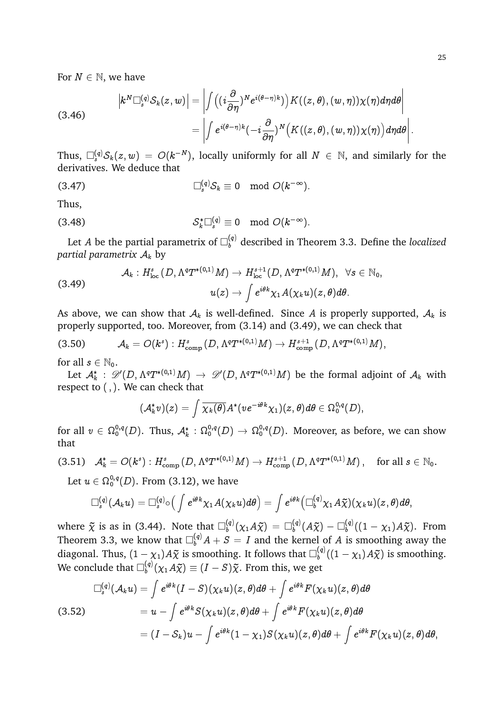For  $N \in \mathbb{N}$ , we have

(3.46) 
$$
\begin{aligned} \left| k^N \Box_s^{(q)} S_k(z,w) \right| &= \left| \int \left( (i\frac{\partial}{\partial \eta})^N e^{i(\theta-\eta)k} \right) K((z,\theta),(w,\eta)) \chi(\eta) d\eta d\theta \right| \\ &= \left| \int e^{i(\theta-\eta)k} (-i\frac{\partial}{\partial \eta})^N \left( K((z,\theta),(w,\eta)) \chi(\eta) \right) d\eta d\theta \right| . \end{aligned}
$$

Thus,  $\square^{(q)}_s\mathcal{S}_k(z,w) \ = \ O(k^{-N}),$  locally uniformly for all  $N \ \in \ \mathbb{N},$  and similarly for the derivatives. We deduce that

$$
\Box_s^{(q)} S_k \equiv 0 \mod O(k^{-\infty}).
$$

Thus,

$$
\mathcal{S}_k^* \square_s^{(q)} \equiv 0 \mod O(k^{-\infty}).
$$

Let  $A$  be the partial parametrix of  $\Box_{b}^{(q)}$  described in Theorem 3.3. Define the *localized partial parametrix*  $A_k$  by

$$
\mathcal{A}_k:H^s_{\rm loc}\left(D,\Lambda^qT^{*(0,1)}M\right)\to H^{s+1}_{\rm loc}(D,\Lambda^qT^{*(0,1)}M),\;\;\forall s\in\mathbb{N}_0,\\ u(z)\to\int e^{i\theta k}\chi_1A(\chi_ku)(z,\theta)d\theta.
$$

As above, we can show that  $A_k$  is well-defined. Since A is properly supported,  $A_k$  is properly supported, too. Moreover, from (3.14) and (3.49), we can check that

$$
(3.50) \t\t \mathcal{A}_k = O(k^s): H^s_{\text{comp}}(D, \Lambda^q T^{*(0,1)}M) \to H^{s+1}_{\text{comp}}(D, \Lambda^q T^{*(0,1)}M),
$$

for all  $s \in \mathbb{N}_0$ .

Let  $\mathcal{A}_k^*$  :  $\mathscr{D}'(D,\Lambda^qT^{*(0,1)}M)\,\to\,\mathscr{D}'(D,\Lambda^qT^{*(0,1)}M)$  be the formal adjoint of  $\mathcal{A}_k$  with respect to (;). We can check that

$$
(\mathcal{A}_k^*v)(z)=\int \overline{\chi_k(\theta)} A^*(v e^{-i\theta k}\chi_1)(z,\theta)d\theta\in \Omega_0^{0,q}(D),
$$

for all  $v\,\in\,\Omega_0^{0,q}(D).$  Thus,  $\mathcal{A}_k^*:\Omega_0^{0,q}(D)\to\Omega_0^{0,q}(D).$  Moreover, as before, we can show that

$$
(3.51) \quad \mathcal{A}_k^* = O(k^s): H^s_{\text{comp}}\left(D, \Lambda^q T^{*(0,1)}M\right) \to H^{s+1}_{\text{comp}}\left(D, \Lambda^q T^{*(0,1)}M\right), \quad \text{for all } s \in \mathbb{N}_0.
$$

Let  $u\in \Omega^{0,q}_0(D).$  From (3.12), we have

$$
\Box_s^{(q)}(\mathcal{A}_k u)=\Box_s^{(q)}\circ\big(\int e^{i\theta k}\chi_1 A(\chi_k u)d\theta\big)=\int e^{i\theta k}\big(\Box_b^{(q)}\chi_1 A\widetilde{\chi}\big)(\chi_k u)(z,\theta)d\theta,
$$

where  $\tilde{\chi}$  is as in (3.44). Note that  $\square_b^{(q)}$  $\mathcal{L}_b^{(q)}(\chi_1 A \widetilde{\chi}) \,=\, \Box_b^{(q)}$  $\mathcal{L}_b^{(q)}(A\widetilde{\chi}) - \Box_b^{(q)}$  $b^{(q)}((1-\chi_1)A\tilde{\chi})$ . From Theorem 3.3, we know that  $\Box_b^{(q)} A + S = I$  and the kernel of A is smoothing away the diagonal. Thus,  $(1 - \chi_1)A\tilde{\chi}$  is smoothing. It follows that  $\square_b^{(q)}$  $b^{(q)}((1-\chi_1)A\tilde{\chi})$  is smoothing. We conclude that  $\Box^{(q)}_b$  $\zeta_b^{(q)}(\chi_1 A \tilde{\chi}) \equiv (I - S) \tilde{\chi}$ . From this, we get

$$
\Box_s^{(q)}(\mathcal{A}_k u) = \int e^{i\theta k} (I - S)(\chi_k u)(z, \theta) d\theta + \int e^{i\theta k} F(\chi_k u)(z, \theta) d\theta
$$
  
(3.52)  

$$
= u - \int e^{i\theta k} S(\chi_k u)(z, \theta) d\theta + \int e^{i\theta k} F(\chi_k u)(z, \theta) d\theta
$$

$$
= (I - S_k)u - \int e^{i\theta k} (1 - \chi_1) S(\chi_k u)(z, \theta) d\theta + \int e^{i\theta k} F(\chi_k u)(z, \theta) d\theta,
$$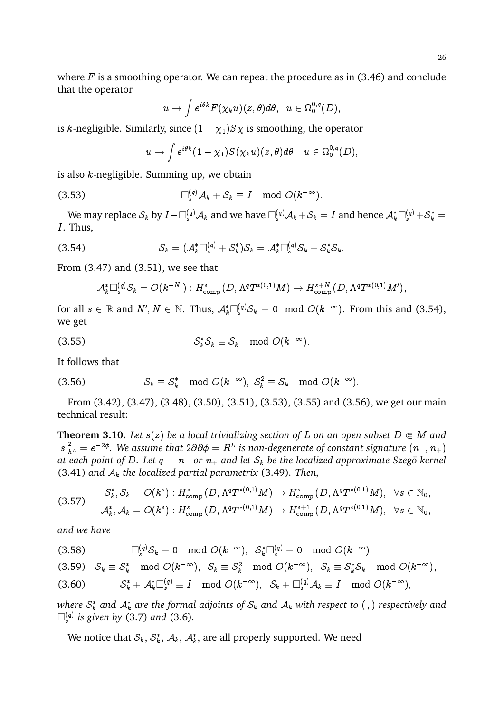where  $F$  is a smoothing operator. We can repeat the procedure as in (3.46) and conclude that the operator

$$
u\rightarrow \int e^{i\theta k}F(\chi_k u)(z,\theta)d\theta,\;\; u\in \Omega_0^{0,q}(D),
$$

is k-negligible. Similarly, since  $(1 - \chi_1)S\chi$  is smoothing, the operator

$$
u\rightarrow \int e^{i\theta k}(1-\chi_1)S(\chi_k u)(z,\theta)d\theta,\ \ u\in \Omega_0^{0,q}(D),
$$

is also  $k$ -negligible. Summing up, we obtain

$$
\Box_s^{(q)} \mathcal{A}_k + \mathcal{S}_k \equiv I \mod O(k^{-\infty}).
$$

We may replace  $\mathcal{S}_k$  by  $I-\Box_s^{(q)}\mathcal{A}_k$  and we have  $\Box_s^{(q)}\mathcal{A}_k+\mathcal{S}_k=I$  and hence  $\mathcal{A}_k^*\Box_s^{(q)}+\mathcal{S}_k^*=$ I. Thus,

(3.54) 
$$
\mathcal{S}_k = (\mathcal{A}_k^* \Box_s^{(q)} + \mathcal{S}_k^*) \mathcal{S}_k = \mathcal{A}_k^* \Box_s^{(q)} \mathcal{S}_k + \mathcal{S}_k^* \mathcal{S}_k.
$$

From (3.47) and (3.51), we see that

$$
\mathcal{A}_k^*\Box_s^{(q)}\mathcal{S}_k=O(k^{-N'}) : H^s_{\text{comp}}\left(D,\Lambda^q T^{*(0,1)}M\right) \to H^{s+N}_{\text{comp}}\left(D,\Lambda^q T^{*(0,1)}M'\right)\!,
$$

for all  $s \in \mathbb{R}$  and  $N', N \in \mathbb{N}$ . Thus,  $\mathcal{A}_k^*\Box_s^{(q)}\mathcal{S}_k \equiv 0 \mod O(k^{-\infty})$ . From this and (3.54), we get

$$
(3.55) \tSk* Sk \equiv Sk \mod O(k^{-\infty}).
$$

It follows that

(3.56) 
$$
\mathcal{S}_k \equiv \mathcal{S}_k^* \mod O(k^{-\infty}), \ \mathcal{S}_k^2 \equiv \mathcal{S}_k \mod O(k^{-\infty}).
$$

From (3.42), (3.47), (3.48), (3.50), (3.51), (3.53), (3.55) and (3.56), we get our main technical result:

**Theorem 3.10.** Let  $s(z)$  be a local trivializing section of L on an open subset  $D \in M$  and  $|s|^2_{h^L}=e^{-2\phi}.$  We assume that  $2\partial\overline{\partial}\phi=R^L$  is non-degenerate of constant signature  $(n_{-},n_{+})$ *at each point of D. Let*  $q = n_{-}$  *or*  $n_{+}$  *and let*  $S_k$  *be the localized approximate Szego kernel* (3.41) *and* A<sup>k</sup> *the localized partial parametrix* (3.49)*. Then,*

$$
\begin{aligned} \mathcal{S}_k^*, \mathcal{S}_k &= O(k^s): H^s_{\text{comp}}\left(D, \Lambda^q T^{*(0,1)}M \right) \rightarrow H^s_{\text{comp}}\left(D, \Lambda^q T^{*(0,1)}M\right), \hspace{0.2cm} \forall s \in \mathbb{N}_0, \\ \mathcal{A}_k^*, \mathcal{A}_k &= O(k^s): H^s_{\text{comp}}\left(D, \Lambda^q T^{*(0,1)}M \right) \rightarrow H^{s+1}_{\text{comp}}\left(D, \Lambda^q T^{*(0,1)}M\right), \hspace{0.2cm} \forall s \in \mathbb{N}_0, \end{aligned}
$$

*and we have*

$$
(3.58) \qquad \qquad \Box^{(q)}_s \mathcal{S}_k \equiv 0 \mod O(k^{-\infty}), \ \ \mathcal{S}^*_k \Box^{(q)}_s \equiv 0 \mod O(k^{-\infty}),
$$

$$
(3.59) \quad \mathcal{S}_k \equiv \mathcal{S}_k^* \mod O(k^{-\infty}), \quad \mathcal{S}_k \equiv \mathcal{S}_k^2 \mod O(k^{-\infty}), \quad \mathcal{S}_k \equiv \mathcal{S}_k^* \mathcal{S}_k \mod O(k^{-\infty}),
$$

 $\mathcal{S}^*_k + \mathcal{A}^*_k \square^{(q)}_s \equiv I \mod O(k^{-\infty}), \hspace{0.2cm} \mathcal{S}_k + \square^{(q)}_s \mathcal{A}_k \equiv I \mod O(k^{-\infty}),$ 

where  $\mathcal{S}_k^*$  and  $\mathcal{A}_k^*$  are the formal adjoints of  $\mathcal{S}_k$  and  $\mathcal{A}_k$  with respect to  $($  ,  $)$  respectively and  $\square_s^{(q)}$  is given by (3.7) and (3.6).

We notice that  $\mathcal{S}_k, \, \mathcal{S}^*_k, \, \mathcal{A}_k, \, \mathcal{A}^*_k,$  are all properly supported. We need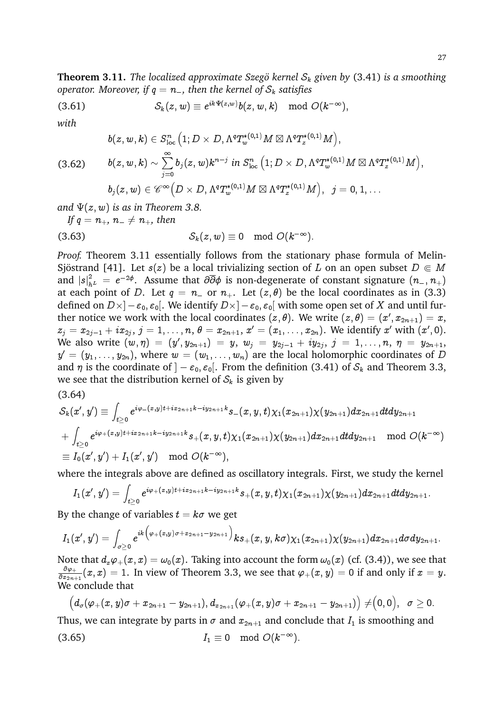**Theorem 3.11.** *The localized approximate Szegö kernel*  $S_k$  *given by* (3.41) *is a smoothing operator. Moreover, if*  $q = n_-,$  then the kernel of  $S_k$  satisfies

(3.61) 
$$
S_k(z,w) \equiv e^{ik\Psi(z,w)}b(z,w,k) \mod O(k^{-\infty}),
$$

*with*

$$
\begin{aligned} b(z,w,k)&\in S^n_{\text{loc}}\left(1; D\times D, \Lambda^q T_w^{*(0,1)}M\boxtimes \Lambda^q T_z^{*(0,1)}M\right),\\ (3.62)&\hspace{1em}b(z,w,k)&\sim \sum\limits_{j=0}^\infty b_j(z,w)k^{n-j}\hspace{1em}\text{in}\hspace{1em} S^n_{\text{loc}}\left(1; D\times D, \Lambda^q T_w^{*(0,1)}M\boxtimes \Lambda^q T_z^{*(0,1)}M\right),\\ b_j(z,w)&\in{\mathscr{C}^\infty}\Big(D\times D, \Lambda^q T_w^{*(0,1)}M\boxtimes \Lambda^q T_z^{*(0,1)}M\Big),\hspace{1em}j=0,1,\ldots\end{aligned}
$$

*and*  $\Psi(z, w)$  *is as in Theorem 3.8.* 

*If*  $q = n_+, n_- \neq n_+$ , then

$$
(3.63) \tSk(z, w) \equiv 0 \mod O(k^{-\infty}).
$$

*Proof.* Theorem 3.11 essentially follows from the stationary phase formula of Melin-Sjöstrand [41]. Let  $s(z)$  be a local trivializing section of L on an open subset  $D \in M$ and  $|s|^2_{h^L}$  =  $e^{-2\phi}.$  Assume that  $\partial\overline{\partial}\phi$  is non-degenerate of constant signature  $(n_-,n_+)$ at each point of D. Let  $q = n_{-}$  or  $n_{+}$ . Let  $(z, \theta)$  be the local coordinates as in (3.3) defined on  $D\times ]-\varepsilon_0,\varepsilon_0[.$  We identify  $D\times ]-\varepsilon_0,\varepsilon_0[$  with some open set of  $X$  and until further notice we work with the local coordinates  $(z, \theta).$  We write  $(z, \theta) = (x', x_{2n+1}) = x,$  $z_j=x_{2j-1}+ix_{2j},\,j=1,\ldots,n,$   $\theta=x_{2n+1},$   $x'=(x_1,\ldots,x_{2n}).$  We identify  $x'$  with  $(x',0).$ We also write  $(w,\eta) \ = \ (y',y_{2n+1}) \ = \ y,\ w_{j} \ = \ y_{2j-1} \ + \ iy_{2j},\ j \ = \ 1,\ldots,n,\ \eta \ = \ y_{2n+1},$  $y'=(y_1,\ldots,y_{2n}),$  where  $w=(w_1,\ldots,w_n)$  are the local holomorphic coordinates of  $D$ and  $\eta$  is the coordinate of  $]-\varepsilon_0, \varepsilon_0[$ . From the definition (3.41) of  $S_k$  and Theorem 3.3, we see that the distribution kernel of  $S_k$  is given by

(3.64)

$$
\begin{aligned} & \mathcal{S}_k(x',y')\equiv \int_{t\geq 0} e^{i\varphi_-(x,y)t+ix_{2n+1}k-iy_{2n+1}k}s_-(x,y,t)\chi_1(x_{2n+1})\chi(y_{2n+1})dx_{2n+1}dtdy_{2n+1} \\ & + \int_{t\geq 0} e^{i\varphi_+(x,y)t+ix_{2n+1}k-iy_{2n+1}k}s_+(x,y,t)\chi_1(x_{2n+1})\chi(y_{2n+1})dx_{2n+1}dtdy_{2n+1} \mod O(k^{-\infty}) \\ & \equiv I_0(x',y')+I_1(x',y') \mod O(k^{-\infty}), \end{aligned}
$$

where the integrals above are defined as oscillatory integrals. First, we study the kernel

$$
I_1(x',y')=\int_{t\geq 0} e^{i\varphi_+(x,y)t+ix_{2n+1}k-iy_{2n+1}k}s_+(x,y,t)\chi_1(x_{2n+1})\chi(y_{2n+1})dx_{2n+1}dtdy_{2n+1}.
$$

By the change of variables  $t = k\sigma$  we get

$$
I_1(x',y')=\int_{\sigma\geq 0}e^{ik\big(\varphi_+(x,y)\sigma+x_{2n+1}-y_{2n+1}\big)}\, k s_+(x,y,k\sigma)\chi_1(x_{2n+1})\chi(y_{2n+1}) dx_{2n+1} d\sigma dy_{2n+1}.
$$

Note that  $d_x\varphi_+(x,x) = \omega_0(x)$ . Taking into account the form  $\omega_0(x)$  (cf. (3.4)), we see that  $\partial \varphi_+$  $\frac{\partial \varphi_+}{\partial x_{2n+1}}(x,x) = 1.$  In view of Theorem 3.3, we see that  $\varphi_+(x,y) = 0$  if and only if  $x = y.$ We conclude that

$$
\big( d_\sigma(\varphi_+(x,y)\sigma + x_{2n+1}-y_{2n+1}), d_{x_{2n+1}}(\varphi_+(x,y)\sigma + x_{2n+1}-y_{2n+1})\big)\neq \bigr(0,0),\;\;\sigma\geq 0.
$$

Thus, we can integrate by parts in  $\sigma$  and  $x_{2n+1}$  and conclude that  $I_1$  is smoothing and

$$
(3.65) \t I_1 \equiv 0 \mod O(k^{-\infty}).
$$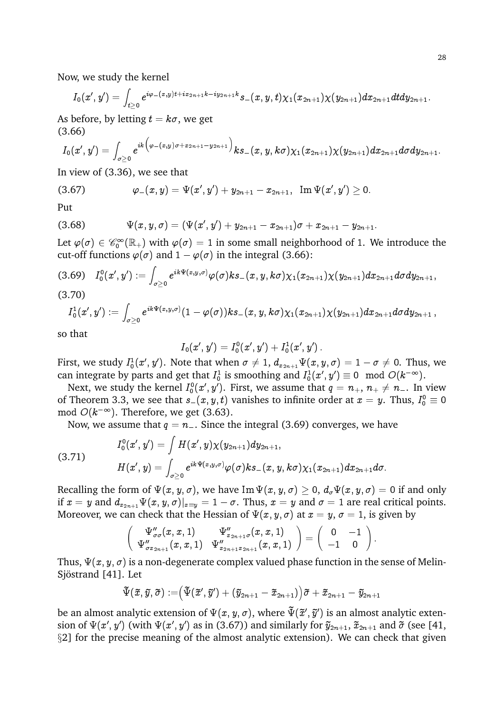Now, we study the kernel

$$
I_0(x',y')=\int_{t\geq 0} e^{i\varphi_-(x,y)t+ix_{2n+1}k-iy_{2n+1}k}s_-(x,y,t)\chi_1(x_{2n+1})\chi(y_{2n+1})dx_{2n+1}dtdy_{2n+1}.
$$

As before, by letting  $t = k\sigma$ , we get (3.66)

$$
I_0(x',y')=\int_{\sigma\geq 0}e^{ik\big(\varphi_-(x,y)\sigma+x_{2n+1}-y_{2n+1}\big)}k s_-(x,y,k\sigma)\chi_1(x_{2n+1})\chi(y_{2n+1})dx_{2n+1} d\sigma dy_{2n+1}.
$$

In view of (3.36), we see that

$$
(3.67) \t\t \t\t \varphi_-(x,y)=\Psi(x',y')+y_{2n+1}-x_{2n+1}, \ \ {\rm Im \ } \Psi(x',y')\geq 0.
$$

Put

$$
(3.68) \t\Psi(x,y,\sigma)=(\Psi(x',y')+y_{2n+1}-x_{2n+1})\sigma+x_{2n+1}-y_{2n+1}.
$$

Let  $\varphi(\sigma) \in \mathscr{C}_0^{\infty}(\mathbb{R}_+)$  with  $\varphi(\sigma) = 1$  in some small neighborhood of 1. We introduce the cut-off functions  $\varphi(\sigma)$  and  $1 - \varphi(\sigma)$  in the integral (3.66):

$$
(3.69)\quad I_0^0(x',y'):=\int_{\sigma\geq 0}e^{ik\Psi(x,y,\sigma)}\varphi(\sigma)ks_-(x,y,k\sigma)\chi_1(x_{2n+1})\chi(y_{2n+1})dx_{2n+1}d\sigma dy_{2n+1},
$$

 $(3.70)$ 

$$
I_0^1(x',y'):=\int_{\sigma\geq 0}e^{ik\Psi(x,y,\sigma)}(1-\varphi(\sigma))k s_-(x,y,k\sigma)\chi_1(x_{2n+1})\chi(y_{2n+1})dx_{2n+1}d\sigma dy_{2n+1}\,,
$$

so that

$$
I_0(x',y')=I_0^0(x',y')+I_0^1(x',y')\,.
$$

First, we study  $I_0^1(x',y').$  Note that when  $\sigma\neq 1,$   $d_{x_{2n+1}}\Psi(x,y,\sigma)=1-\sigma\neq 0.$  Thus, we can integrate by parts and get that  $I_0^1$  is smoothing and  $I_0^1(x',y')\equiv 0\mod O(k^{-\infty}).$ 

Next, we study the kernel  $I^0_0(x',y')$ . First, we assume that  $q=n_+,\,n_+\neq n_-.$  In view of Theorem 3.3, we see that  $s_-(x, y, t)$  vanishes to infinite order at  $x = y.$  Thus,  $I^0_0 \equiv 0$ mod  $O(k^{-\infty})$ . Therefore, we get (3.63).

Now, we assume that  $q = n_{-}$ . Since the integral (3.69) converges, we have

(3.71)

$$
\begin{aligned} &I_0^0(x',y')=\int H(x',y)\chi(y_{2n+1})dy_{2n+1},\\ &H(x',y)=\int_{\sigma\geq 0}e^{ik\Psi(x,y,\sigma)}\varphi(\sigma)ks_-(x,y,k\sigma)\chi_1(x_{2n+1})dx_{2n+1}d\sigma.\end{aligned}
$$

Recalling the form of  $\Psi(x, y, \sigma)$ , we have Im  $\Psi(x, y, \sigma) \geq 0$ ,  $d_{\sigma} \Psi(x, y, \sigma) = 0$  if and only if  $x = y$  and  $d_{x_{2n+1}}\Psi(x, y, \sigma)|_{x=y} = 1 - \sigma$ . Thus,  $x = y$  and  $\sigma = 1$  are real critical points. Moreover, we can check that the Hessian of  $\Psi(x, y, \sigma)$  at  $x = y, \sigma = 1$ , is given by

$$
\left(\begin{array}{cc} \Psi_{\sigma\sigma}''(x,x,1) & \Psi_{x_{2n+1}\sigma}''(x,x,1) \\ \Psi_{\sigma x_{2n+1}}''(x,x,1) & \Psi_{x_{2n+1}x_{2n+1}}''(x,x,1) \end{array}\right)=\left(\begin{array}{cc} 0 & -1 \\ -1 & 0 \end{array}\right).
$$

Thus,  $\Psi(x, y, \sigma)$  is a non-degenerate complex valued phase function in the sense of Melin-Sjöstrand [41]. Let

$$
\displaystyle \widetilde{\Psi}(\widetilde{x},\widetilde{y},\widetilde{\sigma}):=\bigr(\widetilde{\Psi}(\widetilde{x}',\widetilde{y}')+\bigr(\widetilde{y}_{2n+1}-\widetilde{x}_{2n+1}\bigl)\bigr)\widetilde{\sigma}+\widetilde{x}_{2n+1}-\widetilde{y}_{2n+1}
$$

be an almost analytic extension of  $\Psi(x, y, \sigma)$ , where  $\tilde{\Psi}(\tilde{x}', \tilde{y}')$  is an almost analytic extension of  $\Psi(x', y')$  (with  $\Psi(x', y')$  as in (3.67)) and similarly for  $\tilde{y}_{2n+1}$ ,  $\tilde{x}_{2n+1}$  and  $\tilde{\sigma}$  (see [41, §2] for the precise meaning of the almost analytic extension). We can check that given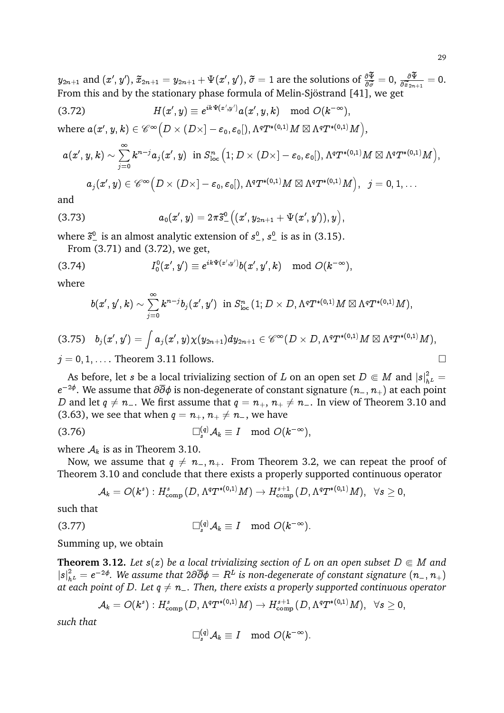$y_{2n+1}$  and  $(x',y'),$   $\tilde{x}_{2n+1}=y_{2n+1}+\Psi(x',y'),$   $\tilde{\sigma}=1$  are the solutions of  $\frac{\partial \Psi}{\partial \widetilde{\sigma}}=0,$   $\frac{\partial \Psi}{\partial \widetilde{x}_{2n}}$ From this and by the stationary phase formula of Melin-Sjöstrand [41], we get  $\frac{\partial x_{2n+1}}{\partial x_1}$  $= 0.$ 

$$
(3.72) \tH(x',y) \equiv e^{ik\Psi(x',y')}a(x',y,k) \mod O(k^{-\infty}),
$$

where  $a(x',y,k)\in \mathscr{C}^{\infty}\bigl(D\times (D\times ]-\varepsilon_0,\varepsilon_0[),\Lambda^qT^{*(0,1)}M\boxtimes \Lambda^qT^{*(0,1)}M\bigr),$ 

$$
\begin{array}{ll} a(x',y,k) \sim \sum\limits_{j=0}^{\infty} k^{n-j} a_j(x',y) \ \text{ in } S^n_{\text{loc}} \big(1; D \times (D \times ]-\varepsilon_0, \varepsilon_0[), \Lambda^q T^{*(0,1)} M \boxtimes \Lambda^q T^{*(0,1)} M \big),\\[2mm] a_j(x',y) \in \mathscr{C}^{\infty}\big(D \times (D \times ]-\varepsilon_0, \varepsilon_0[), \Lambda^q T^{*(0,1)} M \boxtimes \Lambda^q T^{*(0,1)} M \big), & j=0,1,\dots \end{array}
$$

and

(3.73) 
$$
a_0(x',y)=2\pi\tilde{s}^0_-\big((x',y_{2n+1}+\Psi(x',y')),y\big),
$$

where  $\tilde{s}^0$  is an almost analytic extension of  $s^0$ ,  $s^0$  is as in (3.15).

From (3.71) and (3.72), we get,

$$
(3.74) \tI_0^0(x',y')\equiv e^{ik\Psi(x',y')}b(x',y',k)\mod O(k^{-\infty}),
$$

where

$$
b(x',y',k)\sim\sum_{j=0}^\infty k^{n-j}b_j(x',y')\ \ \text{in}\ S^n_{\text{loc}}\left(1;D\times D,\Lambda^qT^{*(0,1)}M\boxtimes\Lambda^qT^{*(0,1)}M\right),
$$

$$
\begin{aligned} & (3.75) \quad b_j(x',y') = \int a_j(x',y) \chi(y_{2n+1}) dy_{2n+1} \in \mathscr{C}^{\infty}(D \times D, \Lambda^q T^{*(0,1)} M \boxtimes \Lambda^q T^{*(0,1)} M), \\ & j = 0,1,\ldots. \text{ Theorem 3.11 follows.} \end{aligned}
$$

As before, let s be a local trivializing section of L on an open set  $D \Subset M$  and  $|s|^2_{h^L} =$  $e^{-2\phi}.$  We assume that  $\partial\overline{\partial}\phi$  is non-degenerate of constant signature  $(n_{-},n_{+})$  at each point D and let  $q \neq n_{-}$ . We first assume that  $q = n_{+}, n_{+} \neq n_{-}$ . In view of Theorem 3.10 and (3.63), we see that when  $q = n_+, n_+ \neq n_-,$  we have

(3.76)  $S_s^{(q)}{\mathcal{A}}_k \equiv I \mod O(k^{-\infty}),$ 

where  $A_k$  is as in Theorem 3.10.

Now, we assume that  $q \neq n_{-}, n_{+}$ . From Theorem 3.2, we can repeat the proof of Theorem 3.10 and conclude that there exists a properly supported continuous operator

$$
\mathcal{A}_k=O(k^s): H^s_{\textup{comp}}\left(D,\Lambda^q T^{*(0,1)}M\right)\rightarrow H^{s+1}_{\textup{comp}}\left(D,\Lambda^q T^{*(0,1)}M\right), \;\;\forall s\geq 0,
$$

such that

$$
\Box_s^{(q)}\mathcal{A}_k \equiv I \mod O(k^{-\infty}).
$$

Summing up, we obtain

**Theorem 3.12.** Let  $s(z)$  be a local trivializing section of L on an open subset  $D \in M$  and  $|s|^2_{h^L}=e^{-2\phi}.$  We assume that  $2\partial\overline{\partial}\phi=R^L$  is non-degenerate of constant signature  $(n_{-},n_{+})$ *at each point of D. Let*  $q \neq n_{-}$ . Then, there exists a properly supported continuous operator

$$
\mathcal{A}_k = O(k^s): H^s_{\text{comp}}\left(D, \Lambda^q T^{*(0,1)}M\right) \to H^{s+1}_{\text{comp}}\left(D, \Lambda^q T^{*(0,1)}M\right), \;\;\forall s \geq 0,
$$

*such that*

$$
\Box_s^{(q)}{\mathcal A}_k \equiv I \mod O(k^{-\infty}).
$$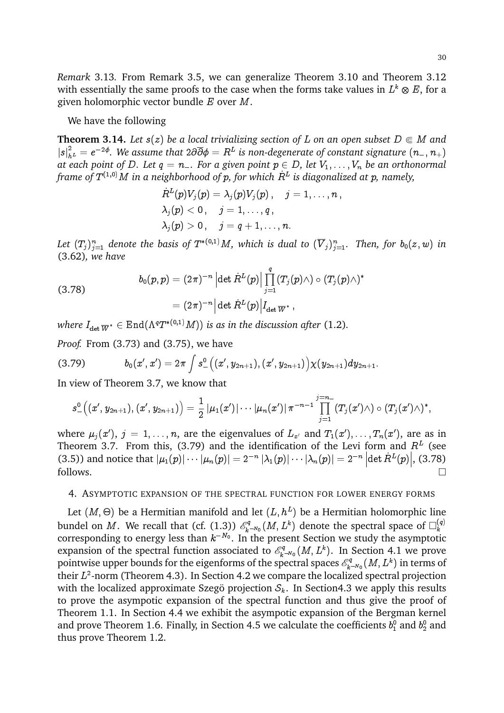*Remark* 3.13*.* From Remark 3.5, we can generalize Theorem 3.10 and Theorem 3.12 with essentially the same proofs to the case when the forms take values in  $L^k\otimes E,$  for a given holomorphic vector bundle  $E$  over  $M$ .

We have the following

**Theorem 3.14.** Let  $s(z)$  be a local trivializing section of L on an open subset  $D \in M$  and  $|s|^2_{h^L}=e^{-2\phi}.$  We assume that  $2\partial\overline{\partial}\phi=R^L$  is non-degenerate of constant signature  $(n_{-},n_{+})$ at each point of D. Let  $q = n_-$ . For a given point  $p \in D$ , let  $V_1, \ldots, V_n$  be an orthonormal *frame of* T (1;0)M *in a neighborhood of* p*, for which* R\_ <sup>L</sup> *is diagonalized at* p*, namely,*

$$
\begin{aligned} &\dot{R}^L(p)V_j(p)=\lambda_j(p)V_j(p)\,,\quad j=1,\ldots,n\,,\\ &\lambda_j(p)<0\,,\quad j=1,\ldots,q\,,\\ &\lambda_j(p)>0\,,\quad j=q+1,\ldots,n. \end{aligned}
$$

Let  $(T_j)_{j=1}^n$  denote the basis of  $T^{*(0,1)}M$ , which is dual to  $(\overline{V}_j)_{j=1}^n.$  Then, for  $b_0(z,w)$  in (3.62)*, we have*

$$
\begin{aligned} b_0(p,p)&=(2\pi)^{-n}\left|\det \dot{R}^L(p)\right|\prod_{j=1}^q(T_j(p)\wedge)\circ (T_j(p)\wedge)^*\\&=(2\pi)^{-n}\Big|\det \dot{R}^L(p)\Big|I_{\det \overline{W}^*}\,,\end{aligned}
$$

where  $I_{\text{det}} \overline{w}^* \in \text{End}(\Lambda^q T^{*(0,1)}M))$  is as in the discussion after (1.2).

*Proof.* From (3.73) and (3.75), we have

$$
(3.79) \hspace{3.1em} b_0(x',x')=2\pi\int s^0_-\big((x',y_{2n+1}),(x',y_{2n+1})\big)\chi(y_{2n+1})dy_{2n+1}.
$$

In view of Theorem 3.7, we know that

$$
s_{-}^{0}\big((x',y_{2n+1}),(x',y_{2n+1})\big) = \frac{1}{2}\left|\mu_1(x')\right|\cdots\left|\mu_n(x')\right| \pi^{-n-1} \prod_{j=1}^{j=n-} (T_j(x') \wedge) \circ (T_j(x') \wedge)^*,
$$

where  $\mu_j(x'),$   $j = 1, \ldots, n$ , are the eigenvalues of  $L_{x'}$  and  $T_1(x'), \ldots, T_n(x'),$  are as in Theorem 3.7. From this, (3.79) and the identification of the Levi form and  $R<sup>L</sup>$  (see (3.5)) and notice that  $|\mu_1(p)| \cdots |\mu_n(p)| = 2^{-n} |\lambda_1(p)| \cdots |\lambda_n(p)| = 2^{-n} |\text{det } R^L(p)|$ , (3.78)  $\Box$  follows.

### 4. ASYMPTOTIC EXPANSION OF THE SPECTRAL FUNCTION FOR LOWER ENERGY FORMS

Let  $(M, \Theta)$  be a Hermitian manifold and let  $(L, h^L)$  be a Hermitian holomorphic line bundel on M. We recall that (cf.  $(1.3)$ )  $\mathcal{E}_k^q$  $\mathbb{R}^q_{k^{-N_0}}(M,L^k)$  denote the spectral space of  $\square_k^{(q)}$ k corresponding to energy less than  $k^{-N_0}$ . In the present Section we study the asymptotic expansion of the spectral function associated to  $\mathscr{E}_k^q$  $\mathbb{R}^{\mathbb{P}^q}_{k^{-N_0}}(M,L^k).$  In Section 4.1 we prove pointwise upper bounds for the eigenforms of the spectral spaces  $\mathscr{E}_k^q$  $\mathbb{R}^{^q}_{k^{-N_0}}(M,L^k)$  in terms of their  $L^2$ -norm (Theorem 4.3). In Section 4.2 we compare the localized spectral projection with the localized approximate Szegö projection  $S_k$ . In Section4.3 we apply this results to prove the asympotic expansion of the spectral function and thus give the proof of Theorem 1.1. In Section 4.4 we exhibit the asympotic expansion of the Bergman kernel and prove Theorem 1.6. Finally, in Section 4.5 we calculate the coefficients  $b_1^0$  and  $b_2^0$  and thus prove Theorem 1.2.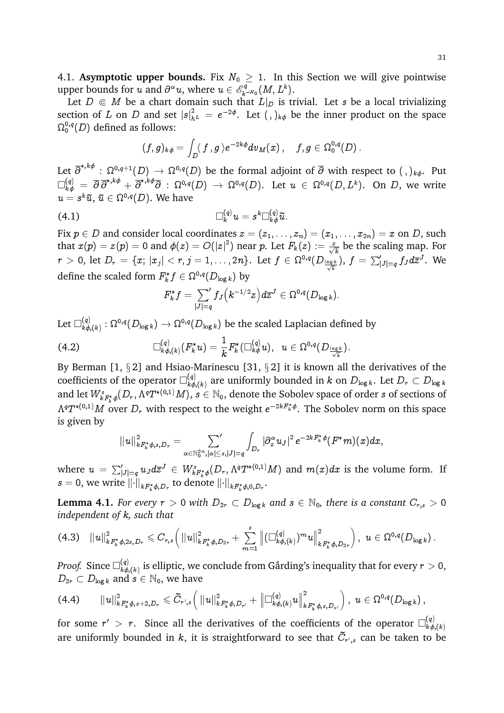4.1. **Asymptotic upper bounds.** Fix  $N_0 \geq 1$ . In this Section we will give pointwise upper bounds for u and  $\partial^{\alpha} u$ , where  $u \in \mathscr{E}_k^q$  $_{k}^{\circ q}$   $(M,L^{k}).$ 

Let  $D \in M$  be a chart domain such that  $L|_D$  is trivial. Let s be a local trivializing section of L on D and set  $|s|^2_{h^L} = e^{-2\phi}$ . Let  $( , )_{k\phi}$  be the inner product on the space  $\Omega^{0,q}_0(D)$  defined as follows:

$$
(f,g)_{k\phi}=\int_D \langle\, f\,,g\,\rangle e^{-2k\phi}dv_M(x)\,,\quad \, f,g\in\Omega^{0,q}_0(D)\,.
$$

Let  $\overline\partial^{*,k\phi}:\Omega^{0,q+1}(D)\to\Omega^{0,q}(D)$  be the formal adjoint of  $\overline\partial$  with respect to  $( \, , \,)_{{k\phi}}.$  Put  $\Box^{(q)}_{k\phi} \ =\ \overline{\partial}\, \overline{\partial}^{*,k\phi} + \overline{\partial}^{*,k\phi} \overline{\partial} \ : \ \Omega^{0,q}(D) \ \rightarrow \ \Omega^{0,q}(D). \ \ \text{Let} \ \ u \ \in \ \Omega^{0,q}(D,L^k). \ \ \text{On} \ \ D, \text{ we write}$  $u=s^k\tilde u,\,\tilde u\in\Omega^{0,q}(D).$  We have

$$
\Box_k^{(q)} u = s^k \Box_{k \phi}^{(q)} \tilde{u}.
$$

Fix  $p \in D$  and consider local coordinates  $z = (z_1, \ldots, z_n) = (x_1, \ldots, x_{2n}) = x$  on D, such that  $x(p) = z(p) = 0$  and  $\phi(z) = O(|z|^2)$  near  $p$ . Let  $F_k(z) := \frac{z}{\sqrt{k}}$  be the scaling map. For  $r\,>\,0, \text{ let } D_r\,=\,\{x; \,|x_j| < r, j=1,\ldots,2n\}. \,\text{ Let } f\, \in \, \Omega^{0,q}(D_{\frac{\log k}{\sqrt{k}}}), \, f\,=\, \sum_{|J|=q}' f_J d\overline{z}^J. \,\text{ We }$ define the scaled form  $F^*_k f \in \Omega^{0,q}(D_{\log k})$  by

$$
F_k^*f=\textstyle\sum\limits_{|J|=q}{}'f_J\big(k^{-1/2}z\big)d\overline{z}^J\in\Omega^{0,q}(D_{\log k}).
$$

Let  $\Box^{(q)}_{k\phi}$  $\chi_{k\phi,(k)}^{(q)}:\Omega^{0,q}(D_{\log k})\to \Omega^{0,q}(D_{\log k})$  be the scaled Laplacian defined by

$$
(4.2) \qquad \qquad \Box^{(q)}_{k\phi,(k)}(F_k^*u)=\frac{1}{k}F_k^*(\Box^{(q)}_{k\phi}u), \;\; u\in \Omega^{0,q}(D_{\frac{\log k}{\sqrt{k}}}).
$$

By Berman [1,  $\S 2$ ] and Hsiao-Marinescu [31,  $\S 2$ ] it is known all the derivatives of the coefficients of the operator  $\Box_{k\phi}^{(q)}$  $\mathcal{L}^{(q)}_{k\phi, (k)}$  are uniformly bounded in  $k$  on  $D_{\log k}$ . Let  $D_r \subset D_{\log k}$ and let  $W^s_{kF^*_k\phi}(D_r,\Lambda^qT^{*(0,1)}M),$   $s\in\mathbb{N}_0,$  denote the Sobolev space of order  $s$  of sections of  $\Lambda^qT^{*(0,1)}M$  over  $D_r$  with respect to the weight  $e^{-2kF_k^*\phi}.$  The Sobolev norm on this space is given by

$$
\|u\|_{kF_k^*\phi,s, D_r}^2 = \sum_{\alpha \in \mathbb{N}_0^{2n}, |\alpha| \leq s, |J| = q} \int_{D_r} |\partial_x^{\alpha} u_J|^2 \, e^{-2kF_k^*\phi}(F^*m)(x) dx,
$$

where  $u\,=\, \sum_{|J|=q}^{\prime}u_Jd\overline z^J \,\in\, W^s_{kF^*_k\phi}(D_r,\Lambda^qT^{*(0,1)}M)$  and  $m(x)dx$  is the volume form. If  $s=0,$  we write  $\lVert \cdot \rVert_{kF_k^*\phi,D_r}$  to denote  $\lVert \cdot \rVert_{kF_k^*\phi,0,D_r}.$ 

**Lemma 4.1.** *For every*  $r > 0$  *with*  $D_{2r} \subset D_{\log k}$  *and*  $s \in \mathbb{N}_0$ *, there is a constant*  $C_{r,s} > 0$ *independent of* k*, such that*

$$
(4.3)\quad \|u\|_{kF_k^*\phi,2s,D_r}^2\leqslant C_{r,s}\Big(\left\|u\right\|_{kF_k^*\phi,D_{2r}}^2+\sum_{m=1}^s\left\|(\Box^{(q)}_{k\phi,(k)})^mu\right\|_{kF_k^*\phi,D_{2r}}^2\Big)\,,\,\,u\in\Omega^{0,q}(D_{\log k})\,.
$$

*Proof.* Since  $\Box_{k,\phi}^{(q)}$  $\chi^{(q)}_{k\phi,(k)}$  is elliptic, we conclude from Gårding's inequality that for every  $r>0,$  $D_{2r} \subset D_{\log k}$  and  $s \in \mathbb{N}_0$ , we have

$$
(4.4) \qquad \|u\|_{kF_k^*\phi,s+2,D_\tau}^2\leqslant \widetilde{C}_{r',s}\Big(\|u\|_{kF_k^*\phi,D_{r'}}^2+\left\|\Box^{(q)}_{k\phi,(k)}u\right\|_{kF_k^*\phi,s,D_{r'}}^2\Big)\,,\,\, u\in \Omega^{0,q}(D_{\log k})\,,
$$

for some  $r' > r$ . Since all the derivatives of the coefficients of the operator  $\Box_{k\phi}^{(q)}$  $k\phi, (k)$ are uniformly bounded in  $k$ , it is straightforward to see that  $\tilde{C}_{r',s}$  can be taken to be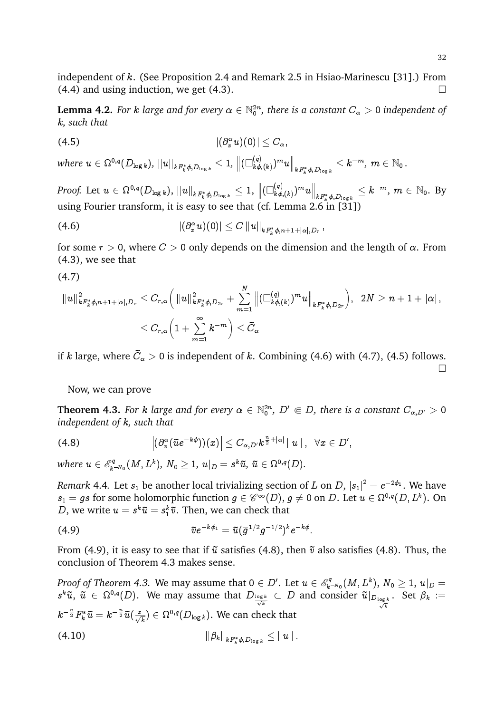**Lemma 4.2.** For  $k$  large and for every  $\alpha \in \mathbb{N}_0^{2n}$ , there is a constant  $C_\alpha > 0$  independent of k*, such that*

$$
|(4.5) \qquad \qquad |(\partial_x^{\alpha} u)(0)| \leq C_{\alpha},
$$

where  $u\in \Omega^{0,q}(D_{\log k}),\, \|u\|_{kF_k^*\phi, D_{\log k}}\leq 1,\, \big\|(\Box^{(q)}_{k\phi}$  $_{(q)}^{(q)}{_{k\phi,(k)}})^{m}u\Big\|_{kF_{k}^{*}\phi,D_{\log k}}\leq k^{-m},\,m\in\mathbb{N}_{0}\,.$ 

 $\emph{Proof. Let $u\in \Omega^{0,q}(D_{\log k}),\, \|u\|_{kF_k^*\phi, D_{\log k}}\leq 1,\, \left\|(\Box^{(q)}_{k\phi})\right\|_p\leq 1$}$  $\left\Vert \frac{f(x)}{f(x)}\right\Vert _{kF_{k}^{\ast}\phi,D_{\log k}}\leq k^{-m},\,m\,\in\,\mathbb{N}_{0}. \,\,\mathrm{By}$ using Fourier transform, it is easy to see that (cf. Lemma 2.6 in  $\binom{31}{2}$ )

$$
|(A.6)\qquad \qquad |(\partial_{x}^{\alpha}u)(0)|\leq C\, \|u\|_{kF_k^*\phi, n+1+|\alpha|, D_r}\,,
$$

for some  $r > 0$ , where  $C > 0$  only depends on the dimension and the length of  $\alpha$ . From (4.3), we see that

$$
(4.7)
$$

$$
\begin{aligned} \|u\|_{kF_k^*\phi, n+1+|\alpha|, D_r}^2 & \leq C_{r,\alpha} \Big( \left\|u\right\|_{kF_k^*\phi, D_{2r}}^2 + \sum_{m=1}^N \left\|(\Box^{(q)}_{k\phi,(k)})^m u\right\|_{kF_k^*\phi, D_{2r}}\Big), ~~ 2N \geq n+1+|\alpha| \,, \\ & \leq C_{r,\alpha} \Big(1+\sum_{m=1}^\infty k^{-m}\Big) \leq \tilde{C}_\alpha \end{aligned}
$$

if  $k$  large, where  $\tilde{C}_{\alpha} > 0$  is independent of  $k$ . Combining (4.6) with (4.7), (4.5) follows.  $\Box$ 

## Now, we can prove

**Theorem 4.3.** For k large and for every  $\alpha \in \mathbb{N}_0^{2n}$ ,  $D' \Subset D$ , there is a constant  $C_{\alpha,D'} > 0$ *independent of* k*, such that*

$$
(4.8) \qquad \qquad \left|(\partial_{x}^{\alpha}(\tilde{u}e^{-k\phi}))(x)\right| \leq C_{\alpha,D'}k^{\frac{n}{2}+|\alpha|}\left\|u\right\|,\;\;\forall x\in D',
$$

where  $u \in \mathscr{E}_k^q$  $\mathbb{E}_{k^{-N_0}}^q(M,L^k), \ N_0 \geq 1, \ u|_D = s^k \widetilde{u}, \ \widetilde{u} \in \Omega^{0,q}(D).$ 

*Remark* 4.4. Let  $s_1$  be another local trivializing section of  $L$  on  $D,$   $|s_1|^2 = e^{-2\phi_1}.$  We have  $s_1=gs$  for some holomorphic function  $g\in \mathscr{C}^\infty(D),$   $g\neq 0$  on  $D.$  Let  $u\in \Omega^{0,q}(D,L^k).$  On D, we write  $u = s^k \tilde{u} = s_1^k \tilde{v}$ . Then, we can check that

(4.9) 
$$
\tilde{v}e^{-k\phi_1} = \tilde{u}(\overline{g}^{1/2}g^{-1/2})^k e^{-k\phi}.
$$

From (4.9), it is easy to see that if  $\tilde{u}$  satisfies (4.8), then  $\tilde{v}$  also satisfies (4.8). Thus, the conclusion of Theorem 4.3 makes sense.

*Proof of Theorem 4.3.* We may assume that  $0 \in D'$ . Let  $u \in \mathscr{E}_k^q$  $\mathbb{E}_{k^{-N_0}}^{\mathbb{P}^q}(M,L^k), \ N_0 \geq 1, \ u|_D = 0$  $s^k\tilde u,\ \tilde u\,\in\,\Omega^{0,q}(D).$  We may assume that  $D_\frac{\log k}{\sqrt{k}}\, \subset\, D$  and consider  $\tilde u|_{D_\frac{\log k}{\sqrt{k}}}$ . Set  $\beta_k :=$  $k^{-\frac{n}{2}}F^*_k\widetilde{u}=k^{-\frac{n}{2}}\widetilde{u}(\frac{x}{\sqrt{k}})\in \Omega^{0,q}(D_{\log k}).$  We can check that

(4.10) 
$$
\|\beta_k\|_{k F_k^* \phi, D_{\log k}} \leq \|u\|.
$$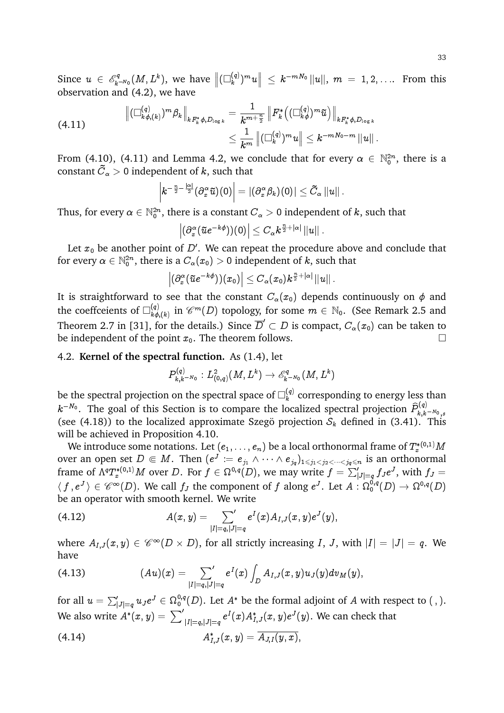Since  $u \in \mathscr{E}_k^q$  $\mathbb{R}^{\mathbb{P}^q_{k-N_0}}(M,L^k),$  we have  $\left\|(\Box^{(q)}_k)\right\|$  $\| \overset{(q)}{\|_{k}}\| ^{m}u\big\| \ \leq \ k^{-mN_{0}}\, \| u\| ,\; m\; =\; 1,2,\ldots \; \text{ From this}$ observation and (4.2), we have

$$
\begin{aligned} \left\|(\Box^{(q)}_{k\phi,(k)})^m \beta_k \right\|_{kF_k^*\phi,D_{\log k}} &= \frac{1}{k^{m+\frac{n}{2}}} \left\| F_k^*\big((\Box^{(q)}_{k\phi})^m \widetilde{u} \big) \right\|_{kF_k^*\phi,D_{\log k}} \\ & \leq \frac{1}{k^m} \left\|(\Box^{(q)}_{k})^m u \right\| \leq k^{-mN_0-m} \left\| u \right\| . \end{aligned}
$$

From (4.10), (4.11) and Lemma 4.2, we conclude that for every  $\alpha \in \mathbb{N}_0^{2n}$ , there is a constant  $C_\alpha>0$  independent of  $k,$  such that

$$
\left|k^{-\frac{n}{2}-\frac{|\alpha|}{2}}(\partial_x^\alpha \widetilde{u})(0)\right| = |(\partial_x^\alpha \beta_k)(0)| \leq \tilde{C}_\alpha \left\|u\right\|.
$$

Thus, for every  $\alpha\in\mathbb{N}_0^{2n},$  there is a constant  $C_\alpha>0$  independent of  $k,$  such that

$$
\left|(\partial_x^\alpha(\tilde{u}e^{-k\phi}))(0)\right|\leq C_\alpha k^{\frac{n}{2}+|\alpha|}\left\|u\right\|.
$$

Let  $x_0$  be another point of  $D^{\prime}.$  We can repeat the procedure above and conclude that for every  $\alpha\in\mathbb{N}_0^{2n},$  there is a  $C_\alpha(x_0)>$  0 independent of  $k,$  such that

$$
\left|(\partial_x^\alpha(\tilde u e^{-k\phi}))(x_0)\right|\leq C_\alpha(x_0)k^{\frac{n}{2}+|\alpha|}\left\|u\right\|.
$$

It is straightforward to see that the constant  $C_{\alpha}(x_0)$  depends continuously on  $\phi$  and the coeffceients of  $\square_{k,\phi}^{(q)}$  $\mathcal{E}^{(q)}_{k\phi, (k)}$  in  $\mathscr{C}^{m}(D)$  topology, for some  $m\, \in \, \mathbb{N}_{0}.$  (See Remark 2.5 and Theorem 2.7 in [31], for the details.) Since  $\overline{D}'\subset D$  is compact,  $C_\alpha(x_0)$  can be taken to be independent of the point  $x_0$ . The theorem follows.

# 4.2. **Kernel of the spectral function.** As (1.4), let

$$
P^{(q)}_{k,k-N_0}: L^2_{(0,q)}(M,L^k) \to \mathscr{E}^q_{k-N_0}(M,L^k)
$$

be the spectral projection on the spectral space of  $\square^{(q)}_k$  $k^{(q)}$  corresponding to energy less than  $k^{-N_0}.$  The goal of this Section is to compare the localized spectral projection  $\widehat{P}_{k,k}^{(q)}$  $k,k^{-N_0}$  , s (see (4.18)) to the localized approximate Szegö projection  $S_k$  defined in (3.41). This will be achieved in Proposition 4.10.

We introduce some notations. Let  $(e_1,\ldots,e_n)$  be a local orthonormal frame of  $T^{*(0,1)}_xM$ over an open set  $D \Subset M$ . Then  $(e^J := e_{j_1} \wedge \cdots \wedge e_{j_q})_{1 \leq j_1 < j_2 < \cdots < j_q \leq n}$  is an orthonormal frame of  $\Lambda^qT^{*(0,1)}_xM$  over  $D.$  For  $f\in \Omega^{0,q}(D),$  we may write  $f=\sum_{|J|=q}'f_Je^J,$  with  $f_J=$  $\langle ~f ~,e^J ~\rangle \in \mathscr{C}^\infty(D).$  We call  $f_J$  the component of  $f$  along  $e^J.$  Let  $A$  :  $\Omega^{0,q}_0(D) \to \Omega^{0,q}(D)$ be an operator with smooth kernel. We write

(4.12) 
$$
A(x,y) = \sum_{|I|=q,|J|=q} e^{I}(x) A_{I,J}(x,y) e^{J}(y),
$$

where  $A_{I,J}(x,y)\in \mathscr{C}^\infty(D\times D),$  for all strictly increasing  $I,~J,$  with  $|I|=|J|=q.$  We have

(4.13) 
$$
(Au)(x) = \sum_{|I|=q,|J|=q} e^I(x) \int_D A_{I,J}(x,y) u_J(y) dv_M(y),
$$

for all  $u=\sum_{|J|=q}^{\prime}u_Je^J\in\Omega^{0,q}_0(D).$  Let  $A^*$  be the formal adjoint of  $A$  with respect to ( , ). We also write  $A^*(x,y)=\left.\sum'\right|_{|I|=q,|J|=q}e^I(x)A^*_{I,J}(x,y)e^J(y).$  We can check that

(4.14) 
$$
A_{I,J}^*(x,y) = \overline{A_{J,I}(y,x)},
$$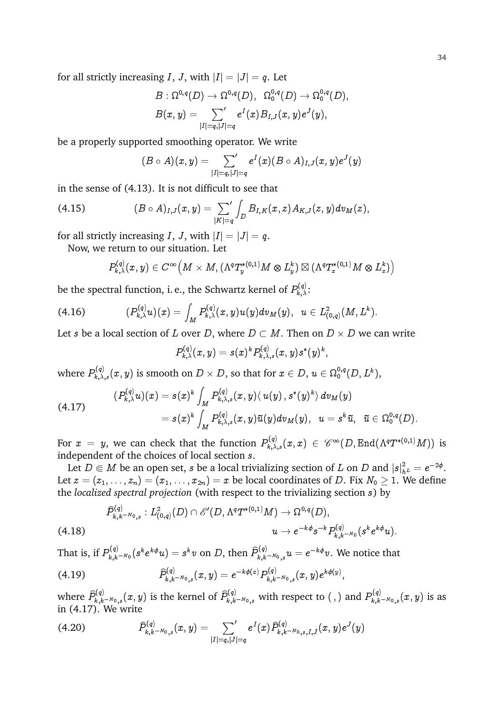for all strictly increasing I, J, with  $|I| = |J| = q$ . Let

$$
\begin{aligned} B:\Omega^{0,q}(D) &\to \Omega^{0,q}(D), \;\; \Omega^{0,q}_0(D) \to \Omega^{0,q}_0(D), \\ B(x,y) &= \sum_{|I|=q,|J|=q} e^I(x) B_{I,J}(x,y) e^J(y), \end{aligned}
$$

be a properly supported smoothing operator. We write

$$
(B\circ A)(x,y)=\textstyle\sum\limits_{|I|=q,|J|=q}e^I(x)(B\circ A)_{I,J}(x,y)e^J(y)
$$

in the sense of (4.13). It is not difficult to see that

(4.15) 
$$
(B \circ A)_{I,J}(x,y) = \sum_{|K|=q} \int_D B_{I,K}(x,z) A_{K,J}(z,y) dv_M(z),
$$

for all strictly increasing I, J, with  $|I| = |J| = q$ .

Now, we return to our situation. Let

$$
P_{k,\lambda}^{(q)}(x,y)\in C^\infty\Big(M\times M,(\Lambda^qT^{*(0,1)}_yM\otimes L_y^k)\boxtimes (\Lambda^qT^{*(0,1)}_xM\otimes L_x^k)\Big)
$$

be the spectral function, i. e., the Schwartz kernel of  $P_{k,\lambda}^{(q)}$ :

(4.16) (P (q) k;u)(x) = <sup>Z</sup> M P (q) k;(x; y)u(y)dvM(y); u 2 L 2 (0;q) (M; L<sup>k</sup> ):

Let  $s$  be a local section of  $L$  over  $D,$  where  $D\subset M.$  Then on  $D\times D$  we can write

$$
P_{k,\lambda}^{(q)}(x,y)=s(x)^kP_{k,\lambda,s}^{(q)}(x,y)s^*(y)^k,
$$

where  $P_{k,\lambda,s}^{(q)}(x,y)$  is smooth on  $D\times D,$  so that for  $x\in D,\,u\in \Omega_0^{0,q}(D,L^k),$ 

$$
(P_{k,\lambda}^{(q)}u)(x) = s(x)^k \int_M P_{k,\lambda,s}^{(q)}(x,y) \langle u(y), s^*(y)^k \rangle dv_M(y) = s(x)^k \int_M P_{k,\lambda,s}^{(q)}(x,y) \tilde{u}(y) dv_M(y), \ \ u = s^k \tilde{u}, \ \ \tilde{u} \in \Omega_0^{0,q}(D).
$$

For  $x~=~y,$  we can check that the function  $P_{k,\lambda,s}^{(q)}(x,x)~\in~\mathscr{C}^\infty(D,\text{End}(\Lambda^qT^{*(0,1)}M))$  is independent of the choices of local section s.

Let  $D\Subset M$  be an open set,  $s$  be a local trivializing section of  $L$  on  $D$  and  $|s|^2_{h^L}=e^{-2\phi}.$ Let  $z = (z_1, \ldots, z_n) = (x_1, \ldots, x_{2n}) = x$  be local coordinates of D. Fix  $N_0 \ge 1$ . We define the *localized spectral projection* (with respect to the trivializing section s) by

$$
\begin{aligned} \widehat{P}_{k,k-N_{0},s}^{(q)}: L^2_{(0,q)}(D)\cap \mathscr{E}'(D,\Lambda^qT^{*(0,1)}M) &\to \Omega^{0,q}(D), \\ u &\to e^{-k\phi}s^{-k}P_{k,k-N_{0}}^{(q)}(s^ke^{k\phi}u). \end{aligned}
$$

That is, if  $P_{k,k}^{(q)}$  $\hat{p}_{k,k-N_0}^{(q)}(s^ke^{k\phi}u)=s^k v \text{ on } D \text{, then } \widehat{P}_{k,k}^{(q)}$  $\hat{g}_{k,k-N_0}^{(q)}$  ,  $u=e^{-k\phi}v.$  We notice that

$$
(4.19) \t\t\t\t\t\widehat{P}_{k,k^{-N_0},s}^{(q)}(x,y)=e^{-k\phi(x)}P_{k,k^{-N_0},s}^{(q)}(x,y)e^{k\phi(y)},
$$

where  $\widehat{P}_{k,k}^{(q)}$  $\hat{P}_{k,k^{-N_0},s}^{(q)}(x,y)$  is the kernel of  $\widehat{P}_{k,k^{-N_0},s}^{(q)}$  with respect to ( , ) and  $P_{k,k}^{(q)}$  $k_{k,k^{-N_0},s}^{(q)}(x,y)$  is as in (4.17). We write

$$
(4.20) \t\t \widehat{P}_{k,k-N_0,s}^{(q)}(x,y) = \sum_{|I|=q,|J|=q} e^I(x) \widehat{P}_{k,k-N_0,s,I,J}^{(q)}(x,y) e^J(y)
$$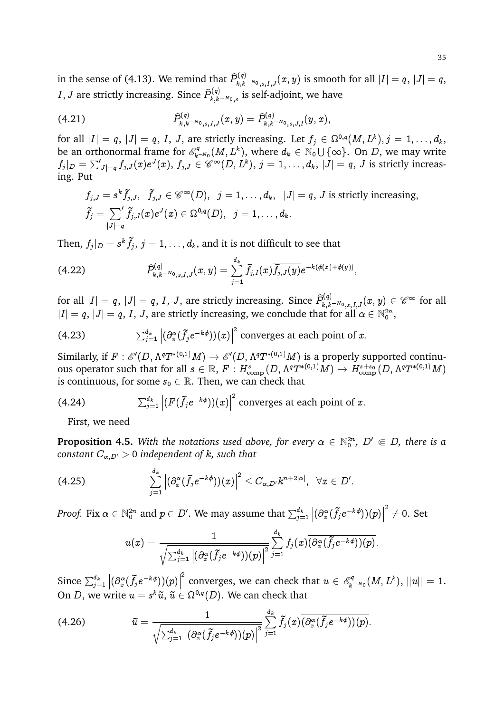in the sense of (4.13). We remind that  $\widehat{P}_{k,k^{-N_0},s,I,J}^{(q)}(x,y)$  is smooth for all  $|I|=q,$   $|J|=q,$  $I,J$  are strictly increasing. Since  $\widehat{P}_{k,k}^{(q)}$  $\sum_{k,k=N_0\,,s}^{N_q(j)}$  is self-adjoint, we have

$$
\widehat{P}_{k,k^{-N_0},s,I,J}^{(q)}(x,y)=\widehat{P}_{k,k^{-N_0},s,J,I}^{(q)}(y,x),
$$

for all  $|I|=q,~|J|=q,~I,~J,$  are strictly increasing. Let  $f_j\in \Omega^{0,q}(M,L^k), j=1,\ldots,d_k,$ be an orthonormal frame for  $\mathscr{E}_k^q$  $\mathbb{R}^q_{k^{-N_0}}(M,L^k),$  where  $d_k\in\mathbb{N}_0\cup\{\infty\}.$  On  $D,$  we may write  $f_j|_D=\sum_{|J|=q}^{\prime}f_{j,J}(x)e^J(x),\,f_{j,J}\in \mathscr{C}^{\infty}(D,L^k),\,j=1,\ldots,d_k,\,|J|=q,\,J$  is strictly increasing. Put

$$
\begin{aligned} &f_{j,J}=s^k\widetilde{f}_{j,J},~~\widetilde{f}_{j,J}\in \mathscr{C}^\infty(D),~~j=1,\ldots,d_k,~~|J|=q,~J~\text{is strictly increasing},\\ &\widetilde{f}_j=\sum_{|J|=q}{}^{'}\widetilde{f}_{j,J}(x)e^J(x)\in \Omega^{0,q}(D),~~j=1,\ldots,d_k. \end{aligned}
$$

Then,  $f_j|_D = s^k \tilde{f}_j,\, j=1,\ldots,d_k,$  and it is not difficult to see that

$$
(4.22) \qquad \qquad \widehat{P}_{k,k^{-N_0},s,I,J}^{(q)}(x,y)=\sum_{j=1}^{d_k} \tilde{f}_{j,I}(x)\overline{\tilde{f}_{j,J}(y)}e^{-k(\phi(x)+\phi(y))},
$$

for all  $|I|=q,~|J|=q,~I,~J,$  are strictly increasing. Since  $\widehat{P}_{k,k-N_{0,s,I,J}}^{(q)}(x,y)\in\mathscr{C}^\infty$  for all  $|I|=q, |J|=q, I, J,$  are strictly increasing, we conclude that for all  $\alpha \in \mathbb{N}_0^{2n},$ 

(4.23) 
$$
\sum_{j=1}^{d_k} \left| (\partial_x^{\alpha} (\tilde{f}_j e^{-k\phi})) (x) \right|^2
$$
 converges at each point of x.

Similarly, if  $F:\mathscr{E}'(D,\Lambda^qT^{*(0,1)}M)\to \mathscr{E}'(D,\Lambda^qT^{*(0,1)}M)$  is a properly supported continuous operator such that for all  $s\in\mathbb R,$   $F: H^s_{\rm comp}(D,\Lambda^qT^{*(0,1)}M)\to H^{s+s_0}_{\rm comp}(D,\Lambda^qT^{*(0,1)}M)$ is continuous, for some  $s_0 \in \mathbb{R}$ . Then, we can check that

(4.24) 
$$
\sum_{j=1}^{d_k} \left| (F(\tilde{f}_j e^{-k\phi})) (x) \right|^2
$$
 converges at each point of x.

First, we need

**Proposition 4.5.** With the notations used above, for every  $\alpha \in \mathbb{N}_0^{2n}$ ,  $D' \Subset D$ , there is a *constant*  $C_{\alpha,D'} > 0$  *independent of k, such that* 

$$
(4.25) \qquad \qquad \sum_{j=1}^{d_k} \left|(\partial_x^{\alpha}(\tilde{f_j}e^{-k\phi}))(x)\right|^2 \leq C_{\alpha,D'}k^{n+2|\alpha|}, \;\;\forall x\in D'.
$$

*Proof.* Fix  $\alpha \in \mathbb{N}_0^{2n}$  and  $p \in D'.$  We may assume that  $\sum_{j=1}^{d_k}$  $\left|(\partial_x^\alpha (\tilde{f}_j e^{-k\phi})) (p)\right|$  $2^2 \neq 0$ . Set

$$
u(x)=\frac{1}{\sqrt{\sum_{j=1}^{d_k}\left|(\partial_x^{\alpha}(\widetilde{f}_je^{-k\phi}))(p)\right|^2}}\sum_{j=1}^{d_k}f_j(x)\overline{(\partial_x^{\alpha}(\widetilde{f}_je^{-k\phi}))(p)}.
$$

Since  $\sum_{j=1}^{d_k}$  $\left|(\partial_x^\alpha (\tilde{f_j} e^{-k\phi})) (p)\right|$  $\overset{\text{\rm{2}}}{ }$  converges, we can check that  $u \in \mathscr{E}_{\bm{k}}^q$  $\mathbb{E}_{k^{-N_0}}^{*q}(M,L^k),\, \|u\|=1.$ On D, we write  $u = s^k \tilde{u}$ ,  $\tilde{u} \in \Omega^{0,q}(D)$ . We can check that

$$
(4.26) \t\t \tilde{u} = \frac{1}{\sqrt{\sum_{j=1}^{d_k} \left| \left( \partial_x^{\alpha} (\tilde{f}_j e^{-k\phi}) \right)(p) \right|^2}} \sum_{j=1}^{d_k} \tilde{f}_j(x) \overline{(\partial_x^{\alpha} (\tilde{f}_j e^{-k\phi}))}(p)}.
$$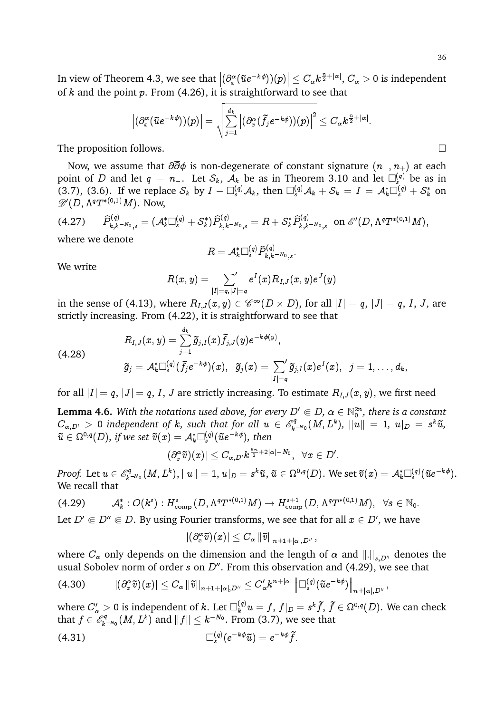In view of Theorem 4.3, we see that  $\left| \left( \partial_x^{\alpha} (\tilde{u}e^{-k\phi})) (p) \right| \leq C_{\alpha} k^{\frac{n}{2} + |\alpha|}, C_{\alpha} > 0$  is independent of  $k$  and the point  $p$ . From (4.26), it is straightforward to see that

$$
\left|(\partial_x^\alpha(\tilde{u}e^{-k\phi}))(p)\right|=\sqrt{\sum_{j=1}^{d_k}\left|(\partial_x^\alpha(\tilde{f}_je^{-k\phi}))(p)\right|^2}\leq C_\alpha k^{\frac{n}{2}+|\alpha|}.
$$

The proposition follows.  $\Box$ 

Now, we assume that  $\partial \overline{\partial} \phi$  is non-degenerate of constant signature  $(n_-, n_+)$  at each point of D and let  $q = n_-\$ . Let  $\mathcal{S}_k$ ,  $\mathcal{A}_k$  be as in Theorem 3.10 and let  $\square_s^{(q)}$  be as in (3.7), (3.6). If we replace  $S_k$  by  $I - \Box_s^{(q)} \mathcal{A}_k$ , then  $\Box_s^{(q)} \mathcal{A}_k + S_k = I = \mathcal{A}_k^* \Box_s^{(q)} + S_k^*$  on  $\mathscr{D}'(D,\Lambda^qT^{\ast(0,1)}M).$  Now,

$$
(4.27) \quad \widehat{P}_{k,k-N_{0,s}}^{(q)} = (\mathcal{A}_k^* \square_s^{(q)} + \mathcal{S}_k^*) \widehat{P}_{k,k-N_{0,s}}^{(q)} = R + \mathcal{S}_k^* \widehat{P}_{k,k-N_{0,s}}^{(q)} \text{ on } \mathscr{E}'(D, \Lambda^q T^{*(0,1)} M),
$$
 where we denote

$$
R=\mathcal{A}_k^*\Box_s^{(q)}\widehat{P}_{k,k^{-N_0},s}^{(q)}.
$$

We write

$$
R(x,y) = \mathop{{\sum}'}_{|I|=q,|J|=q} e^I(x) R_{I,J}(x,y) e^J(y)
$$

in the sense of (4.13), where  $R_{I,J}(x,y)\in \mathscr{C}^\infty(D\times D),$  for all  $|I|=q,$   $|J|=q,$   $I,$   $J,$  are strictly increasing. From (4.22), it is straightforward to see that

$$
R_{I,J}(x,y)=\sum_{j=1}^{d_k} \widetilde{g}_{j,I}(x)\widetilde{f}_{j,J}(y)e^{-k\phi(y)},\\ \widetilde{g}_j=\mathcal{A}_k^*\Box_s^{(q)}(\widetilde{f}_je^{-k\phi})(x),\;\; \widetilde{g}_j(x)=\sum_{|I|=q}^{'} \widetilde{g}_{j,I}(x)e^I(x),\;\; j=1,\ldots,d_k,
$$

for all  $|I| = q$ ,  $|J| = q$ , I, J are strictly increasing. To estimate  $R_{I,J}(x, y)$ , we first need

**Lemma 4.6.** With the notations used above, for every  $D' \Subset D$ ,  $\alpha \in \mathbb{N}_0^{2n}$ , there is a constant  $C_{\alpha,D'}$   $>$  0 independent of  $k$ , such that for all  $u \, \in \, \mathscr{E}^q_k$  $\|u\|^{\circ q}_{k^{-N_0}}(M,L^k),\,\,\|u\|\ =\ 1,\,\,u|_D\ =\ s^k\widetilde{u},$  $\tilde{u}\in \Omega^{0,q}(D)$ , if we set  $\tilde{v}(x)=\mathcal{A}_k^*\Box_s^{(q)}(\tilde{u}e^{-k\phi}),$  then

$$
|(\partial_x^\alpha \widetilde{v})(x)|\leq C_{\alpha,D'}k^{\frac{5n}{2}+2|\alpha|-N_0},\;\;\forall x\in D'.
$$

*Proof.* Let  $u \in \mathscr{E}_k^q$  $\mathbb{E}_{k^{-N_0}}^q(M,L^k), \|u\|=1, \, u|_D=s^k\widetilde{u}, \, \widetilde{u}\in \Omega^{0,q}(D). \text{ We set } \widetilde{v}(x)=\mathcal{A}_k^*\Box_s^{(q)}(\widetilde{u}e^{-k\phi}).$ We recall that

$$
(4.29) \t\t \mathcal{A}_{k}^{*}: O(k^{s}): H^{s}_{\text{comp}}(D, \Lambda^{q}T^{*(0,1)}M) \rightarrow H^{s+1}_{\text{comp}}(D, \Lambda^{q}T^{*(0,1)}M), \ \ \forall s \in \mathbb{N}_{0}.
$$

Let  $D' \Subset D'' \Subset D$ . By using Fourier transforms, we see that for all  $x \in D'$ , we have

 $\left|(\partial_{x}^{\alpha}\tilde{v})(x)\right|\leq C_{\alpha}\left\|\tilde{v}\right\|_{n+1+\left|\alpha\right|,D^{''}}$  ,

where  $C_{\alpha}$  only depends on the dimension and the length of  $\alpha$  and  $\left\| . \right\|_{s,D^{\prime\prime}}$  denotes the usual Sobolev norm of order s on  $D^{\prime\prime}$ . From this observation and (4.29), we see that

$$
(4.30) \qquad \quad |(\partial_x^\alpha \tilde v)(x)|\leq C_\alpha\left\|\tilde v\right\|_{n+1+|\alpha|,D''}\leq C_\alpha'k^{n+|\alpha|}\left\|\Box_s^{(q)}(\tilde u e^{-k\phi})\right\|_{n+|\alpha|,D''},
$$

where  $C'_\alpha>0$  is independent of  $k.$  Let  $\Box^{(q)}_ku=f,$   $f|_D=s^k\tilde f,$   $\tilde f\in\Omega^{0,q}(D).$  We can check that  $f \in \mathscr{E}_k^q$  $\mathbb{R}^{\mathbb{R}^d}_{k^{-N_0}}(M,L^k)$  and  $\|f\| \leq k^{-N_0}.$  From (3.7), we see that

(4.31) 
$$
\Box_s^{(q)}(e^{-k\phi}\tilde{u})=e^{-k\phi}\tilde{f}.
$$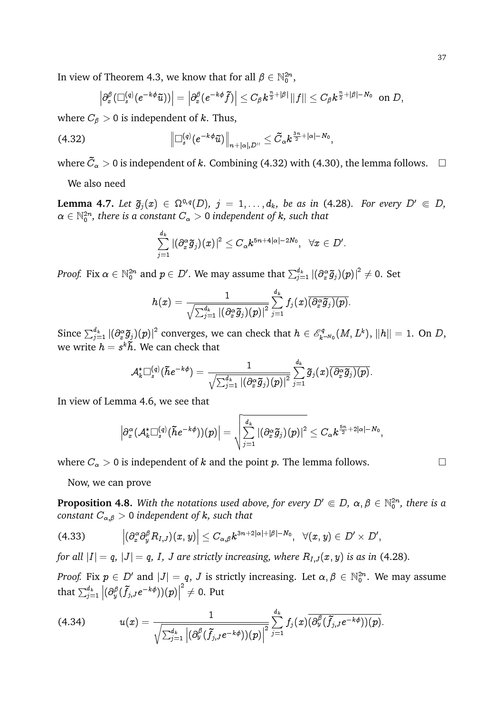In view of Theorem 4.3, we know that for all  $\beta \in \mathbb{N}_0^{2n}$ ,

$$
\left|\partial_x^\beta (\Box_s^{(q)}(e^{-k\phi}\tilde u))\right|=\left|\partial_x^\beta (e^{-k\phi}\tilde f)\right|\leq C_\beta k^{\frac{n}{2}+|\beta|}\|f\|\leq C_\beta k^{\frac{n}{2}+|\beta|-N_0}\ \ \text{on}\ D,
$$

where  $C_{\beta} > 0$  is independent of k. Thus,

$$
(4.32) \t\t \t\t \left\| \Box_s^{(q)} (e^{-k\phi}\tilde{u}) \right\|_{n+|\alpha|,D''} \leq \tilde{C}_{\alpha} k^{\frac{3n}{2}+|\alpha|-N_0}
$$

where  $\tilde{C}_\alpha > 0$  is independent of  $k.$  Combining (4.32) with (4.30), the lemma follows.  $\quad \Box$ 

;

We also need

**Lemma 4.7.** Let  $\tilde{g}_j(x) \in \Omega^{0,q}(D)$ ,  $j = 1, \ldots, d_k$ , be as in (4.28). For every  $D' \in D$ ,  $\alpha \in \mathbb{N}_0^{2n}$ , there is a constant  $C_\alpha > 0$  independent of  $k$ , such that

$$
\sum_{j=1}^{d_k}|(\partial_x^\alpha \widetilde{g}_j)(x)|^2\leq C_{\alpha} k^{5n+4|\alpha|-2N_0},\;\;\forall x\in D'.
$$

*Proof.* Fix  $\alpha\in\mathbb{N}_0^{2n}$  and  $p\in D'.$  We may assume that  $\sum_{j=1}^{d_k}|(\partial_x^\alpha \widetilde{g}_j)(p)|^2\neq 0.$  Set

$$
h(x)=\frac{1}{\sqrt{\sum_{j=1}^{d_k}\left|(\partial_x^{\alpha}\widetilde{g}_j)(p)\right|^2}}\sum_{j=1}^{d_k}f_j(x)\overline{(\partial_x^{\alpha}\widetilde{g}_j)(p)}.
$$

Since  $\sum_{j=1}^{d_k} |(\partial_x^{\alpha}\tilde{g}_j)(p)|^2$  converges, we can check that  $h\in \mathscr{E}_k^q$  $\mathbb{E}_{k^{-N_0}}^{^{sq}}(M,L^k),\, \|h\|=1.$  On  $D,$ we write  $h = s^k \tilde{h}$ . We can check that

$$
\mathcal{A}_k^*\Box_s^{(q)}(\tilde{h}e^{-k\phi})=\frac{1}{\sqrt{\sum_{j=1}^{d_k}\left|(\partial_x^\alpha \widetilde{g}_j)(p)\right|^2}}\sum_{j=1}^{d_k}\widetilde{g}_j(x)\overline{(\partial_x^\alpha \widetilde{g}_j)(p)}.
$$

In view of Lemma 4.6, we see that

$$
\Big|\partial_x^\alpha(\mathcal{A}_k^*\Box_s^{(q)}(\tilde{h}e^{-k\phi}))(p)\Big|=\sqrt{\sum_{j=1}^{d_k}|(\partial_x^\alpha \tilde{g}_j)(p)|^2}\leq C_\alpha k^{\frac{5n}{2}+2|\alpha|-N_0},
$$

where  $C_{\alpha} > 0$  is independent of k and the point p. The lemma follows.

Now, we can prove

**Proposition 4.8.** With the notations used above, for every  $D' \in D$ ,  $\alpha, \beta \in \mathbb{N}_0^{2n}$ , there is a *constant*  $C_{\alpha,\beta} > 0$  *independent of k, such that* 

$$
(4.33) \qquad \left|\left(\partial_x^{\alpha}\partial_y^{\beta} R_{I,J}\right)(x,y)\right|\leq C_{\alpha,\beta}k^{3n+2|\alpha|+|\beta|-N_0},\;\;\forall(x,y)\in D'\times D',
$$

*for all*  $|I| = q$ ,  $|J| = q$ , *I*, *J* are strictly increasing, where  $R_{I,J}(x, y)$  is as in (4.28).

*Proof.* Fix  $p \in D'$  and  $|J| = q$ , J is strictly increasing. Let  $\alpha, \beta \in \mathbb{N}_0^{2n}$ . We may assume that  $\sum_{j=1}^{d_k}$  $\left|(\partial_y^\beta(\tilde f_{j,J} e^{-k\phi}))(p)\right|$  $^2\neq$  0. Put

$$
(4.34) \t u(x)=\frac{1}{\sqrt{\sum_{j=1}^{d_k}\left|(\partial_y^{\beta}(\tilde{f}_j,je^{-k\phi}))(p)\right|^2}}\sum_{j=1}^{d_k}f_j(x)\overline{(\partial_y^{\beta}(\tilde{f}_j,je^{-k\phi}))(p)}.
$$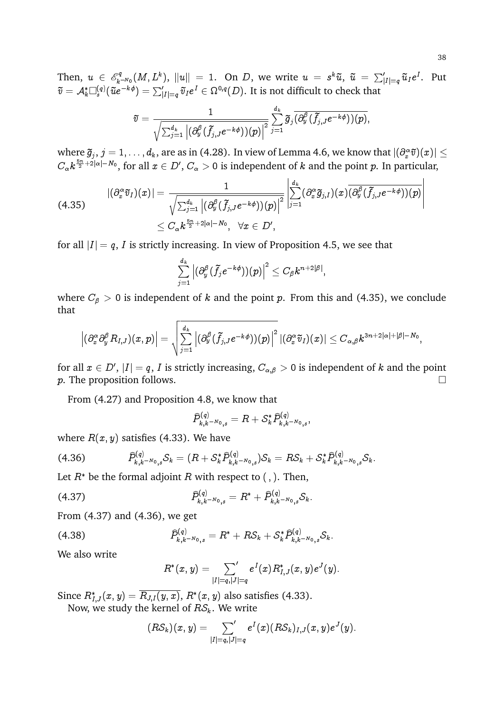Then,  $u \in \mathscr{E}_k^q$  $\mathbb{R}^{\mathbb{R}}_{k=N_0}(M,L^k),$   $\|u\|=1.$  On  $D,$  we write  $u\ =\ s^k\tilde u,\ \tilde u\ =\ \sum_{|I|=q}'\tilde u_Ie^I.$  Put  $\widetilde{v}=\mathcal{A}_k^* \square_s^{(q)}(\widetilde{u}e^{-k\phi})=\sum_{|I|=q}'\widetilde{v}_Ie^I\in\Omega^{0,q}(D).$  It is not difficult to check that

$$
\widetilde{v}=\frac{1}{\sqrt{\sum_{j=1}^{d_k}\left|(\partial_y^{\beta}(\widetilde{f}_{j,J}e^{-k\phi}))(p)\right|^2}}\sum_{j=1}^{d_k}\widetilde{g}_{j}\overline{(\partial_y^{\beta}(\widetilde{f}_{j,J}e^{-k\phi}))(p)},
$$

where  $\widetilde{g}_j, j=1,\ldots,d_k,$  are as in (4.28). In view of Lemma 4.6, we know that  $|(\partial_x^\alpha \widetilde{v})(x)|\leq$  $C_\alpha k^{\frac{5n}{2}+2|\alpha|-N_0},$  for all  $x\in D',$   $C_\alpha>0$  is independent of  $k$  and the point  $p.$  In particular,

$$
\begin{aligned} |(\partial_x^\alpha \widetilde v_I)(x)|&=\frac{1}{\sqrt{\sum_{j=1}^{d_k}\left|(\partial_y^\beta (\widetilde f_{j,J}e^{-k\phi})) (p)\right|^2}}\left|\sum_{j=1}^{d_k}(\partial_x^\alpha \widetilde g_{j,I})(x)\overline{(\partial_y^\beta (\widetilde f_{j,J}e^{-k\phi})) (p)}\right|\\ &\leq C_\alpha k^{\frac{5n}{2}+2|\alpha|-N_0},\;\;\forall x\in D',\end{aligned}
$$

for all  $|I| = q$ , I is strictly increasing. In view of Proposition 4.5, we see that

$$
\sum_{j=1}^{d_k}\left|(\partial_y^\beta(\tilde{f_j}e^{-k\phi})) (p)\right|^2\leq C_\beta k^{n+2|\beta|},
$$

where  $C_{\beta} > 0$  is independent of k and the point p. From this and (4.35), we conclude that

$$
\left|(\partial^\alpha_x\partial^\beta_yR_{I,J})(x,p)\right|=\sqrt{\sum_{j=1}^{d_k}\left|(\partial^\beta_y(\widetilde f_{j,J}e^{-k\phi}))(p)\right|^2}\left|(\partial^\alpha_x\widetilde v_I)(x)\right|\leq C_{\alpha,\beta}k^{3n+2|\alpha|+|\beta|-N_0},
$$

for all  $x\in D',\,|I|=q,\,I$  is strictly increasing,  $C_{\alpha,\beta}>0$  is independent of  $k$  and the point p. The proposition follows.  $\Box$ 

From (4.27) and Proposition 4.8, we know that

$$
\widehat{P}_{k,k^{-N_0},s}^{(q)} = R + \mathcal{S}_{k}^* \widehat{P}_{k,k^{-N_0},s}^{(q)},
$$

where  $R(x, y)$  satisfies (4.33). We have

(4.36) Pb (q) k;kN0 ;s S<sup>k</sup> = (R + S kPb (q) k;kN0 ;s )S<sup>k</sup> = RS<sup>k</sup> + S kPb (q) k;kN0 ;s Sk:

Let  $R^*$  be the formal adjoint R with respect to (, ). Then,

$$
\widehat{P}_{k,k-N_0,s}^{(q)} = R^* + \widehat{P}_{k,k-N_0,s}^{(q)} \mathcal{S}_k.
$$

From (4.37) and (4.36), we get

$$
(4.38) \t\t\t \widehat{P}_{k,k-N_{0,S}}^{(q)} = R^* + RS_k + S_k^* \widehat{P}_{k,k-N_{0,S}}^{(q)} S_k.
$$

We also write

$$
R^*(x,y)=\sum_{|I|=q,|J|=q}e^I(x)R^*_{I,J}(x,y)e^J(y).
$$

Since  $R^*_{I,J}(x,y)=\overline{R_{J,I}(y,x)},$   $R^*(x,y)$  also satisfies (4.33).

Now, we study the kernel of  $RS_k$ . We write

$$
(R\mathcal{S}_k)(x,y)=\sum_{|I|=q,|J|=q}e^I(x)(R\mathcal{S}_k)_{I,J}(x,y)e^J(y).
$$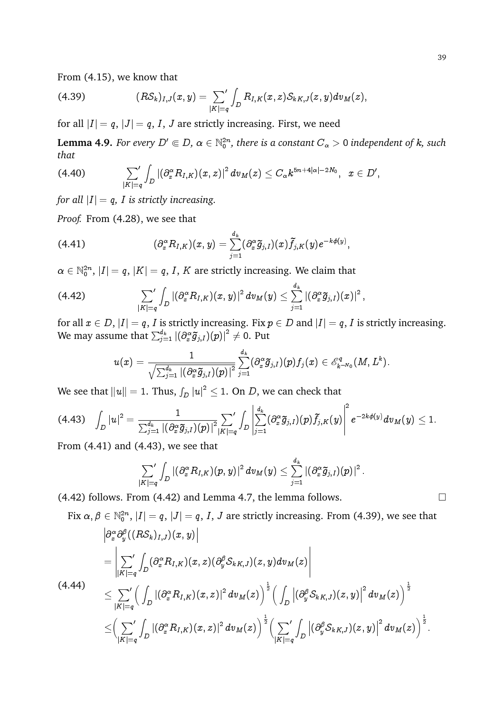From (4.15), we know that

(4.39) 
$$
(R\mathcal{S}_k)_{I,J}(x,y)=\sum_{|K|=q}\int_D R_{I,K}(x,z)\mathcal{S}_{kK,J}(z,y)dv_M(z),
$$

for all  $|I| = q$ ,  $|J| = q$ , *I*, *J* are strictly increasing. First, we need

**Lemma 4.9.** For every  $D' \Subset D$ ,  $\alpha \in \mathbb{N}_0^{2n}$ , there is a constant  $C_\alpha > 0$  independent of k, such *that*

$$
(4.40) \qquad \qquad \sum_{|K|=q}^{'}\int_{D}\left|\left(\partial^{\alpha}_{x}R_{I,K}\right)(x,z)\right|^{2}dv_{M}(z)\leq C_{\alpha}k^{5n+4|\alpha|-2N_{0}},\;\;x\in D',
$$

*for all*  $|I| = q$ , *I is strictly increasing.* 

*Proof.* From (4.28), we see that

(4.41) 
$$
(\partial_x^{\alpha} R_{I,K})(x,y) = \sum_{j=1}^{d_k} (\partial_x^{\alpha} \tilde{g}_{j,I})(x) \tilde{f}_{j,K}(y) e^{-k\phi(y)}
$$

 $\alpha \in \mathbb{N}_0^{2n}, \, |I|=q, \, |K|=q, \, I, \, K$  are strictly increasing. We claim that

$$
(4.42) \qquad \qquad \sum_{|K|=q}^{\prime}\int_{D}\left|\left(\partial^{\alpha}_{x}R_{I,K}\right)(x,y)\right|^{2}dv_{M}(y)\leq \sum_{j=1}^{d_{k}}\left|\left(\partial^{\alpha}_{x}\widetilde{g}_{j,I}\right)(x)\right|^{2},
$$

for all  $x \in D$ ,  $|I| = q$ , I is strictly increasing. Fix  $p \in D$  and  $|I| = q$ , I is strictly increasing. We may assume that  $\sum_{j=1}^{d_k} \left| (\partial_x^\alpha \tilde{g}_{j,I})(p) \right|^2 \neq 0.$  Put

;

$$
u(x)=\frac{1}{\sqrt{\sum_{j=1}^{d_k}\left|(\partial_x^\alpha \widetilde{g}_{j,I})(p)\right|^2}}\sum_{j=1}^{d_k}(\partial_x^\alpha \widetilde{g}_{j,I})(p)f_j(x)\in \mathscr{E}^q_{k^{-N_0}}(M,L^k).
$$

We see that  $\|u\|=1.$  Thus,  $\int_D |u|^2\leq 1.$  On  $D,$  we can check that

$$
(4.43)\quad \int_D |u|^2=\frac{1}{\sum_{j=1}^{d_k}\left|\left(\partial_x^{\alpha}\widetilde{g}_{j,I}\right)(p)\right|^2|K|=q}\int_D \left|\sum_{j=1}^{d_k}(\partial_x^{\alpha}\widetilde{g}_{j,I})(p)\widetilde{f}_{j,K}(y)\right|^2e^{-2k\phi(y)}dv_M(y)\leq 1.
$$

From (4.41) and (4.43), we see that

$$
\sum_{|K|=q}^{\prime}\int_{D}\left|\left(\partial^{\alpha}_xR_{I,K})(p,y)\right|^2dv_M(y)\leq \sum_{j=1}^{d_k}\left|\left(\partial^{\alpha}_x\widetilde{g}_{j,I})(p)\right|^2.\right.
$$

 $(4.42)$  follows. From  $(4.42)$  and Lemma 4.7, the lemma follows.

Fix 
$$
\alpha, \beta \in \mathbb{N}_0^{2n}
$$
,  $|I| = q$ ,  $|J| = q$ , I, J are strictly increasing. From (4.39), we see that  
\n
$$
\begin{aligned}\n&\left|\frac{\partial^{\alpha}_{x} \partial^{\beta}_{y}((RS_k)_{I,J})(x,y)\right|}{\left|\sum_{|K|=q} \int_D (\partial^{\alpha}_{x} R_{I,K})(x,z) (\partial^{\beta}_{y} S_{kK,J})(z,y) d v_M(z)\right|} \\
&\leq \sum_{|K|=q} \left(\int_D |(\partial^{\alpha}_{x} R_{I,K})(x,z)|^2 d v_M(z)\right)^{\frac{1}{2}} \left(\int_D |(\partial^{\beta}_{y} S_{kK,J})(z,y)|^2 d v_M(z)\right)^{\frac{1}{2}} \\
&\leq \left(\sum_{|K|=q} \int_D |(\partial^{\alpha}_{x} R_{I,K})(x,z)|^2 d v_M(z)\right)^{\frac{1}{2}} \left(\sum_{|K|=q} \int_D |(\partial^{\beta}_{y} S_{kK,J})(z,y)|^2 d v_M(z)\right)^{\frac{1}{2}}.\n\end{aligned}
$$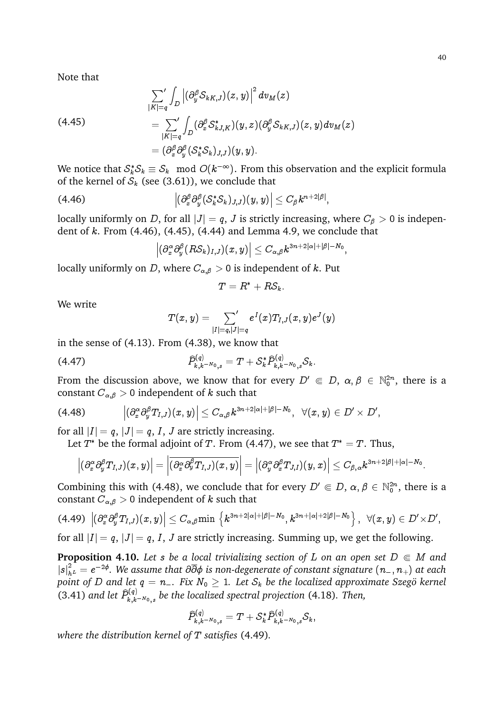Note that

$$
\sum_{|K|=q}^{\prime}\int_{D}\left|\left(\partial_{y}^{\beta}S_{kK,J}\right)(z,y)\right|^{2}dv_{M}(z) \n= \sum_{|K|=q}\int_{D}\left(\partial_{x}^{\beta}S_{kJ,K}^{*}\right)(y,z)\left(\partial_{y}^{\beta}S_{kK,J}\right)(z,y)dv_{M}(z) \n= \left(\partial_{x}^{\beta}\partial_{y}^{\beta}(S_{k}^{*}S_{k})_{J,J}\right)(y,y).
$$

We notice that  $\mathcal{S}^*_k \mathcal{S}_k \equiv \mathcal{S}_k \mod O(k^{-\infty}).$  From this observation and the explicit formula of the kernel of  $S_k$  (see (3.61)), we conclude that

$$
(4.46) \qquad \qquad \left|(\partial_x^\beta \partial_y^\beta ( \mathcal{S}_k^* \mathcal{S}_k)_{J,J})(y,y)\right| \leq C_\beta k^{n+2|\beta|},
$$

locally uniformly on D, for all  $|J| = q$ , J is strictly increasing, where  $C_\beta > 0$  is independent of  $k$ . From  $(4.46)$ ,  $(4.45)$ ,  $(4.44)$  and Lemma 4.9, we conclude that

$$
\left|(\partial^\alpha_x\partial^\beta_y(R\mathcal{S}_k)_{I,J})(x,y)\right|\leq C_{\alpha,\beta}k^{3n+2|\alpha|+|\beta|-N_0},
$$

locally uniformly on D, where  $C_{\alpha,\beta} > 0$  is independent of k. Put

$$
T=R^*+R\mathcal{S}_k.
$$

We write

$$
T(x,y) = \mathop{{\sum}'}_{|I|=q,|J|=q} e^I(x) T_{I,J}(x,y) e^J(y)
$$

in the sense of (4.13). From (4.38), we know that

$$
\widehat{P}_{k,k^{-N_0},s}^{(q)} = T + \mathcal{S}_k^* \widehat{P}_{k,k^{-N_0},s}^{(q)} \mathcal{S}_k.
$$

From the discussion above, we know that for every  $D' \in D, \alpha, \beta \in \mathbb{N}_0^{2n}$ , there is a constant  $C_{\alpha,\beta} > 0$  independent of k such that

$$
(4.48) \qquad \qquad \Big|(\partial_{x}^{\alpha}\partial_{y}^{\beta}T_{I,J})(x,y)\Big|\leq C_{\alpha,\beta}k^{3n+2|\alpha|+|\beta|-N_{0}},\;\;\forall(x,y)\in D'\times D',
$$

for all  $|I| = q$ ,  $|J| = q$ , *I*, *J* are strictly increasing.

Let  $T^*$  be the formal adjoint of T. From (4.47), we see that  $T^* = T$ . Thus,

$$
\left|(\partial^\alpha_x\partial^\beta_y T_{I,J})(x,y)\right|=\left|\overline{(\partial^\alpha_x\partial^\beta_y T_{I,J})(x,y)}\right|=\left|(\partial^\alpha_y\partial^\beta_x T_{J,I})(y,x)\right|\leq C_{\beta,\alpha}k^{3n+2|\beta|+|\alpha|-N_0}.
$$

Combining this with (4.48), we conclude that for every  $D' \in D$ ,  $\alpha, \beta \in \mathbb{N}_0^{2n}$ , there is a constant  $C_{\alpha,\beta} > 0$  independent of k such that

(4.49) 
$$
\left| \left( \partial_x^{\alpha} \partial_y^{\beta} T_{I,J} \right) (x,y) \right| \leq C_{\alpha,\beta} \min \left\{ k^{3n+2|\alpha|+|\beta|-N_0}, k^{3n+|\alpha|+2|\beta|-N_0} \right\}, \ \ \forall (x,y) \in D' \times D',
$$
 for all  $|I| = q$ ,  $|J| = q$ ,  $I$ ,  $J$  are strictly increasing. Summing up, we get the following.

**Proposition 4.10.** Let s be a local trivializing section of L on an open set  $D \in M$  and  $|s|^2_{h^{\ L}}=e^{-2\phi}.$  We assume that  $\partial\overline{\partial}\phi$  is non-degenerate of constant signature  $(n_{-},n_{+})$  at each *point of* D and let  $q = n_-.$  Fix  $N_0 \geq 1$ . Let  $S_k$  be the localized approximate Szegö kernel (3.41) and let  $\widehat{P}_{k,k}^{(q)}$  $\hat{f}_{k,k-N_{0,s}}^{(q)}$  be the localized spectral projection (4.18). Then,

$$
\widehat{P}_{k,k^{-N_0},s}^{(q)} = T + \mathcal{S}_{k}^* \widehat{P}_{k,k^{-N_0},s}^{(q)} \mathcal{S}_{k},
$$

*where the distribution kernel of* T *satisfies* (4.49)*.*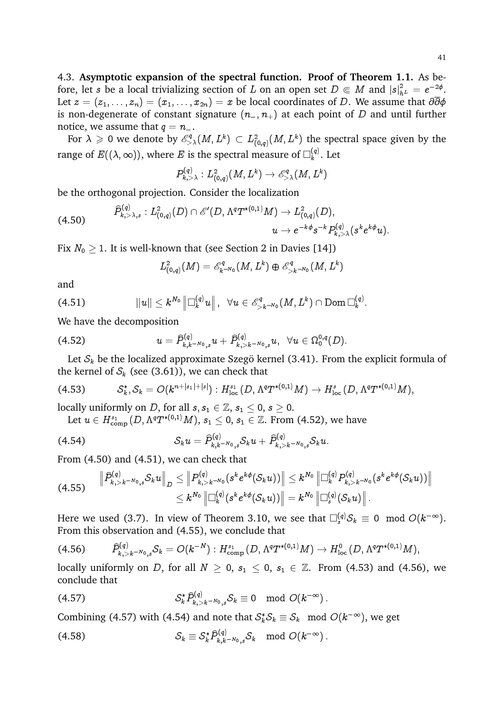4.3. **Asymptotic expansion of the spectral function. Proof of Theorem 1.1.** As before, let s be a local trivializing section of  $L$  on an open set  $D \Subset M$  and  $|s|^2_{h^L} = e^{-2\phi}$ . Let  $z = (z_1, \ldots, z_n) = (x_1, \ldots, x_{2n}) = x$  be local coordinates of D. We assume that  $\partial \overline{\partial} \phi$ is non-degenerate of constant signature  $(n_-, n_+)$  at each point of D and until further notice, we assume that  $q = n_-\$ .

For  $\lambda \geqslant 0$  we denote by  $\mathscr{E}^q_{>\lambda}(M,L^k) \subset L^2_{(0,q)}(M,L^k)$  the spectral space given by the range of  $E((\lambda,\infty))$ , where  $E$  is the spectral measure of  $\Box^{(q)}_k$  $\binom{q}{k}$ . Let

$$
P^{(q)}_{k, >\lambda}: L^2_{(0,q)}(M,L^k) \to \mathscr{E}^q_{>\lambda}(M,L^k)
$$

be the orthogonal projection. Consider the localization

$$
(4.50) \qquad \begin{array}{c} \widehat{P}^{(q)}_{k, >\lambda, s}: L^{2}_{(0,q)}(D) \cap \mathscr{E}'(D, \Lambda^{q}T^{*(0,1)}M) \to L^{2}_{(0,q)}(D), \\[2mm] u \to e^{-k\phi}s^{-k}P^{(q)}_{k, >\lambda}(s^{k}e^{k\phi}u). \end{array}
$$

Fix  $N_0 > 1$ . It is well-known that (see Section 2 in Davies [14])

$$
L^2_{(0,q)}(M) = \mathscr{E}^q_{k^{-N_0}}(M,L^k) \oplus \mathscr{E}^q_{>k^{-N_0}}(M,L^k)
$$

and

$$
(4.51) \t\t ||u|| \leq k^{N_0} \left\| \Box_k^{(q)} u \right\|, \ \ \forall u \in \mathscr{E}^q_{>k^{-N_0}}(M,L^k) \cap \mathrm{Dom} \Box_k^{(q)}.
$$

We have the decomposition

$$
(4.52) \t u = \widehat{P}_{k,k^{-N_0},s}^{(q)} u + \widehat{P}_{k,>k^{-N_0},s}^{(q)} u, \ \ \forall u \in \Omega_{0}^{0,q}(D).
$$

Let  $S_k$  be the localized approximate Szegö kernel (3.41). From the explicit formula of the kernel of  $S_k$  (see (3.61)), we can check that

$$
(4.53) \tS_k^*, S_k = O(k^{n+|s_1|+|s|}) : H_{\text{loc}}^{s_1}(D, \Lambda^q T^{*(0,1)}M) \to H_{\text{loc}}^{s}(D, \Lambda^q T^{*(0,1)}M),
$$

locally uniformly on *D*, for all  $s, s_1 \in \mathbb{Z}, s_1 \leq 0, s \geq 0$ .

Let  $u\in H^{s_1}_{\text{comp}}(D,\Lambda^qT^{*(0,1)}M),$   $s_1\leq 0,$   $s_1\in {\mathbb Z}.$  From (4.52), we have

(4.54) 
$$
\mathcal{S}_k u = \widehat{P}_{k,k-N_{0,s}}^{(q)} \mathcal{S}_k u + \widehat{P}_{k,>k-N_{0,s}}^{(q)} \mathcal{S}_k u.
$$

From (4.50) and (4.51), we can check that

$$
(4.55)\quad\quad \left\|\widehat{P}_{k,>k^{-N_0},s}^{(q)}\mathcal{S}_k u\right\|_{D} \leq \left\|P_{k,>k^{-N_0}}^{(q)}(s^k e^{k\phi}(\mathcal{S}_k u))\right\| \leq k^{N_0}\left\|\Box_k^{(q)}P_{k,>k^{-N_0}}^{(q)}(s^k e^{k\phi}(\mathcal{S}_k u))\right\|\\\leq k^{N_0}\left\|\Box_k^{(q)}(s^k e^{k\phi}(\mathcal{S}_k u))\right\| = k^{N_0}\left\|\Box_s^{(q)}(\mathcal{S}_k u)\right\|.
$$

Here we used (3.7). In view of Theorem 3.10, we see that  $\square^{(q)}_s\mathcal{S}_k\,\equiv\,0\mod O(k^{-\infty}).$ From this observation and (4.55), we conclude that

$$
(4.56) \qquad \widehat{P}_{k,>k^{-N_0},s}^{(q)} S_k = O(k^{-N}): H_{\text{comp}}^{s_1}(D, \Lambda^q T^{*(0,1)}M) \to H_{\text{loc}}^0(D, \Lambda^q T^{*(0,1)}M),
$$

locally uniformly on D, for all  $N \geq 0$ ,  $s_1 \leq 0$ ,  $s_1 \in \mathbb{Z}$ . From (4.53) and (4.56), we conclude that

$$
\mathcal{S}_{k}^* \widehat{P}_{k, > k^{-N_0},s}^{(q)} \mathcal{S}_{k} \equiv 0 \mod O(k^{-\infty}).
$$

Combining (4.57) with (4.54) and note that  $\mathcal{S}_k^* \mathcal{S}_k \equiv \mathcal{S}_k \mod O(k^{-\infty})$ , we get

$$
\mathcal{S}_k \equiv \mathcal{S}_k^* \widehat{P}_{k,k^{-N_0},s}^{(q)} \mathcal{S}_k \mod O(k^{-\infty}).
$$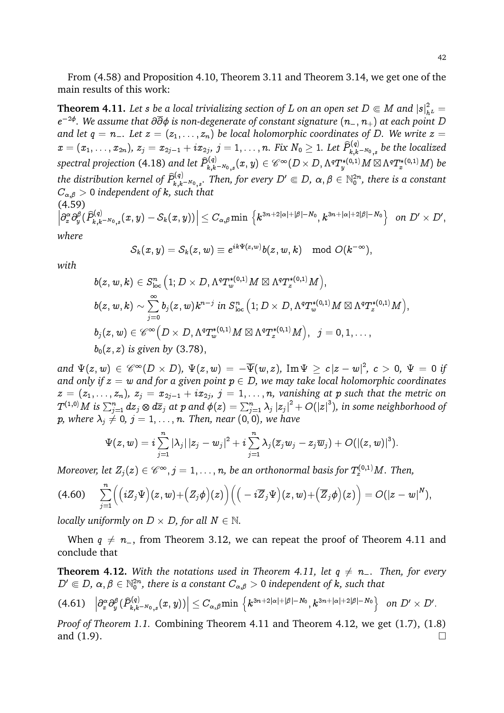From (4.58) and Proposition 4.10, Theorem 3.11 and Theorem 3.14, we get one of the main results of this work:

**Theorem 4.11.** Let s be a local trivializing section of L on an open set  $D \in M$  and  $|s|^2_{h^L} =$ e 2 *. We assume that* @@ *is non-degenerate of constant signature* (n; n+) *at each point* D *and let*  $q = n_-.$  Let  $z = (z_1, \ldots, z_n)$  be local holomorphic coordinates of D. We write  $z =$  $x=(x_1,\ldots,x_{2n}),\,z_j=x_{2j-1}+ix_{2j},\,j=1,\ldots,n.$  Fix  $N_0\geq 1.$  Let  $\widehat{P}_{k,k}^{(q)}$  $\hat{h}_{k,k-N_0,s}^{(q)}$  be the localized spectral projection (4.18) and let  $\widehat{P}_{k,k}^{(q)}$  $\delta^{(q)}_{k,k^{-N_0},s}(x,y)\in \mathscr{C}^\infty(D\times D,\Lambda^qT^{*(0,1)}_yM\boxtimes \Lambda^qT^{*(0,1)}_xM)$  be the distribution kernel of  $\widehat{P}_{k,k}^{(q)}$  $\hat{J}_{k,k^{-N_0},s}^{(q)}$ . Then, for every  $D'\Subset D$ ,  $\alpha,\beta\in \mathbb{N}_0^{2n}$ , there is a constant  $C_{\alpha,\beta} > 0$  *independent of k, such that* (4.59)

 $\Big|\partial_x^\alpha\partial_y^\beta\big(\widehat{P}_{k,k}^{(q)}$  $\left| \begin{array}{c} \delta^{(q)}_{k,k-N_0,s}(x,y)-\mathcal{S}_k(x,y))\right|\leq C_{\alpha,\beta} \min\,\left\{k^{3n+2|\alpha|+|\beta|-N_0},k^{3n+|\alpha|+2|\beta|-N_0}\right\}\,\,\,on\,\,D'\times D',$ *where*

$$
\mathcal{S}_k(x,y)=\mathcal{S}_k(z,w)\equiv e^{ik\Psi(z,w)}b(z,w,k)\mod O(k^{-\infty}),
$$

*with*

$$
\begin{aligned} &b(z,w,k)\in S^n_{\text{loc}}\left(1; D\times D, \Lambda^q T_w^{*(0,1)}M\boxtimes \Lambda^q T_z^{*(0,1)}M\right),\\ &b(z,w,k)\sim \sum_{j=0}^\infty b_j(z,w)k^{n-j}\text{ in }S^n_{\text{loc}}\left(1; D\times D, \Lambda^q T_w^{*(0,1)}M\boxtimes \Lambda^q T_z^{*(0,1)}M\right),\\ &b_j(z,w)\in \mathscr{C}^\infty\Big(D\times D, \Lambda^q T_w^{*(0,1)}M\boxtimes \Lambda^q T_z^{*(0,1)}M\Big),\;\;j=0,1,\ldots,\\ &b_0(z,z)\text{ is given by }(3.78), \end{aligned}
$$

 $and \,\,\Psi(z,w) \,\in\, {\mathscr C}^{\infty}(D\times D), \,\,\Psi(z,w) \,=\, -\overline{\Psi}(w,z), \,\,{\rm Im}\,\Psi \,\geq\, c\, |z-w|^2, \,\, c \,>\, 0, \,\,\Psi \,=\, 0 \,\, if$ *and only if*  $z = w$  *and for a given point*  $p \in D$ , we may take local holomorphic coordinates  $z\,=\,(z_1,\ldots,z_n),\ z_j\,=x_{2j-1}+ix_{2j},\ j\,=1,\ldots,n,$  vanishing at  $p$  such that the metric on  $T^{(1,0)}M$  is  $\sum_{j=1}^n dz_j\otimes d\overline z_j$  at  $p$  and  $\phi(z)=\sum_{j=1}^n\lambda_j\left|z_j\right|^2+O(\left|z\right|^3)$ , in some neighborhood of p, where  $\lambda_i \neq 0$ ,  $j = 1, \ldots, n$ . Then, near  $(0, 0)$ , we have

$$
\Psi(z,w)=i\sum_{j=1}^n \left|\lambda_j\right|\left|z_j-w_j\right|^2+i\sum_{j=1}^n \lambda_j(\overline{z}_jw_j-z_j\overline{w}_j)+O(\left|\left(z,w\right)\right|^3).
$$

Moreover, let  $Z_j(z) \in \mathscr{C}^\infty$  ,  $j=1,\ldots,n$ , be an orthonormal basis for  $T^{(0,1)}_zM.$  Then,

$$
(4.60) \quad \sum_{j=1}^n \Big( \big( i Z_j \Psi \big) (z,w) + \big( Z_j \phi \big) (z) \Big) \Big( \big( -i \overline{Z}_j \Psi \big) (z,w) + \big( \overline{Z}_j \phi \big) (z) \Big) = O(|z-w|^N),
$$

*locally uniformly on*  $D \times D$ *, for all*  $N \in \mathbb{N}$ *.* 

When  $q \neq n_{-}$ , from Theorem 3.12, we can repeat the proof of Theorem 4.11 and conclude that

**Theorem 4.12.** With the notations used in Theorem 4.11, let  $q \neq n$ . Then, for every  $D'\Subset D$ ,  $\alpha,\beta\in\mathbb{N}_0^{2n}$ , there is a constant  $C_{\alpha,\beta}>0$  independent of  $k$ , such that

$$
(4.61)\quad \left|\partial_x^\alpha\partial_y^\beta(\widehat P^{(q)}_{k,k-N_{0,s}}(x,y))\right|\leq C_{\alpha,\beta}\text{min }\left\{k^{3n+2|\alpha|+|\beta|-N_0},k^{3n+|\alpha|+2|\beta|-N_0}\right\}\ \text{ on }D'\times D'.
$$

*Proof of Theorem 1.1.* Combining Theorem 4.11 and Theorem 4.12, we get (1.7), (1.8) and  $(1.9)$ .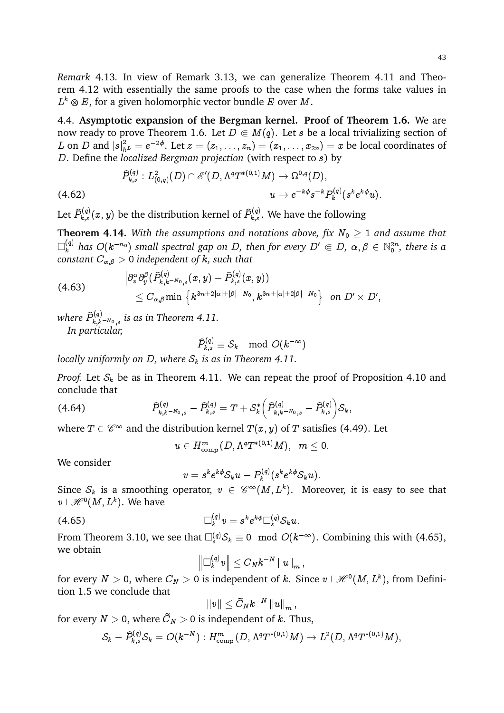43

*Remark* 4.13*.* In view of Remark 3.13, we can generalize Theorem 4.11 and Theorem 4.12 with essentially the same proofs to the case when the forms take values in  $L^k\otimes E$ , for a given holomorphic vector bundle  $E$  over  $M.$ 

4.4. **Asymptotic expansion of the Bergman kernel. Proof of Theorem 1.6.** We are now ready to prove Theorem 1.6. Let  $D \in M(q)$ . Let s be a local trivializing section of  $L$  on  $D$  and  $|s|^2_{h^L}=e^{-2\phi}.$  Let  $z=(z_1,\ldots,z_n)=(x_1,\ldots,x_{2n})=x$  be local coordinates of D. Define the *localized Bergman projection* (with respect to s) by

$$
\widehat{P}^{(q)}_{k,s}: L^2_{(0,q)}(D)\cap \mathscr{E}'(D,\Lambda^q T^{*(0,1)}M)\to \Omega^{0,q}(D),\\ \hspace*{4.5cm} u\to e^{-k\phi} s^{-k} P^{(q)}_k(s^k e^{k\phi}u).
$$

Let  $\widehat{P}_{k,s}^{(q)}(x,y)$  be the distribution kernel of  $\widehat{P}_{k,s}^{(q)}.$  We have the following

**Theorem 4.14.** With the assumptions and notations above, fix  $N_0 \geq 1$  and assume that  $\Box_k^{(q)}$  has  $O(k^{-n_0})$  small spectral gap on D, then for every  $D'\Subset D$ ,  $\alpha,\beta\in{\mathbb N}_0^{2n}$ , there is a *constant*  $C_{\alpha,\beta} > 0$  *independent of k, such that* 

$$
(4.63) \qquad \qquad \left|\partial_{x}^{\alpha}\partial_{y}^{\beta}(\widehat{P}_{k,k^{-N_{0}},s}^{(q)}(x,y)-\widehat{P}_{k,s}^{(q)}(x,y))\right|\\\leq C_{\alpha,\beta}\min\left\{k^{3n+2|\alpha|+|\beta|-N_{0}},k^{3n+|\alpha|+2|\beta|-N_{0}}\right\}\;\;on\; D'\times D',
$$

where  $\widehat{P}_{k,k}^{(q)}$  $\chi_{k,k-N_{0,s}}^{(q)}$  is as in Theorem 4.11. *In particular,*

$$
\widehat{P}_{k,s}^{(q)}\equiv \mathcal{S}_k\mod O(k^{-\infty})
$$

*locally uniformly on D, where*  $S_k$  *is as in Theorem 4.11.* 

*Proof.* Let  $S_k$  be as in Theorem 4.11. We can repeat the proof of Proposition 4.10 and conclude that

$$
(4.64) \qquad \qquad \widehat{P}_{k,k-N_0,s}^{(q)}-\widehat{P}_{k,s}^{(q)}=T+S_k^*\left(\widehat{P}_{k,k-N_0,s}^{(q)}-\widehat{P}_{k,s}^{(q)}\right)S_k,
$$

where  $T\in \mathscr C^\infty$  and the distribution kernel  $T(x,y)$  of  $T$  satisfies (4.49). Let

 $u\in H^{m}_{\mathrm{comp}}(D,\Lambda^{q}T^{*(0,1)}M),\;\;m\leq 0.$ 

We consider

$$
v=s^ke^{k\phi}S_ku-P_k^{(q)}(s^ke^{k\phi}S_ku).
$$

Since  $\mathcal{S}_k$  is a smoothing operator,  $v \in \mathscr{C}^\infty(M,L^k).$  Moreover, it is easy to see that  $v\bot \mathscr{H}^{0}(M,L^{k}).$  We have

$$
\Box_k^{(q)}v=s^ke^{k\phi}\Box_s^{(q)}S_ku.
$$

From Theorem 3.10, we see that  $\square^{(q)}_s\mathcal{S}_k \equiv 0 \mod O(k^{-\infty}).$  Combining this with (4.65), we obtain

$$
\left\|\Box^{(q)}_k v\right\|\leq C_N k^{-N}\left\|u\right\|_m,
$$

for every  $N>0,$  where  $C_N>0$  is independent of  $k.$  Since  $v\bot \mathscr{H}^0(M,L^k),$  from Definition 1.5 we conclude that

$$
\|v\|\leq \tilde{C}_Nk^{-N}\left\|u\right\|_m,
$$

for every  $N>0,$  where  $C_N>0$  is independent of  $k.$  Thus,

$$
\mathcal{S}_k-\widehat{P}_{k,s}^{(q)}\mathcal{S}_k=O(k^{-N}): H^m_{\text{comp}}\big(D,\Lambda^qT^{\ast (0,1)}M\big)\rightarrow L^2\big(D,\Lambda^qT^{\ast (0,1)}M\big),
$$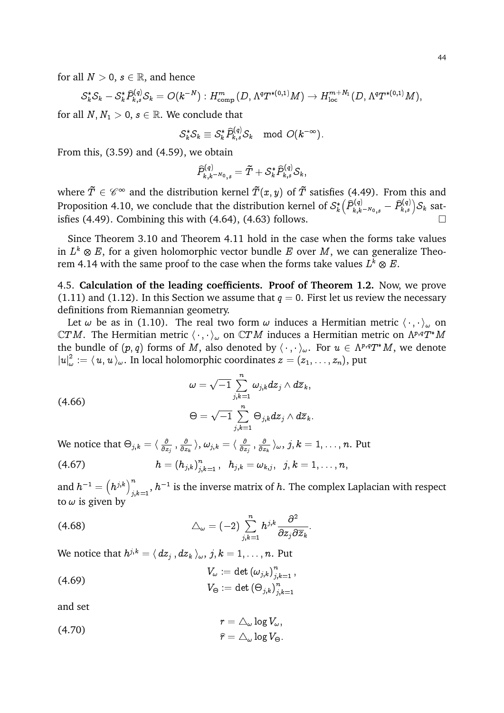for all  $N > 0$ ,  $s \in \mathbb{R}$ , and hence

$$
\mathcal{S}_{k}^{*} \mathcal{S}_{k} - \mathcal{S}_{k}^{*} \widehat{P}_{k,s}^{(q)} \mathcal{S}_{k} = O(k^{-N}) : H^{m}_{\text{comp}}(D, \Lambda^{q} T^{*(0,1)} M) \to H^{m+N_{1}}_{\text{loc}}(D, \Lambda^{q} T^{*(0,1)} M),
$$

for all  $N, N_1 > 0, s \in \mathbb{R}$ . We conclude that

$$
\mathcal{S}_k^*\mathcal{S}_k\equiv \mathcal{S}_k^*\widehat{P}_{k,s}^{(q)}\mathcal{S}_k\mod O(k^{-\infty}).
$$

From this, (3.59) and (4.59), we obtain

$$
\widehat{P}_{k,k^{-N_0},s}^{(q)}=\tilde{T}+\mathcal{S}_k^*\widehat{P}_{k,s}^{(q)}\mathcal{S}_k,
$$

where  $\tilde{T}\in \mathscr{C}^\infty$  and the distribution kernel  $\tilde{T}(x,y)$  of  $\tilde{T}$  satisfies (4.49). From this and Proposition 4.10, we conclude that the distribution kernel of  $\mathcal{S}_k^*$  $\left(\widehat{P}_{k,k^{-N_0},s}^{(q)}-\widehat{P}_{k,s}^{(q)}\right)\!{\mathcal{S}_{k}}$  satisfies (4.49). Combining this with (4.64), (4.63) follows.

Since Theorem 3.10 and Theorem 4.11 hold in the case when the forms take values in  $L^k\otimes E,$  for a given holomorphic vector bundle  $E$  over  $M,$  we can generalize Theorem 4.14 with the same proof to the case when the forms take values  $L^k\otimes E.$ 

4.5. **Calculation of the leading coefficients. Proof of Theorem 1.2.** Now, we prove (1.11) and (1.12). In this Section we assume that  $q = 0$ . First let us review the necessary definitions from Riemannian geometry.

Let  $\omega$  be as in (1.10). The real two form  $\omega$  induces a Hermitian metric  $\langle \cdot, \cdot \rangle_{\omega}$  on  $\mathbb C TM.$  The Hermitian metric  $\langle\,\cdot\,,\cdot\,\rangle_\omega$  on  $\mathbb C TM$  induces a Hermitian metric on  $\Lambda^{p,q}T^\ast M$ the bundle of  $(p,q)$  forms of  $M,$  also denoted by  $\langle\;\cdot\;,\;\cdot\;\rangle_\omega.$  For  $u\,\in\,\Lambda^{p,q}T^\ast M,$  we denote  $\left\vert u\right\vert _{\omega}^{2}$  $\mathcal{L}^2_{\omega} := \langle\, u, u\, \rangle_{\omega}.$  In local holomorphic coordinates  $z = (z_1, \ldots, z_n),$  put

$$
\omega=\sqrt{-1}\sum_{j,k=1}^n\omega_{j,k}dz_j\wedge d\overline{z}_k,\\[12pt]\Theta=\sqrt{-1}\sum_{j,k=1}^n\Theta_{j,k}dz_j\wedge d\overline{z}_k.
$$

We notice that  $\Theta_{j,k} = \langle \, \frac{\partial}{\partial z} \, \rangle$  $\frac{\partial}{\partial z_j}$  ,  $\frac{\partial}{\partial z}$  $\frac{\partial}{\partial z_{k}}\left. \right\rangle ,\left. \omega_{j,k}\right. =\left. \right\langle \frac{\partial}{\partial z}% \right\rangle =\left. \frac{\partial}{\partial z_{k}}\right\rangle$  $\frac{\partial}{\partial z_j}$  ,  $\frac{\partial}{\partial z}$  $\frac{\partial}{\partial z_{k}} \rangle_{\omega}, \, j,k = 1,\ldots,n.$  Put n

$$
(4.67) \hspace{3.1em} h = \left(h_{j,k}\right)_{j,k=1}^n, \hspace{2em} h_{j,k} = \omega_{k,j}, \hspace{2em} j,k=1,\ldots,n,
$$

and  $h^{-1} = \left(h^{j,k}\right)^n$  $\int_{j,k=1}^n,h^{-1}$  is the inverse matrix of  $h.$  The complex Laplacian with respect to  $\omega$  is given by

(4.68) 
$$
\triangle_{\omega} = (-2) \sum_{j,k=1}^{n} h^{j,k} \frac{\partial^2}{\partial z_j \partial \overline{z}_k}.
$$

We notice that  $h^{j,k}=\langle \, dz_j\, , dz_k\, \rangle_\omega, \, j,k=1,\dots,n.$  Put

(4.69)  
\n
$$
V_{\omega} := \det (\omega_{j,k})_{j,k=1}^n,
$$
\n
$$
V_{\Theta} := \det (\Theta_{j,k})_{j,k=1}^n
$$

and set

(4.66)

(4.70) 
$$
r = \triangle_{\omega} \log V_{\omega},
$$

$$
\hat{r} = \triangle_{\omega} \log V_{\Theta}.
$$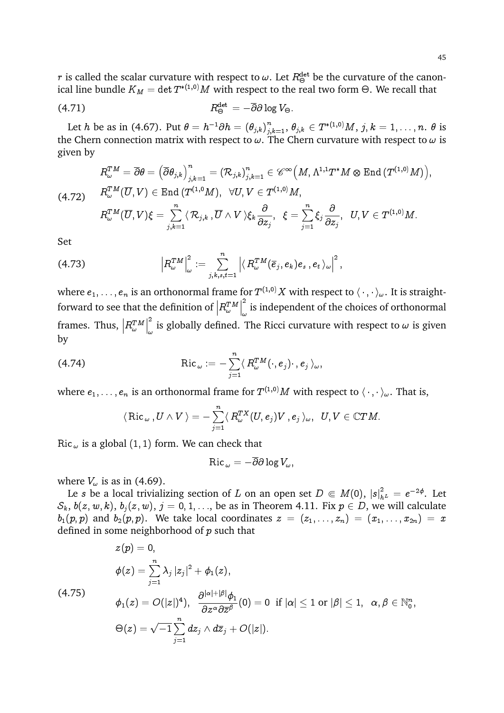$r$  is called the scalar curvature with respect to  $\omega.$  Let  $R^{\rm det}_\Theta$  be the curvature of the canonical line bundle  $K_M=\det T^{*(1,0)}M$  with respect to the real two form  $\Theta.$  We recall that

$$
(4.71) \t\t R_{\Theta}^{\text{det}} = -\overline{\partial} \partial \log V_{\Theta}.
$$

Let  $h$  be as in (4.67). Put  $\theta=h^{-1}\partial h=(\theta_{j,k})_{j,k=1}^n,$   $\theta_{j,k}\in T^{*(1,0)}M,$   $j,k=1,\ldots,n.$   $\theta$  is the Chern connection matrix with respect to  $\omega$ . The Chern curvature with respect to  $\omega$  is given by

$$
R_{\omega}^{TM}=\overline{\partial} \theta=\left(\overline{\partial} \theta_{j,k}\right)_{j,k=1}^n=(\mathcal{R}_{j,k})_{j,k=1}^n\in \mathscr{C}^\infty\left(M,\Lambda^{1,1}T^*M\otimes \operatorname{End}\left(T^{(1,0)}M\right)\right),\\(4.72)\qquad R_{\omega}^{TM}(\overline{U},V)\in \operatorname{End}\left(T^{(1,0)}M\right),\;\;\forall U,V\in T^{(1,0)}M,\\R_{\omega}^{TM}(\overline{U},V)\xi=\sum_{j,k=1}^n\langle \mathcal{R}_{j,k}\,,\overline{U}\wedge V \rangle \xi_k\frac{\partial}{\partial z_j},\;\;\xi=\sum_{j=1}^n\xi_j\frac{\partial}{\partial z_j},\;\;U,V\in T^{(1,0)}M.
$$

Set

$$
(4.73) \t\t \t\t\t\t \left|R_{\omega}^{TM}\right|_{\omega}^{2}:=\sum_{j,k,s,t=1}^{n}\left|\left\langle R_{\omega}^{TM}(\overline{e}_{j},e_{k})e_{s},e_{t}\right\rangle_{\omega}\right|^{2},
$$

where  $e_1,\ldots,e_n$  is an orthonormal frame for  $T^{(1,0)}X$  with respect to  $\langle\,\cdot\,,\cdot\,\rangle_\omega.$  It is straightforward to see that the definition of  $\left| R_{\omega}^{TM}\right|$  $\begin{array}{c} \hline \end{array}$ 2  $_{\omega}^{-}$  is independent of the choices of orthonormal frames. Thus,  $\left|R_{\omega}^{T M}\right|$  $\begin{array}{c} \hline \end{array}$ 2  $_{\omega}^{-}$  is globally defined. The Ricci curvature with respect to  $\omega$  is given by

(4.74) Ric ! := Xn j=1 h R TM ! (; e<sup>j</sup> ) ; e<sup>j</sup> i!;

where  $e_1,\ldots,e_n$  is an orthonormal frame for  $T^{(1,0)}M$  with respect to  $\langle\,\cdot\,,\cdot\rangle_\omega.$  That is,

$$
\langle\, \text{Ric\,}_{\omega}\, , U \wedge V \, \rangle = -\sum_{j=1}^n \langle\, R_{\omega}^{TX}(U,e_j) V \, , e_j \, \rangle_{\omega}, \;\; U,V \in {\mathbb C} T M.
$$

Ric  $\omega$  is a global (1, 1) form. We can check that

$$
\operatorname{Ric}_{\;\omega}=-\overline{\partial}\partial\log V_{\omega},
$$

where  $V_{\omega}$  is as in (4.69).

Le  $s$  be a local trivializing section of  $L$  on an open set  $D \Subset M(0), \, |s|^2_{h^L} = e^{-2\phi}.$  Let  $S_k$ ,  $b(z, w, k)$ ,  $b_j(z, w)$ ,  $j = 0, 1, \ldots$ , be as in Theorem 4.11. Fix  $p \in D$ , we will calculate  $b_1(p, p)$  and  $b_2(p, p)$ . We take local coordinates  $z = (z_1, \ldots, z_n) = (x_1, \ldots, x_{2n}) = x$ defined in some neighborhood of  $p$  such that

$$
\begin{aligned} &z(p)=0,\\ &\phi(z)=\sum\limits_{j=1}^n\lambda_j\left|z_j\right|^2+\phi_1(z),\\ &\phi_1(z)=O(|z|)^4),\;\;\frac{\partial^{|\alpha|+|\beta|}\phi_1}{\partial z^\alpha\partial \overline{z}^\beta}(0)=0\;\;\text{if}\;|\alpha|\leq 1\;\text{or}\;|\beta|\leq 1,\;\;\alpha,\beta\in\mathbb{N}_0^n,\\ &\Theta(z)=\sqrt{-1}\sum\limits_{j=1}^n dz_j\wedge d\overline{z}_j+O(|z|). \end{aligned}
$$

(4.75)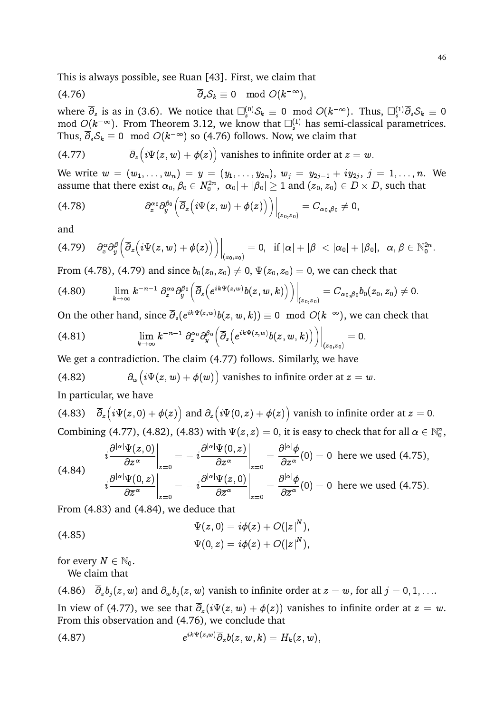This is always possible, see Ruan [43]. First, we claim that

$$
\overline{\partial}_s \mathcal{S}_k \equiv 0 \mod O(k^{-\infty}),
$$

where  $\overline{\partial}_s$  is as in (3.6). We notice that  $\square^{(0)}_s\mathcal{S}_k\equiv 0\mod O(k^{-\infty}).$  Thus,  $\square^{(1)}_s\overline{\partial}_s\mathcal{S}_k\equiv 0$ mod  $O(k^{-\infty}).$  From Theorem 3.12, we know that  $\Box_s^{(1)}$  has semi-classical parametrices. Thus,  $\overline{\partial}_s \mathcal{S}_k \equiv 0 \mod O(k^{-\infty})$  so (4.76) follows. Now, we claim that

(4.77) 
$$
\overline{\partial}_z \left( i \Psi(z, w) + \phi(z) \right) \text{ vanishes to infinite order at } z = w.
$$

We write  $w\,=\,(w_1,\ldots,w_n)\,=\,y\,=\,(y_1,\ldots,y_{2n}),\ w_j\,=\,y_{2j-1}+iy_{2j},\ j\,=\,1,\ldots,n.$  We assume that there exist  $\alpha_0,\beta_0\in N_0^{2n},$   $|\alpha_0|+|\beta_0|\geq 1$  and  $(z_0,z_0)\in D\times D,$  such that

$$
(4.78) \t\t\t \partial_x^{\alpha_0} \partial_y^{\beta_0} \Big( \overline{\partial}_z \big( i \Psi(z,w) + \phi(z) \big) \Big) \Big|_{(z_0,z_0)} = C_{\alpha_0,\beta_0} \neq 0,
$$

and

$$
(4.79) \quad \partial_x^{\alpha}\partial_y^{\beta}\Big(\overline{\partial}_z\big(i\Psi(z,w)+\phi(z)\big)\Big)\bigg|_{(z_0,z_0)}=0, \ \ \textrm{if}\ |{\alpha}|+|{\beta}|<|{\alpha}_0|+|{\beta}_0|,\ \ {\alpha},{\beta}\in {\mathbb N}_0^{2n}.
$$

From (4.78), (4.79) and since  $b_0(z_0, z_0) \neq 0$ ,  $\Psi(z_0, z_0) = 0$ , we can check that

$$
(4.80) \qquad \lim_{k\to\infty} k^{-n-1} \partial_x^{\alpha_0} \partial_y^{\beta_0} \Big(\overline{\partial}_s \Big(e^{ik\Psi(z,w)}b(z,w,k)\Big)\Big)\Big|_{(z_0,z_0)} = C_{\alpha_0,\beta_0}b_0(z_0,z_0) \neq 0.
$$

On the other hand, since  $\overline{\partial}_s(e^{ik\Psi(z,w)}b(z,w,k))\equiv 0\mod O(k^{-\infty}),$  we can check that

$$
(4.81) \qquad \qquad \lim_{k\to\infty} k^{-n-1}\,\partial_x^{\alpha_0}\partial_y^{\beta_0}\Big(\overline{\partial}_s\big(e^{ik\Psi(z,w)}b(z,w,k)\big)\Big)\bigg|_{(z_0,z_0)}=0.
$$

We get a contradiction. The claim (4.77) follows. Similarly, we have

(4.82) 
$$
\partial_w \big( i \Psi(z, w) + \phi(w) \big) \text{ vanishes to infinite order at } z = w.
$$

In particular, we have

(4.83) 
$$
\bar{\partial}_z \left( i \Psi(z,0) + \phi(z) \right)
$$
 and  $\partial_z \left( i \Psi(0,z) + \phi(z) \right)$  vanish to infinite order at  $z = 0$ .  
Combining (4.77), (4.82), (4.83) with  $\Psi(z, z) = 0$ , it is easy to check that for all  $\alpha \in \mathbb{N}_0^n$ ,

$$
(4.84) \qquad i\frac{\partial^{|\alpha|}\Psi(z,0)}{\partial z^{\alpha}}\bigg|_{z=0} = -i\frac{\partial^{|\alpha|}\Psi(0,z)}{\partial z^{\alpha}}\bigg|_{z=0} = \frac{\partial^{|\alpha|}\phi}{\partial z^{\alpha}}(0) = 0 \text{ here we used (4.75),}
$$
\n
$$
i\frac{\partial^{|\alpha|}\Psi(0,z)}{\partial \overline{z}^{\alpha}}\bigg|_{z=0} = -i\frac{\partial^{|\alpha|}\Psi(z,0)}{\partial \overline{z}^{\alpha}}\bigg|_{z=0} = \frac{\partial^{|\alpha|}\phi}{\partial \overline{z}^{\alpha}}(0) = 0 \text{ here we used (4.75).}
$$

From (4.83) and (4.84), we deduce that

(4.85)  
\n
$$
\Psi(z,0) = i\phi(z) + O(|z|^N),
$$
\n
$$
\Psi(0,z) = i\phi(z) + O(|z|^N),
$$

for every  $N \in \mathbb{N}_0$ .

We claim that

(4.86)  $\overline{\partial}_z b_i(z, w)$  and  $\partial_w b_i(z, w)$  vanish to infinite order at  $z = w$ , for all  $j = 0, 1, \ldots$ In view of (4.77), we see that  $\overline{\partial}_z(i\Psi(z,w) + \phi(z))$  vanishes to infinite order at  $z = w$ . From this observation and (4.76), we conclude that

$$
(4.87) \qquad \qquad e^{ik\Psi(z,w)}\overline{\partial}_z b(z,w,k)=H_k(z,w),
$$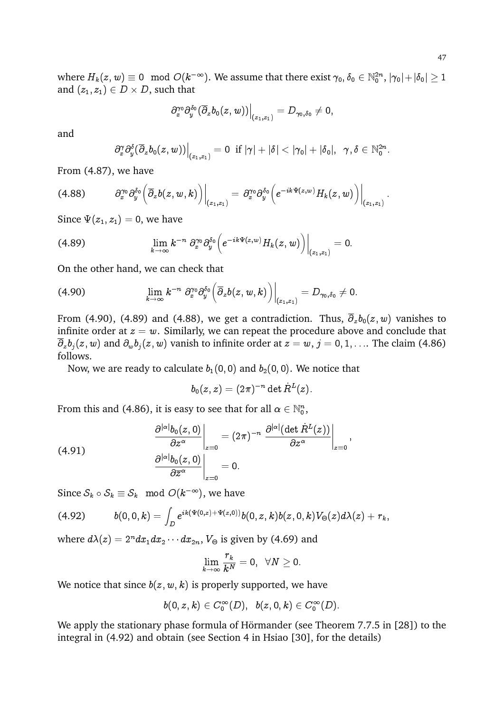where  $H_k(z,w)\equiv 0\mod O(k^{-\infty}).$  We assume that there exist  $\gamma_0,\delta_0\in {\mathbb N}_0^{2n},$   $|\gamma_0|+|\delta_0|\geq 1$ and  $(z_1, z_1) \in D \times D$ , such that

$$
\partial_x^{\gamma_0}\partial_y^{\delta_0}(\overline{\partial}_zb_0(z,w))\Big|_{(z_1,z_1)}=D_{\gamma_0,\delta_0}\neq 0,
$$

and

$$
\left.\partial_x^\gamma \partial_y^\delta (\overline{\partial}_z b_0(z,w))\right|_{(z_1,z_1)}=0\;\text{ if }|\gamma|+|\delta|<|\gamma_0|+|\delta_0|,\;\;\gamma,\delta\in\mathbb{N}_0^{2n}.
$$

From (4.87), we have

$$
(4.88) \qquad \left. \partial_x^{\gamma_0} \partial_y^{\delta_0} \Big( \overline{\partial}_z b(z,w,k) \Big) \right|_{(z_1,z_1)} = \partial_x^{\gamma_0} \partial_y^{\delta_0} \Big( e^{-ik\Psi(z,w)} H_k(z,w) \Big) \Big|_{(z_1,z_1)} \, .
$$

Since  $\Psi(z_1, z_1) = 0$ , we have

$$
(4.89) \qquad \qquad \lim_{k\to\infty} k^{-n} \; \partial_x^{\gamma_0} \partial_y^{\delta_0} \Big( e^{-ik\Psi(z,w)} H_k(z,w) \Big) \Big|_{(z_1,z_1)} = 0.
$$

On the other hand, we can check that

$$
(4.90) \qquad \qquad \lim_{k\to\infty} k^{-n} \; \partial_x^{\gamma_0} \partial_y^{\delta_0} \left( \overline{\partial}_z b(z,w,k) \right) \Big|_{(z_1,z_1)} = D_{\gamma_0,\delta_0} \neq 0.
$$

From (4.90), (4.89) and (4.88), we get a contradiction. Thus,  $\overline{\partial}_z b_0(z, w)$  vanishes to infinite order at  $z = w$ . Similarly, we can repeat the procedure above and conclude that  $\overline{\partial}_z b_j(z,w)$  and  $\partial_w b_j(z,w)$  vanish to infinite order at  $z=w, j=0,1,\ldots$  The claim (4.86) follows.

Now, we are ready to calculate  $b_1(0,0)$  and  $b_2(0,0)$ . We notice that

$$
b_0(z,z)=(2\pi)^{-n}\det \dot{R}^L(z).
$$

;

From this and (4.86), it is easy to see that for all  $\alpha \in \mathbb{N}_0^n$ ,

(4.91) 
$$
\left.\frac{\partial^{|\alpha|}b_0(z,0)}{\partial z^{\alpha}}\right|_{z=0} = (2\pi)^{-n} \left.\frac{\partial^{|\alpha|}(\det R^L(z))}{\partial z^{\alpha}}\right|_{z=0}
$$

$$
\left.\frac{\partial^{|\alpha|}b_0(z,0)}{\partial \overline{z}^{\alpha}}\right|_{z=0} = 0.
$$

Since  $\mathcal{S}_k \circ \mathcal{S}_k \equiv \mathcal{S}_k \mod O(k^{-\infty}),$  we have

$$
(4.92) \qquad \quad b(0,0,k)=\int_D e^{ik(\Psi(0,z)+\Psi(z,0))}b(0,z,k)b(z,0,k)V_\Theta(z)d\lambda(z)+r_k,
$$

where  $d\lambda(z)=2^ndx_1dx_2\cdots dx_{2n},\, V_\Theta$  is given by (4.69) and

$$
\lim_{k\to\infty}\frac{r_k}{k^N}=0,\;\;\forall N\geq0.
$$

We notice that since  $b(z, w, k)$  is properly supported, we have

$$
b(0,z,k)\in C_0^\infty(D),\;\; b(z,0,k)\in C_0^\infty(D).
$$

We apply the stationary phase formula of Hörmander (see Theorem 7.7.5 in [28]) to the integral in (4.92) and obtain (see Section 4 in Hsiao [30], for the details)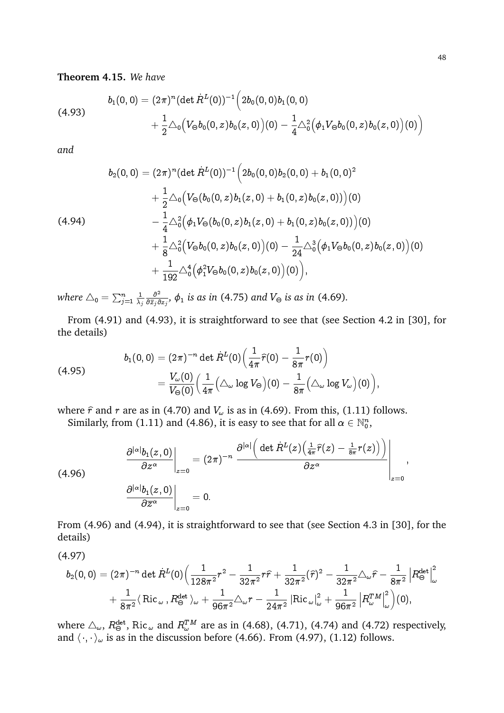## **Theorem 4.15.** *We have*

(4.93)  

$$
b_1(0,0) = (2\pi)^n (\det \dot{R}^L(0))^{-1} \Big( 2b_0(0,0)b_1(0,0) + \frac{1}{2} \triangle_0 (V_{\Theta}b_0(0,z)b_0(z,0))(0) - \frac{1}{4} \triangle_0^2 (\phi_1 V_{\Theta}b_0(0,z)b_0(z,0))(0) \Big)
$$

*and*

$$
b_2(0,0) = (2\pi)^n (\det R^L(0))^{-1} \Big( 2b_0(0,0)b_2(0,0) + b_1(0,0)^2
$$
  
+  $\frac{1}{2}\triangle_0 \Big( V_{\Theta}(b_0(0,z)b_1(z,0) + b_1(0,z)b_0(z,0)) \Big)(0)$   
(4.94)  
-  $\frac{1}{4}\triangle_0^2 \Big( \phi_1 V_{\Theta}(b_0(0,z)b_1(z,0) + b_1(0,z)b_0(z,0)) \Big)(0)$   
+  $\frac{1}{8}\triangle_0^2 \Big( V_{\Theta}b_0(0,z)b_0(z,0) \Big)(0) - \frac{1}{24}\triangle_0^3 \Big( \phi_1 V_{\Theta}b_0(0,z)b_0(z,0) \Big)(0)$   
+  $\frac{1}{192}\triangle_0^4 \Big( \phi_1^2 V_{\Theta}b_0(0,z)b_0(z,0) \Big)(0) \Big),$ 

where  $\triangle_{\tt 0} = \sum_{j=1}^n \frac{1}{\lambda_j}$  $\lambda_j$  $\partial^2$  $\frac{\partial^2}{\partial \overline{z}_j \partial z_j}$ ,  $\phi_1$  is as in (4.75) and  $V_\Theta$  is as in (4.69).

From (4.91) and (4.93), it is straightforward to see that (see Section 4.2 in [30], for the details)

(4.95) 
$$
b_1(0,0) = (2\pi)^{-n} \det \dot{R}^L(0) \left( \frac{1}{4\pi} \hat{r}(0) - \frac{1}{8\pi} r(0) \right) = \frac{V_\omega(0)}{V_\Theta(0)} \left( \frac{1}{4\pi} \left( \triangle_\omega \log V_\Theta \right)(0) - \frac{1}{8\pi} \left( \triangle_\omega \log V_\omega \right)(0) \right),
$$

where  $\hat{r}$  and r are as in (4.70) and  $V_{\omega}$  is as in (4.69). From this, (1.11) follows. Similarly, from (1.11) and (4.86), it is easy to see that for all  $\alpha \in \mathbb{N}_0^n$ ,

$$
(4.96) \qquad \frac{\partial^{|\alpha|}b_1(z,0)}{\partial z^{\alpha}}\bigg|_{z=0} = (2\pi)^{-n} \frac{\partial^{|\alpha|}\Big(\det R^L(z)\Big(\frac{1}{4\pi}\widehat{r}(z) - \frac{1}{8\pi}r(z)\Big)\Big)}{\partial z^{\alpha}}\Bigg|_{z=0},
$$
\n
$$
\frac{\partial^{|\alpha|}b_1(z,0)}{\partial \overline{z}^{\alpha}}\bigg|_{z=0} = 0.
$$

From (4.96) and (4.94), it is straightforward to see that (see Section 4.3 in [30], for the details)

(4.97)

$$
b_2(0,0) = (2\pi)^{-n} \det \dot{R}^L(0) \Big( \frac{1}{128\pi^2} r^2 - \frac{1}{32\pi^2} r\widehat{r} + \frac{1}{32\pi^2} (\widehat{r})^2 - \frac{1}{32\pi^2} \triangle_{\omega} \widehat{r} - \frac{1}{8\pi^2} \left| R^{\text{det}}_{\Theta} \right|^2_{\omega} + \frac{1}{8\pi^2} \langle \operatorname{Ric}_{\omega}, R^{\text{det}}_{\Theta} \rangle_{\omega} + \frac{1}{96\pi^2} \triangle_{\omega} r - \frac{1}{24\pi^2} \left| \operatorname{Ric}_{\omega} \right|^2_{\omega} + \frac{1}{96\pi^2} \left| R^{\mathcal{TM}}_{\omega} \right|^2_{\omega} \Big) (0),
$$

where  $\triangle_{\omega}$ ,  $R^{det}_{\Theta}$ , Ric $_{\omega}$  and  $R^{TM}_{\omega}$  are as in (4.68), (4.71), (4.74) and (4.72) respectively, and  $\langle\,\cdot,\cdot\,\rangle_\omega$  is as in the discussion before (4.66). From (4.97), (1.12) follows.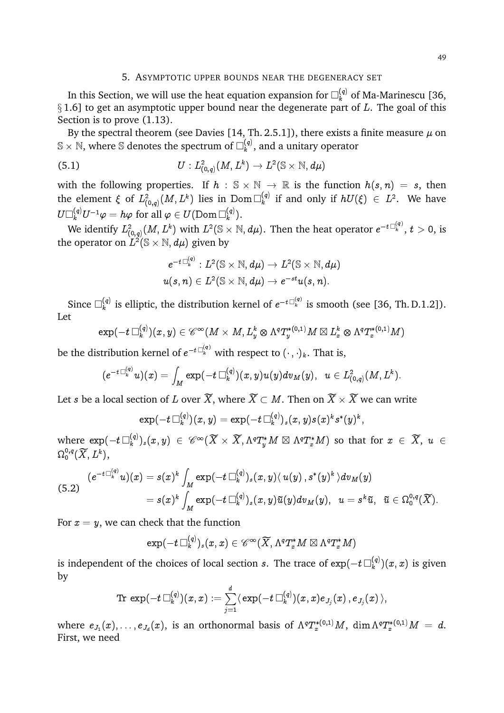## 5. ASYMPTOTIC UPPER BOUNDS NEAR THE DEGENERACY SET

In this Section, we will use the heat equation expansion for  $\Box^{(q)}_k$  of Ma-Marinescu [36,  $\S 1.6$ ] to get an asymptotic upper bound near the degenerate part of L. The goal of this Section is to prove (1.13).

By the spectral theorem (see Davies [14, Th. 2.5.1]), there exists a finite measure  $\mu$  on  $\mathbb{S}\times\mathbb{N},$  where  $\mathbb{S}% _{k}^{d}[z]$  denotes the spectrum of  $\Box_{k}^{(q)}$  $k^{(q)}$ , and a unitary operator

(5.1) 
$$
U: L^2_{(0,q)}(M,L^k) \to L^2(\mathbb{S} \times \mathbb{N},d\mu)
$$

with the following properties. If  $h : \mathbb{S} \times \mathbb{N} \to \mathbb{R}$  is the function  $h(s,n) = s$ , then the element  $\xi$  of  $L^2_{(0,q)}(M,L^k)$  lies in  ${\rm Dom\,}\Box^{(q)}_k$  $\mathcal{E}_k^{(q)}$  if and only if  $hU(\xi) \in L^2$ . We have  $U\Box^{(q)}_k U^{-1}\varphi=h\varphi \text{ for all } \varphi\in U(\text{Dom}\,\Box^{(q)}_k)$  $\binom{(q)}{k}$ .

We identify  $L^2_{(0,q)}(M,L^k)$  with  $L^2(\mathbb{S}\times\mathbb{N},d\mu).$  Then the heat operator  $e^{-t\frac{C^{(q)}_k}{k}},$   $t>0,$  is the operator on  $L^2(\mathbb{S}\times\mathbb{N},d\mu)$  given by

$$
e^{-t\Box^{(q)}_k}:L^2(\mathbb{S}\times\mathbb{N},d\mu)\rightarrow L^2(\mathbb{S}\times\mathbb{N},d\mu)\\ u(s,n)\in L^2(\mathbb{S}\times\mathbb{N},d\mu)\rightarrow e^{-st}u(s,n).
$$

Since  $\Box_k^{(q)}$  $\mathbf{k}^{(q)}$  is elliptic, the distribution kernel of  $e^{-t\Box^{(q)}_k}$  is smooth (see [36, Th. D.1.2]). Let

$$
\exp(-t\Box^{(q)}_k)(x,y)\in \mathscr{C}^\infty(M\times M,L_y^k\otimes \Lambda^qT_y^{*(0,1)}M\boxtimes L_x^k\otimes \Lambda^qT_x^{*(0,1)}M)
$$

be the distribution kernel of  $e^{-t\Box^{(q)}_k}$  with respect to  $(\cdot\ ,\cdot)_k.$  That is,

$$
(e^{-t\Box^{(q)}_k}u)(x)=\int_M \exp(-t\Box^{(q)}_k)(x,y)u(y)dv_M(y),\;\; u\in L^2_{(0,q)}(M,L^k).
$$

Let  $s$  be a local section of  $L$  over  $X,$  where  $X\subset M.$  Then on  $X\times X$  we can write

$$
\exp(-t\mathop{\Box}^{(q)}_k)(x,y)=\exp(-t\mathop{\Box}^{(q)}_k)_s(x,y)s(x)^k s^*(y)^k,
$$

where  $\exp(-t \, \Box^{(q)}_k$  $\{(x_k^{(q)})_s(x,\,y)\;\in\; {\mathscr C}^{\infty}(\widetilde{X}\,\times\,\widetilde{X},\Lambda^qT_y^*M\boxtimes\Lambda^qT_x^*M)\,\,\text{so that for}\,\,x\;\in\,\widetilde{X},\,\,u\,\in{\mathbb C}\}$  $\Omega^{0,q}_0(\widetilde{X},L^k),$ 

$$
\begin{aligned}(e^{-t\Box^{(q)}_k}u)(x)&=s(x)^k\int_M\exp(-t\Box^{(q)}_k)_s(x,y)\langle\,u(y)\,,s^*(y)^k\,\rangle dv_M(y)\\&=s(x)^k\int_M\exp(-t\Box^{(q)}_k)_s(x,y)\widetilde{u}(y)dv_M(y),\;\;u=s^k\widetilde{u},\;\;\widetilde{u}\in\Omega^{0,q}_0(\widetilde{X}).\end{aligned}
$$

For  $x = y$ , we can check that the function

$$
\exp(-t\mathop{\Box}^{(q)}_k)_s(x,x)\in \mathscr{C}^{\infty}(\widetilde{X},\Lambda^qT_x^*M\boxtimes \Lambda^qT_x^*M)
$$

is independent of the choices of local section  $s.$  The trace of  $\exp(-t \, \Box^{(q)}_k$  $\binom{(q)}{k}(x,x)$  is given by

$$
{\rm Tr \,} \exp(-t\, \Box^{(q)}_k)(x,x) := \sum_{j=1}^d \langle \, \exp(-t\, \Box^{(q)}_k)(x,x) e_{J_j}(x)\, , e_{J_j}(x)\, \rangle,
$$

where  $e_{J_1}(x),\ldots,e_{J_d}(x),$  is an orthonormal basis of  $\Lambda^q T^{*(0,1)}_xM,\ \dim \Lambda^q T^{*(0,1)}_xM\ =\ d.$ First, we need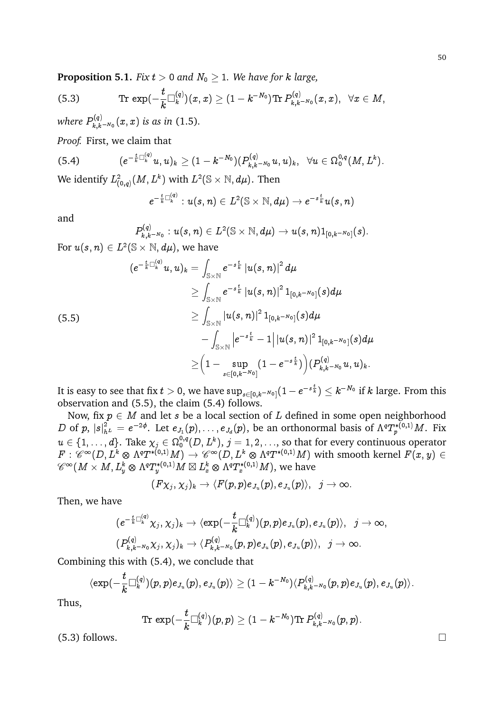**Proposition 5.1.** *Fix*  $t > 0$  *and*  $N_0 \geq 1$ *. We have for k large,* 

(5.3) 
$$
\text{Tr} \, \exp(-\frac{t}{k} \Box_k^{(q)})(x,x) \geq (1-k^{-N_0}) \text{Tr} \, P_{k,k^{-N_0}}^{(q)}(x,x), \ \ \forall x \in M,
$$

where  $P_{k|k}^{(q)}$  $\int_{k,k-N_0}^{(q)}(x,x)$  *is as in* (1.5).

*Proof.* First, we claim that

$$
(5.4) \qquad (e^{-\frac{t}{k}\Box_{k}^{(q)}}u,u)_{k}\geq (1-k^{-N_{0}})(P_{k,k-N_{0}}^{(q)}u,u)_{k},\;\;\forall u\in \Omega_{0}^{0,q}(M,L^{k}).
$$

We identify  $L^2_{(0,q)}(M,L^k)$  with  $L^2(\mathbb{S}\times\mathbb{N},d\mu).$  Then

$$
e^{-\frac{t}{k}\Box_{k}^{(q)}}:u(s,n)\in L^{2}(\mathbb{S}\times\mathbb{N},d\mu)\rightarrow e^{-s\frac{t}{k}}u(s,n)
$$

and

$$
P^{(q)}_{k,k^{-N_0}}:u(s,n)\in L^2(\mathbb{S}\times\mathbb{N},d\mu)\rightarrow u(s,n)1_{[0,k^{-N_0}]}(s).
$$

For  $u(s,n)\in L^2(\mathbb{S}\times\mathbb{N},d\mu),$  we have

$$
\begin{aligned} \left( e^{-\frac{t}{k}\Box_{k}^{(q)}}u,u\right)_{k}&=\int_{\mathbb{S}\times\mathbb{N}}e^{-s\frac{t}{k}}\left|u(s,n)\right|^{2}d\mu \\ &\geq\int_{\mathbb{S}\times\mathbb{N}}e^{-s\frac{t}{k}}\left|u(s,n)\right|^{2}1_{[0,k^{-N_{0}}]}(s)d\mu \\ &\geq\int_{\mathbb{S}\times\mathbb{N}}\left|u(s,n)\right|^{2}1_{[0,k^{-N_{0}}]}(s)d\mu \\ &\quad-\int_{\mathbb{S}\times\mathbb{N}}\left|e^{-s\frac{t}{k}}-1\right|\left|u(s,n)\right|^{2}1_{[0,k^{-N_{0}}]}(s)d\mu \\ &\geq\Big(1-\sup_{s\in[0,k^{-N_{0}}]}(1-e^{-s\frac{t}{k}})\Big)(P_{k,k^{-N_{0}}}^{(q)}u,u)_{k}.\end{aligned}
$$

It is easy to see that fix  $t>0,$  we have  $\sup_{s\in[0,k^{-N_0}]}(1-e^{-s\frac{t}{k}})\le k^{-N_0}$  if  $k$  large. From this observation and (5.5), the claim (5.4) follows.

Now, fix  $p \in M$  and let s be a local section of L defined in some open neighborhood D of  $p, |s|^2_{h^L} = e^{-2\phi}$ . Let  $e_{J_1}(p), \ldots, e_{J_d}(p)$ , be an orthonormal basis of  $\Lambda^q T^{*(0,1)}_p M$ . Fix  $u\in \{1,\ldots,d\}.$  Take  $\chi_j\in \Omega_0^{0,q}(D,L^k),$   $j=1,2,\ldots,$  so that for every continuous operator  $F:\mathscr{C}^{\infty}(D,L^k\otimes\Lambda^{q}T^{*(0,1)}M)\to \mathscr{C}^{\infty}(D,L^k\otimes\Lambda^{q}T^{*(0,1)}M)$  with smooth kernel  $F(x,y)\in$  $\mathscr{C}^\infty(M\times M,L^k_y\otimes \Lambda^qT^{*(0,1)}_yM\boxtimes L^k_x\otimes \Lambda^qT^{*(0,1)}_xM),$  we have

$$
(F\chi_j,\chi_j)_k\to\langle F(p,p)e_{J_u}(p),e_{J_u}(p)\rangle,\;\; j\to\infty.
$$

Then, we have

$$
\begin{aligned} (e^{-\frac{t}{k}\Box_{k}^{(q)}}\chi_j,\chi_j)_k &\to \langle \exp(-\frac{t}{k}\Box_{k}^{(q)})(p,p)e_{J_u}(p),e_{J_u}(p)\rangle, \hspace{0.2cm} j\to \infty,\\ (P_{k,k^{-N_0}}^{(q)}\chi_j,\chi_j)_k &\to \langle P_{k,k^{-N_0}}^{(q)}(p,p)e_{J_u}(p),e_{J_u}(p)\rangle, \hspace{0.2cm} j\to \infty. \end{aligned}
$$

Combining this with (5.4), we conclude that

$$
\langle \exp(-\frac{t}{k} \Box_k^{(q)})(p,p) e_{J_u}(p), e_{J_u}(p) \rangle \geq (1-k^{-N_0}) \langle P^{(q)}_{k,k-N_0}(p,p) e_{J_u}(p), e_{J_u}(p) \rangle.
$$

Thus,

$$
{\rm Tr}\,\exp(-\frac{t}{k}\Box^{(q)}_k)(p,p)\geq (1-k^{-N_0}){\rm Tr}\, P^{(q)}_{k,k-N_0}(p,p).
$$

 $(5.3)$  follows.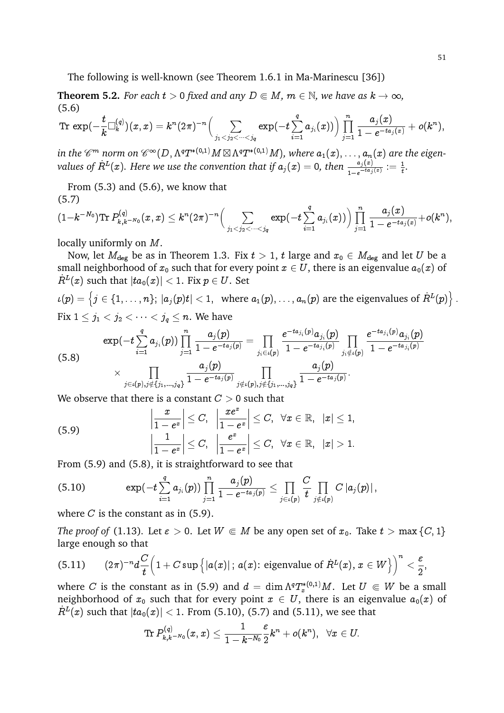The following is well-known (see Theorem 1.6.1 in Ma-Marinescu [36])

**Theorem 5.2.** *For each*  $t > 0$  *fixed and any*  $D \in M$ *,*  $m \in \mathbb{N}$ *, we have as*  $k \to \infty$ *,* (5.6)

$$
{\rm Tr \,} \exp(-\frac{t}{k} \Box_k^{(q)})(x,x)= k^n (2\pi)^{-n} \Big(\sum_{j_1
$$

in the  $\mathscr C^m$  norm on  $\mathscr C^\infty(D,\Lambda^qT^{*(0,1)}M\boxtimes\Lambda^qT^{*(0,1)}M),$  where  $a_1(x),\ldots,a_n(x)$  are the eigenvalues of  $R^L(x)$ . Here we use the convention that if  $a_j(x) = 0$ , then  $\frac{a_j(x)}{1-e^{-ta_j(x)}} := \frac{1}{t}$ .

From (5.3) and (5.6), we know that (5.7)

$$
(1-k^{-N_0}) \text{Tr}\, P^{(q)}_{k,k-N_0}(x,x)\leq k^n (2\pi)^{-n} \Big(\sum_{j_1
$$

locally uniformly on M.

Now, let  $M_{\text{deg}}$  be as in Theorem 1.3. Fix  $t > 1$ , t large and  $x_0 \in M_{\text{deg}}$  and let U be a small neighborhood of  $x_0$  such that for every point  $x \in U$ , there is an eigenvalue  $a_0(x)$  of  $\dot{R}^L(x)$  such that  $|ta_0(x)| < 1.$  Fix  $p \in U.$  Set

 $\iota(p)=\left\{j\in\{1,\ldots,n\};\ |a_j(p)t|<1,\ \text{ where } a_1(p),\ldots,a_n(p) \text{ are the eigenvalues of } \dot{R}^L(p)\right\}.$ Fix  $1 \leq j_1 < j_2 < \cdots < j_q \leq n$ . We have

$$
\exp(-t\sum_{i=1}^q a_{j_i}(p))\prod_{j=1}^n \frac{a_j(p)}{1-e^{-ta_j(p)}}=\prod_{j_i\in \iota(p)} \frac{e^{-ta_{j_i}(p)}a_{j_i}(p)}{1-e^{-ta_{j_i}(p)}}\prod_{j_i\notin \iota(p)} \frac{e^{-ta_{j_i}(p)}a_{j_i}(p)}{1-e^{-ta_{j_i}(p)}}}{1-e^{-ta_{j_i}(p)}} \\ \times \prod_{j\in \iota(p), j\notin \{j_1,\dots,j_q\}} \frac{a_j(p)}{1-e^{-ta_j(p)}}\prod_{j\notin \iota(p), j\notin \{j_1,\dots,j_q\}} \frac{a_j(p)}{1-e^{-ta_j(p)}}.
$$

We observe that there is a constant  $C > 0$  such that

(5.9) 
$$
\left|\frac{x}{1-e^x}\right| \leq C, \quad \left|\frac{xe^x}{1-e^x}\right| \leq C, \quad \forall x \in \mathbb{R}, \quad |x| \leq 1, \left|\frac{1}{1-e^x}\right| \leq C, \quad \left|\frac{e^x}{1-e^x}\right| \leq C, \quad \forall x \in \mathbb{R}, \quad |x| > 1.
$$

From (5.9) and (5.8), it is straightforward to see that

$$
(5.10) \qquad \qquad \exp(-t\sum_{i=1}^q a_{j_i}(p))\prod_{j=1}^n \frac{a_j(p)}{1-e^{-ta_j(p)}}\leq \prod_{j\in\iota(p)} \frac{C}{t}\prod_{j\notin\iota(p)} C\left|a_j(p)\right|,
$$

where  $C$  is the constant as in  $(5.9)$ .

*The proof of* (1.13). Let  $\varepsilon > 0$ . Let  $W \in M$  be any open set of  $x_0$ . Take  $t > \max\{C, 1\}$ large enough so that

(5.11) 
$$
(2\pi)^{-n}d\frac{C}{t}\left(1+C\sup\left\{|a(x)|\,;\,a(x);\,\text{eigenvalue of }\dot{R}^L(x),\,x\in W\right\}\right)^n<\frac{\varepsilon}{2},
$$

where C is the constant as in (5.9) and  $d = \dim \Lambda^q T^{*(0,1)}_x M$ . Let  $U \Subset W$  be a small neighborhood of  $x_0$  such that for every point  $x \in U$ , there is an eigenvalue  $a_0(x)$  of  $\dot{R}^L(x)$  such that  $|ta_0(x)| < 1.$  From (5.10), (5.7) and (5.11), we see that

$$
\operatorname{Tr} P_{k,k^{-N_0}}^{(q)}(x,x)\leq \frac{1}{1-k^{-N_0}}\frac{\varepsilon}{2}k^n+o(k^n),\;\;\forall x\in U.
$$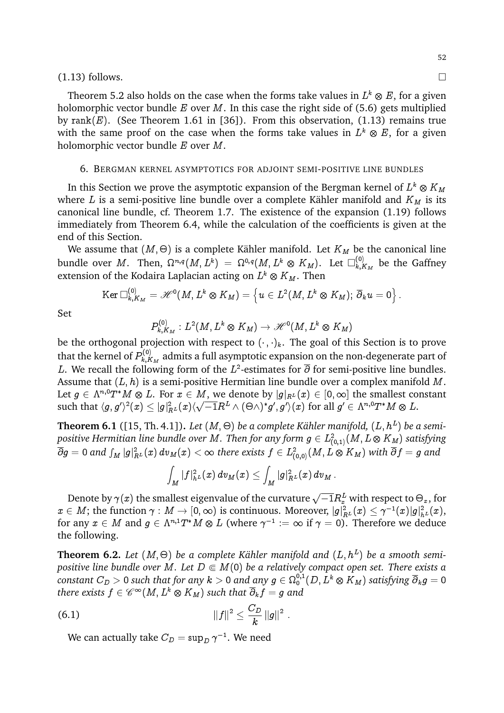### $(1.13)$  follows.

Theorem 5.2 also holds on the case when the forms take values in  $L^k\otimes E,$  for a given holomorphic vector bundle  $E$  over  $M$ . In this case the right side of (5.6) gets multiplied by rank(E). (See Theorem 1.61 in [36]). From this observation, (1.13) remains true with the same proof on the case when the forms take values in  $L^k\otimes E,$  for a given holomorphic vector bundle E over M.

### 6. BERGMAN KERNEL ASYMPTOTICS FOR ADJOINT SEMI-POSITIVE LINE BUNDLES

In this Section we prove the asymptotic expansion of the Bergman kernel of  $L^k\otimes K_M$ where L is a semi-positive line bundle over a complete Kähler manifold and  $K_M$  is its canonical line bundle, cf. Theorem 1.7. The existence of the expansion (1.19) follows immediately from Theorem 6.4, while the calculation of the coefficients is given at the end of this Section.

We assume that  $(M, \Theta)$  is a complete Kähler manifold. Let  $K_M$  be the canonical line bundle over  $M.$  Then,  $\Omega^{n,q}(M,L^k)\ =\ \Omega^{0,q}(M,L^k\ \otimes \ K_M).$  Let  $\Box^{(0)}_{k,l}$  $\mathcal{L}_{k,K_M}^{(0)}$  be the Gaffney extension of the Kodaira Laplacian acting on  $L^k\otimes K_M.$  Then

$$
\operatorname{Ker} \Box_{k,K_M}^{(0)} = \mathscr{H}^0(M,L^k \otimes K_M) = \left\{ u \in L^2(M,L^k \otimes K_M); \ \overline{\partial}_k u = 0 \right\}.
$$

Set

$$
P_{k,K_M}^{(0)}:L^2(M,L^k\otimes K_M)\to \mathscr{H}^0(M,L^k\otimes K_M)
$$

be the orthogonal projection with respect to  $(\cdot, \cdot)_k$ . The goal of this Section is to prove that the kernel of  $P_{k,K}^{(0)}$  $\mathcal{R}_{k,K_M}^{(\mathsf{U})}$  admits a full asymptotic expansion on the non-degenerate part of L. We recall the following form of the  $L^2$ -estimates for  $\overline{\partial}$  for semi-positive line bundles. Assume that  $(L, h)$  is a semi-positive Hermitian line bundle over a complex manifold M. Let  $g\in \Lambda^{n,0}T^*M\otimes L.$  For  $x\in M,$  we denote by  $|g|_{R^L}(x)\in [0,\infty]$  the smallest constant such that  $\langle g, g'\rangle^2(x)\leq |g|_{R^L}^2(x)\langle$  $\frac{1}{4}$  $\overline{-1}R^L\wedge (\Theta\wedge)^*g',g'\rangle(x) \text{ for all } g'\in \Lambda^{n,0}T^*M\otimes L.$ 

**Theorem 6.1** ([15, Th. 4.1]). Let  $(M, \Theta)$  be a complete Kähler manifold,  $(L, h^L)$  be a semipositive Hermitian line bundle over  $M.$  Then for any form  $g\in L^2_{(0,1)}(M,L\otimes K_M)$  satisfying  $\overline{\partial} g=0$  and  $\int_M |g|_{R^L}^2(x)\,dv_M(x)<\infty$  there exists  $f\in L^2_{(0,0)}(M,L\otimes K_M)$  with  $\overline{\partial} f=g$  and

$$
\int_{M} |f|_{h^{L}}^{2}(x)\, d v_{M}(x) \leq \int_{M} |g|_{R^{L}}^{2}(x)\, d v_{M}\, .
$$

Denote by  $\gamma(x)$  the smallest eigenvalue of the curvature  $\sqrt{-1}R_x^L$  with respect to  $\Theta_x$ , for  $x\in M;$  the function  $\gamma:M\to [0,\infty)$  is continuous. Moreover,  $|g|_{R^L}^2(x)\leq \gamma^{-1}(x)|g|_{h^L}^2(x),$ for any  $x\in M$  and  $g\in \Lambda^{n,1}T^\ast M\otimes L$  (where  $\gamma^{-1}:=\infty$  if  $\gamma=0).$  Therefore we deduce the following.

**Theorem 6.2.** Let  $(M, \Theta)$  be a complete Kähler manifold and  $(L, h^L)$  be a smooth semi*positive line bundle over M. Let*  $D \in M(0)$  *be a relatively compact open set. There exists a*  $\textit{constant}~C_D>0$  such that for any  $k>0$  and any  $g\in\Omega^{0,1}_0(D,L^k\otimes K_M)$  satisfying  $\overline{\partial}_kg=0$ there exists  $f \in \mathscr{C}^\infty(M, L^k \otimes K_M)$  such that  $\overline{\partial}_k f = g$  and

(6.1) 
$$
||f||^2 \leq \frac{C_D}{k} ||g||^2.
$$

We can actually take  $C_D = \sup_D \gamma^{-1}.$  We need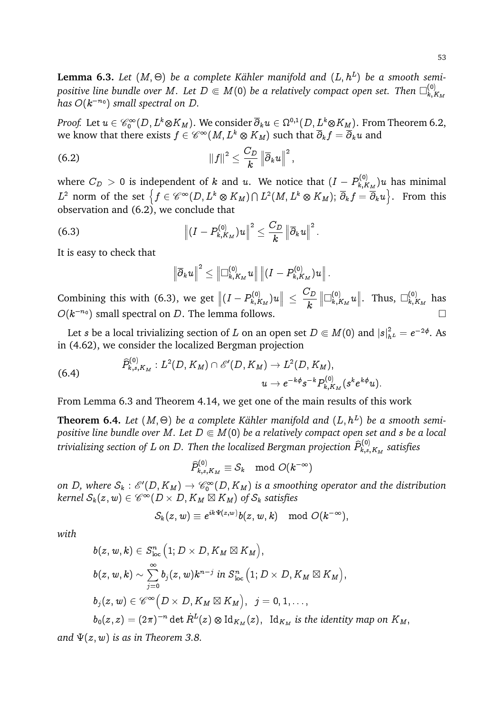${\bf Lemma~6.3.}$  Let  $(M,\Theta)$  be a complete Kähler manifold and  $(L,h^L)$  be a smooth semipositive line bundle over M. Let  $D \Subset M(0)$  be a relatively compact open set. Then  $\square^{(0)}_{k,l}$  $k,K_M$  $has O(k^{-n_0})$  *small spectral on D.* 

*Proof.* Let  $u\in \mathscr{C}_0^\infty(D,L^k\otimes K_M).$  We consider  $\overline\partial_ku\in \Omega^{0,1}(D,L^k\otimes K_M).$  From Theorem 6.2, we know that there exists  $f\in \mathscr C^\infty(M, L^k\otimes K_M)$  such that  $\overline \partial_k f=\overline \partial_k u$  and

;

(6.2) 
$$
\|f\|^2 \leq \frac{C_D}{k} \left\|\overline{\partial}_k u\right\|^2
$$

where  $C_D$   $>$  0 is independent of  $k$  and  $u$ . We notice that  $(I-P_{k,R}^{(0)})$  $\hat{h}_{k,K_M}^{(0)}$ ) $u$  has minimal  $L^2$  norm of the set  $\left\{f\in \mathscr{C}^\infty(D,L^k\otimes K_M)\cap L^2(M,L^k\otimes K_M);\ \overline{\partial}_kf=\overline{\partial}_ku\right\}.$  From this observation and (6.2), we conclude that

(6.3) 
$$
\left\| (I - P_{k,K_M}^{(0)})u \right\|^2 \leq \frac{C_D}{k} \left\| \overline{\partial}_k u \right\|^2.
$$

It is easy to check that

$$
\left\|\overline\partial_k u\right\|^2\leq \left\|\Box^{(0)}_{k,K_M}u\right\|\left\|(I-P^{(0)}_{k,K_M})u\right\|.
$$

Combining this with (6.3), we get  $\left\| (I - P_{k,R}^{(0)} \right\|$  $\left\| \begin{smallmatrix} 0 \ k \end{smallmatrix} \right\|_{k,K_M})u \Big\| \ \leq$  $C_D$ k  $\left\Vert \Box_{k,l}^{\left( 0\right) }\right\Vert$  $\lim_{k,K_M} u \Big\|$ . Thus,  $\square_{k,J}^{(0)}$  $\kappa, K_M$  has  $O(k^{-n_0})$  small spectral on D. The lemma follows.  $\hfill\Box$ 

Let  $s$  be a local trivializing section of  $L$  on an open set  $D\Subset M(0)$  and  $|s|^2_{h^L}=e^{-2\phi}.$  As in (4.62), we consider the localized Bergman projection

(6.4) 
$$
\widehat{P}_{k,s,K_M}^{(0)}: L^2(D,K_M) \cap \mathscr{E}'(D,K_M) \to L^2(D,K_M),
$$

$$
u \to e^{-k\phi} s^{-k} P_{k,K_M}^{(0)}(s^k e^{k\phi} u).
$$

From Lemma 6.3 and Theorem 4.14, we get one of the main results of this work

**Theorem 6.4.** Let  $(M, \Theta)$  be a complete Kähler manifold and  $(L, h^L)$  be a smooth semi*positive line bundle over M. Let*  $D \in M(0)$  *be a relatively compact open set and s be a local* trivializing section of  $L$  on  $D.$  Then the localized Bergman projection  $\widehat{P}_{k,s}^{(0)}$  $\mathcal{R}_{k,s,K_M}^{\left( \mathsf{U} \right)}$  satisfies

 $\widehat{P}_{k,s,K_M}^{(0)} \equiv \mathcal{S}_k \mod O(k^{-\infty})$ 

on D, where  $\mathcal{S}_k$  :  $\mathscr{E}'(D,K_M)\to \mathscr{C}_0^\infty(D,K_M)$  is a smoothing operator and the distribution  $\textit{kernel } \mathcal{S}_k(z,w) \in \mathscr{C}^\infty(D \times D, K_M \boxtimes K_M) \textit{ of } \mathcal{S}_k \textit{ satisfies}$ 

$$
\mathcal{S}_k(z,w) \equiv e^{ik\Psi(z,w)}b(z,w,k) \mod O(k^{-\infty}),
$$

*with*

$$
b(z, w, k) \in S^n_{\text{loc}} \left(1; D \times D, K_M \boxtimes K_M \right),
$$
  
\n
$$
b(z, w, k) \sim \sum_{j=0}^{\infty} b_j(z, w) k^{n-j} \text{ in } S^n_{\text{loc}} \left(1; D \times D, K_M \boxtimes K_M \right),
$$
  
\n
$$
b_j(z, w) \in \mathscr{C}^{\infty} \left( D \times D, K_M \boxtimes K_M \right), \quad j = 0, 1, \ldots,
$$
  
\n
$$
b_0(z, z) = (2\pi)^{-n} \det \dot{R}^L(z) \otimes \text{Id}_{K_M}(z), \quad \text{Id}_{K_M} \text{ is the identity map on } K_M,
$$

*and*  $\Psi(z, w)$  *is as in Theorem 3.8.*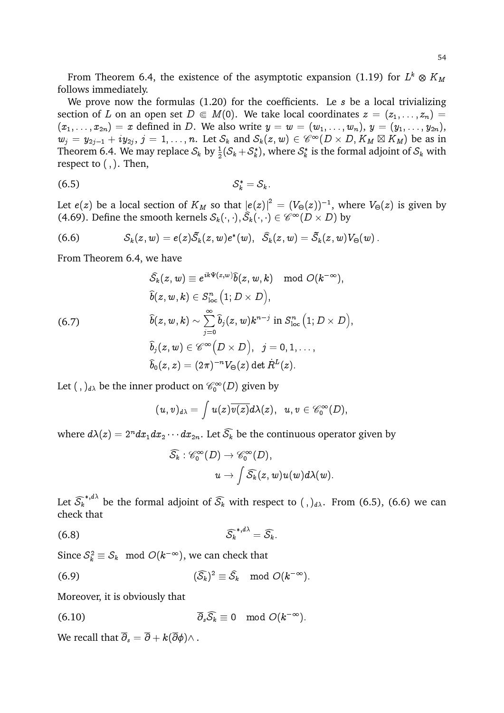From Theorem 6.4, the existence of the asymptotic expansion (1.19) for  $L^k\otimes K_M$ follows immediately.

We prove now the formulas  $(1.20)$  for the coefficients. Le s be a local trivializing section of L on an open set  $D \in M(0)$ . We take local coordinates  $z = (z_1, \ldots, z_n) =$  $(x_1,\ldots,x_{2n})=x$  defined in D. We also write  $y=w=(w_1,\ldots,w_n), y=(y_1,\ldots,y_{2n}),$  $w_j = y_{2j-1} + iy_{2j}, j = 1, \ldots, n$ . Let  $\mathcal{S}_k$  and  $\mathcal{S}_k(z, w) \in \mathscr{C}^{\infty}(D \times D, K_M \boxtimes K_M)$  be as in Theorem 6.4. We may replace  $\mathcal{S}_k$  by  $\frac{1}{2}(\mathcal{S}_k+\mathcal{S}^*_k)$ , where  $\mathcal{S}^*_k$  is the formal adjoint of  $\mathcal{S}_k$  with respect to  $($ ,  $)$ . Then,

$$
(6.5) \tS_k^* = S_k.
$$

Let  $e(z)$  be a local section of  $K_M$  so that  $|e(z)|^2\, =\, (V_\Theta(z))^{-1},$  where  $V_\Theta(z)$  is given by (4.69). Define the smooth kernels  $\mathcal{S}_k(\cdot,\cdot), \widehat{\mathcal{S}}_k(\cdot,\cdot) \in \mathscr{C}^\infty(D \times D)$  by

(6.6) 
$$
\mathcal{S}_k(z,w) = e(z)\tilde{\mathcal{S}}_k(z,w)e^*(w), \quad \widehat{\mathcal{S}}_k(z,w) = \tilde{\mathcal{S}}_k(z,w)V_{\Theta}(w).
$$

From Theorem 6.4, we have

$$
\begin{aligned} \widehat{\mathcal{S}}_k(z,w) &\equiv e^{ik \Psi(z,w)} \widehat{b}(z,w,k) \mod O(k^{-\infty}), \\ \widehat{b}(z,w,k) &\in S^n_{\text{loc}} \left(1; D \times D \right), \\ \widehat{b}(z,w,k) &\sim \sum_{j=0}^{\infty} \widehat{b}_j(z,w) k^{n-j} \text{ in } S^n_{\text{loc}} \left(1; D \times D \right), \\ \widehat{b}_j(z,w) &\in \mathscr{C}^{\infty} \left( D \times D \right), \;\; j=0,1,\ldots, \\ \widehat{b}_0(z,z) &=(2\pi)^{-n} V_\Theta(z) \det \dot{R}^L(z). \end{aligned}
$$

Let  $( \, , \, )_{d\lambda}$  be the inner product on  $\mathscr{C}_0^\infty(D)$  given by

$$
(u,v)_{d\lambda}=\int u(z)\overline{v(z)}d\lambda(z),\;\;u,v\in{\mathscr{C}^\infty_0}{}(D),
$$

where  $d\lambda(z) = 2^n dx_1 dx_2 \cdots dx_{2n}$ . Let  $\widehat{S_k}$  be the continuous operator given by

$$
\widehat{\mathcal{S}_k}:\mathscr{C}_0^\infty(D)\rightarrow\mathscr{C}_0^\infty(D),\\ u\rightarrow \int \widehat{\mathcal{S}_k}(z,w)u(w)d\lambda(w).
$$

Let  $\widehat{\mathcal{S}_k}^{*,d\lambda}$  be the formal adjoint of  $\widehat{\mathcal{S}_k}$  with respect to  $( \, , \, )_{d\lambda}.$  From (6.5), (6.6) we can check that

$$
\widehat{\mathcal{S}_k}^{*,d\lambda} = \widehat{\mathcal{S}_k}.
$$

Since  $\mathcal{S}_k^2 \equiv \mathcal{S}_k \mod O(k^{-\infty})$ , we can check that

(6.9) 
$$
(\widehat{S}_k)^2 \equiv \widehat{S}_k \mod O(k^{-\infty}).
$$

Moreover, it is obviously that

(6.10) 
$$
\overline{\partial}_s \widehat{\mathcal{S}_k} \equiv 0 \mod O(k^{-\infty}).
$$

We recall that  $\overline{\partial}_s = \overline{\partial} + k(\overline{\partial}\phi) \wedge$ .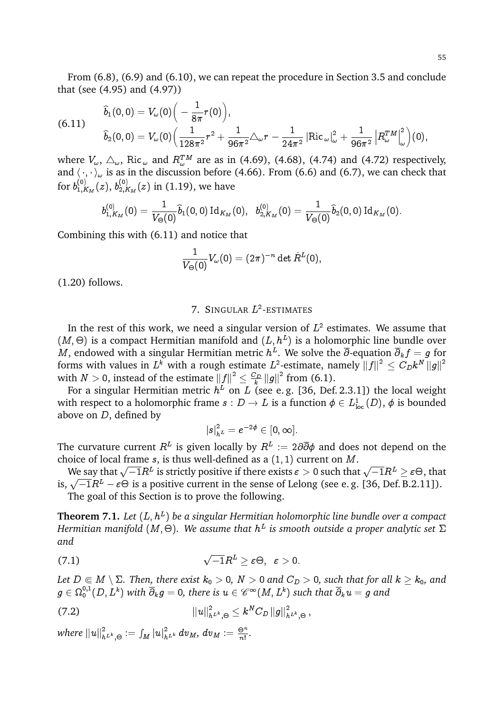From (6.8), (6.9) and (6.10), we can repeat the procedure in Section 3.5 and conclude that (see (4.95) and (4.97))

$$
\begin{aligned} \widehat{b}_1(0,0)&=V_{\omega}(0)\Big(-\frac{1}{8\pi}r(0)\Big),\\ \widehat{b}_2(0,0)&=V_{\omega}(0)\Big(\frac{1}{128\pi^2}r^2+\frac{1}{96\pi^2}\triangle_{\omega}r-\frac{1}{24\pi^2}\left|\text{Ric}_{\;\omega}\right|^2_{\omega}+\frac{1}{96\pi^2}\left|R^{TM}_{\omega}\right|^2_{\omega}\Big)(0),\end{aligned}
$$

where  $V_\omega$ ,  $\triangle_\omega$ , Ric $_{\omega}$  and  $R_\omega^{TM}$  are as in (4.69), (4.68), (4.74) and (4.72) respectively, and  $\langle\,\cdot,\cdot\,\rangle_\omega$  is as in the discussion before (4.66). From (6.6) and (6.7), we can check that for  $b_{1,F}^{\left( 0\right) }$  $_{1,K_{M}}^{(0)}(z),\,b_{2,F}^{(0)}$  $\sum_{2,K_M}^{(0)}(z)$  in (1.19), we have

$$
b_{1,K_M}^{(0)}(0)=\frac{1}{V_\Theta(0)}\widehat{b}_1(0,0)\operatorname{Id}_{K_M}(0), \ \ b_{2,K_M}^{(0)}(0)=\frac{1}{V_\Theta(0)}\widehat{b}_2(0,0)\operatorname{Id}_{K_M}(0).
$$

Combining this with (6.11) and notice that

$$
\frac{1}{V_\Theta(0)}V_\omega(0)=(2\pi)^{-n}\det \dot{R}^L(0),
$$

(1.20) follows.

# 7. SINGULAR  $L^2$ -ESTIMATES

In the rest of this work, we need a singular version of  $L^2$  estimates. We assume that  $(M, \Theta)$  is a compact Hermitian manifold and  $(L, h^L)$  is a holomorphic line bundle over  $M$ , endowed with a singular Hermitian metric  $h^L$ . We solve the  $\overline{\partial}$ -equation  $\overline{\partial}_k f=g$  for forms with values in  $L^k$  with a rough estimate  $L^2$ -estimate, namely  $\|f\|^2\leq C_Dk^N\,\|g\|^2$ with  $N > 0$ , instead of the estimate  $||f||^2 \leq \frac{C_D}{k}$  $\frac{\sum_D}{k} ||g||^2$  from (6.1).

For a singular Hermitian metric  $h^L$  on  $L$  (see e.g. [36, Def.2.3.1]) the local weight with respect to a holomorphic frame  $s:D\to L$  is a function  $\phi\in L^1_{\text{loc}}(D),\,\phi$  is bounded above on D, defined by

$$
|s|^2_{h^L}=e^{-2\phi}\in[0,\infty].
$$

The curvature current  $R^L$  is given locally by  $R^L$  := 2 $\partial \overline{\partial} \phi$  and does not depend on the choice of local frame  $s$ , is thus well-defined as a  $(1, 1)$  current on  $M$ .

bice of focal frame s, is thus wen-defined as a  $(1, 1)$  current on  $m$ .<br>We say that  $\sqrt{-1}R^L$  is strictly positive if there exists  $\varepsilon > 0$  such that  $\sqrt{-1}R^L \geq \varepsilon \Theta$ , that we say that  $\sqrt{-1}R^L$  is strictly positive if there exists  $\varepsilon > 0$  such that  $\sqrt{-1}R^L \ge \varepsilon \Theta$ , that is,  $\sqrt{-1}R^L - \varepsilon \Theta$  is a positive current in the sense of Lelong (see e. g. [36, Def. B.2.11]).

The goal of this Section is to prove the following.

**Theorem 7.1.** Let  $(L, h^L)$  be a singular Hermitian holomorphic line bundle over a compact Hermitian manifold (M,  $\Theta$ ). We assume that  $h^L$  is smooth outside a proper analytic set  $\Sigma$ *and*

(7.1) 
$$
\sqrt{-1}R^L \geq \varepsilon \Theta, \quad \varepsilon > 0.
$$

*Let*  $D \in M \setminus \Sigma$ . Then, there exist  $k_0 > 0$ ,  $N > 0$  and  $C_D > 0$ , such that for all  $k \geq k_0$ , and  $g\in\Omega^{0,1}_0(D,L^k)$  with  $\overline{\partial}_kg=0$ , there is  $u\in\mathscr{C}^\infty(M,L^k)$  such that  $\overline{\partial}_ku=g$  and

(7.2) 
$$
||u||^2_{h^{L^k},\Theta}\leq k^NC_D\,||g||^2_{h^{L^k},\Theta},
$$

where  $\left\|u\right\|_{h^{L^k},\Theta}^2\,:=\int_M\left|u\right|_{h^{L^k}}^2dv_M,\,dv_M:=\frac{\Theta^n}{n!}$  $\frac{\partial^n}{\partial!}$ .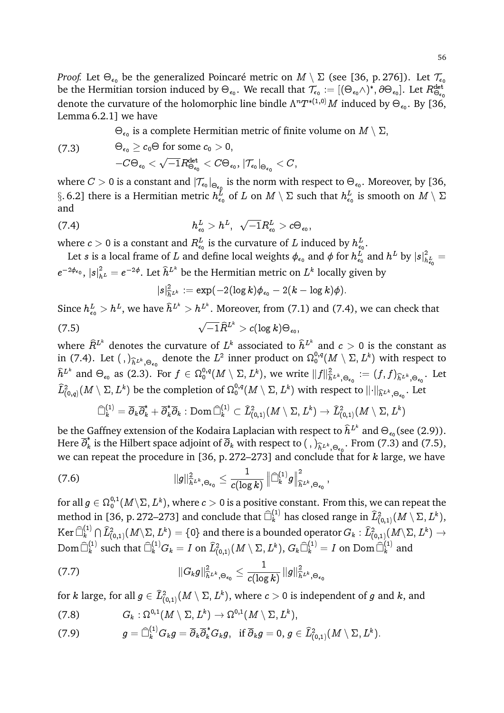*Proof*. Let  $\Theta_{\epsilon_0}$  be the generalized Poincaré metric on  $M\setminus\Sigma$  (see [36, p. 276]). Let  $\mathcal{T}_{\epsilon_0}$ be the Hermitian torsion induced by  $\Theta_{\epsilon_0}.$  We recall that  $\mathcal{T}_{\epsilon_0}:=[(\Theta_{\epsilon_0}\wedge)^*,\partial\Theta_{\epsilon_0}].$  Let  $R^{\det}_{\Theta_{\epsilon_0}}$ denote the curvature of the holomorphic line bindle  $\Lambda^n T^{*(1,0)}M$  induced by  $\Theta_{\epsilon_0}$ . By [36, Lemma 6.2.1] we have

 $\Theta_{\epsilon_0}$  is a complete Hermitian metric of finite volume on  $M\setminus\Sigma,$ 

$$
\begin{aligned} \text{(7.3)} \qquad \qquad & \Theta_{\epsilon_0} \geq c_0 \Theta \text{ for some } c_0 > 0, \\ -C \Theta_{\epsilon_0} < \sqrt{-1} R^{\text{det}}_{\Theta_{\epsilon_0}} < C \Theta_{\epsilon_0}, \, |\mathcal{T}_{\epsilon_0}|_{\Theta_{\epsilon_0}} < C, \end{aligned}
$$

where  $C>0$  is a constant and  $|\mathcal{T}_{\epsilon_0}|_{\Theta_{\epsilon_0}}$  is the norm with respect to  $\Theta_{\epsilon_0}.$  Moreover, by [36,  $\S.$  6.2] there is a Hermitian metric  $h^L_{\epsilon_0}$  of  $L$  on  $M\setminus\Sigma$  such that  $h^L_{\epsilon_0}$  is smooth on  $M\setminus\Sigma$ and

(7.4) 
$$
h_{\epsilon_0}^L > h^L, \quad \sqrt{-1}R_{\epsilon_0}^L > c\Theta_{\epsilon_0},
$$

where  $c>0$  is a constant and  $R^L_{\epsilon_0}$  is the curvature of  $L$  induced by  $h^L_{\epsilon_0}.$ 

Let  $s$  is a local frame of  $L$  and define local weights  $\phi_{\epsilon_0}$  and  $\phi$  for  $h^L_{\epsilon_0}$  and  $h^L$  by  $|s|^2_h$  $\frac{2}{h_{\epsilon_0}^L} =$  $e^{-2\phi_{\epsilon_0}},\,|s|^2_{h^L}=e^{-2\phi}.$  Let  $\widehat{h}^{L^k}$  be the Hermitian metric on  $L^k$  locally given by

$$
|s|^2_{\widehat{h}^{L^k}} := \exp(-2(\log k)\phi_{\epsilon_0} - 2(k - \log k)\phi).
$$

Since  $h_{\epsilon_0}^L > h^L$ , we have  $\widehat{h}^{L^k} > h^{L^k}$ . Moreover, from (7.1) and (7.4), we can check that  $(7.5)$  $\overline{-1}\widehat{R}^{L^k}>c(\log k)\Theta_{\epsilon_0},$ 

where  $\widehat{R}^{L^k}$  denotes the curvature of  $L^k$  associated to  $\widehat{h}^{L^k}$  and  $c > 0$  is the constant as in (7.4). Let  $( , )_{\widehat{h}^{L^k},\Theta_{\epsilon_0}}$  denote the  $L^2$  inner product on  $\Omega_0^{0,q}(M \setminus \Sigma, L^k)$  with respect to  $\hat{h}^{L^k}$  and  $\Theta_{\epsilon_0}$  as (2.3). For  $f \in \Omega_0^{0,q}(M \setminus \Sigma, L^k)$ , we write  $||f||^2_{\hat{h}^{L^k}, \Theta_{\epsilon_0}} := (f, f)_{\hat{h}^{L^k}, \Theta_{\epsilon_0}}$ . Let  $\widehat{L}^2_{(0,q)}(M\setminus\Sigma,L^k)$  be the completion of  $\Omega^{0,q}_0(M\setminus\Sigma,L^k)$  with respect to  $\lVert\cdot\rVert_{\widehat{h}^{L^k},\Theta_{\epsilon_0}}.$  Let

$$
\widehat{\Box}^{(1)}_k = \overline{\partial}_k \overline{\partial}_k^* + \overline{\partial}_k^* \overline{\partial}_k : \operatorname{Dom} \widehat{\Box}^{(1)}_k \subset \widehat{L}^2_{(0,1)}(M \setminus \Sigma, L^k) \to \widehat{L}^2_{(0,1)}(M \setminus \Sigma, L^k)
$$

be the Gaffney extension of the Kodaira Laplacian with respect to  $\widehat h^{L^k}$  and  $\Theta_{\epsilon_0}$ (see (2.9)). Here  $\overline{\partial}_k^*$ is the Hilbert space adjoint of  $\partial_k$  with respect to  $\left(\cdot\right)_{\widehat{h}} L^k \otimes_{\epsilon_0}$ . From (7.3) and (7.5),<br>accessed the age of the L36 at 273, 273, and concluded to fact for the space home we can repeat the procedure in [36, p. 272–273] and conclude that for  $k$  large, we have

$$
(7.6) \qquad \qquad \|\overline{g}\|_{\widehat{h}^{L^k},\Theta_{\epsilon_0}}^2 \leq \frac{1}{c(\log k)} \left\|\widehat{\Box}_{k}^{(1)}g\right\|_{\widehat{h}^{L^k},\Theta_{\epsilon_0}}^2,
$$

for all  $g\in\Omega^{0,1}_0(M\!\setminus\!\Sigma,L^k),$  where  $c>0$  is a positive constant. From this, we can repeat the method in [36, p. 272–273] and conclude that  $\widehat\Box_k^{(1)}$  has closed range in  $\widehat L^2_{(0,1)}(M\setminus \Sigma,L^k),$ Ker  $\widehat{\Box}_{k}^{(1)}$  $L_k^{(1)}\cap \widehat{L}_{(0,1)}^2(M\setminus \Sigma,L^k)=\{0\}$  and there is a bounded operator  $G_k:\widehat{L}_{(0,1)}^2(M\setminus \Sigma,L^k)\to 0$  $\mathop{\mathrm{Dom}}\nolimits \widehat{\Box}^{(1)}_k$  $\hat{k}_k^{(1)}$  such that  $\widehat{\Box}_{k}^{(1)} G_k = I$  on  $\widehat{L}_{(0,1)}^2(M \setminus \Sigma, L^k),$   $G_k\widehat{\Box}_{k}^{(1)} = I$  on  ${\rm Dom\,} \widehat{\Box}_{k}^{(1)}$  and

$$
\|G_k g\|^2_{\widehat h^{L^k},\Theta_{\epsilon_0}}\leq \frac{1}{c(\log k)}\,\|g\|^2_{\widehat h^{L^k},\Theta_{\epsilon_0}}
$$

for  $k$  large, for all  $g\in \widehat{L}^2_{(0,1)}(M\setminus\Sigma,L^k),$  where  $c>0$  is independent of  $g$  and  $k,$  and

(7.8) 
$$
G_k: \Omega^{0,1}(M\setminus\Sigma,L^k)\to\Omega^{0,1}(M\setminus\Sigma,L^k),
$$

$$
(7.9) \hspace{1cm} g = \widehat{\Box}^{(1)}_k G_k g = \overline{\partial}_k \overline{\partial}_k^* G_k g, \hspace{2mm} \text{if} \hspace{2mm} \overline{\partial}_k g = 0, \hspace{1mm} g \in \widehat{L}^2_{(0,1)}(M \setminus \Sigma, L^k).
$$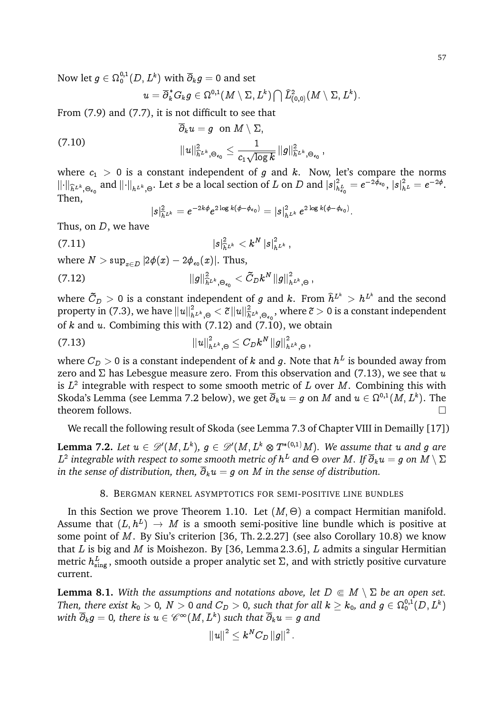Now let  $g\in \Omega_{0}^{0,1}(D,L^k)$  with  $\overline{\partial}_{k}g=0$  and set

$$
u=\overline{\partial}_k^*G_kg\in \Omega^{0,1}(M\setminus \Sigma,L^k)\bigcap \widehat{L}_{(0,0)}^2(M\setminus \Sigma,L^k).
$$

From (7.9) and (7.7), it is not difficult to see that

$$
\begin{aligned} \overline{\partial}_k u&=g\ \ \text{on}\ \ M\setminus\Sigma,\\ ||u||_{\widehat{h}^{L^k},\Theta_{\epsilon_0}}^2&\leq\frac{1}{c_1\sqrt{\log k}}\,\|g\|^2_{\widehat{h}^{L^k},\Theta_{\epsilon_0}}\,,\end{aligned}
$$

where  $c_1 > 0$  is a constant independent of g and k. Now, let's compare the norms  $\lVert \cdot \rVert_{\widehat{h}^{L^k}, \Theta_{\epsilon_0}}$  and  $\lVert \cdot \rVert_{h^{L^k}, \Theta}.$  Let  $s$  be a local section of  $L$  on  $D$  and  $\lvert s \rvert^2_h$  $\frac{2}{h_{\epsilon_0}^L} = e^{-2\phi_{\epsilon_0}}, \, |s|^2_{h^L} = e^{-2\phi}.$ Then,

$$
|s|^2_{\widehat{h}^{L^k}}=e^{-2k\phi}e^{2\log k(\phi-\phi_{\epsilon_0})} =|s|^2_{h^{L^k}}e^{2\log k(\phi-\phi_{\epsilon_0})}.
$$

Thus, on D, we have

$$
(7.11) \t\t\t |s|^2_{\hat h^{L^k}} < k^N \, |s|^2_{h^{L^k}},
$$

where  $N>\sup_{x\in D}|2\phi(x)-2\phi_{\epsilon_0}(x)|.$  Thus,

$$
\|g\|_{\hat{h}^{L^{k}},\Theta_{\epsilon_{0}}}^{2}<\tilde{C}_{D}k^{N}\left\|g\right\|_{h^{L^{k}},\Theta}^{2}\,,
$$

where  $\tilde{C}_D > 0$  is a constant independent of  $g$  and  $k.$  From  $\widehat{h}^{L^k} > h^{L^k}$  and the second property in (7.3), we have  $||u||_{h^{L^k},\Theta}^2 < \tilde{c} ||u||_{h^{L^k},\Theta_{\epsilon_0}}^2$ , where  $\tilde{c} > 0$  is a constant independent of  $k$  and  $u$ . Combiming this with (7.12) and (7.10), we obtain

(7.13) 
$$
||u||^2_{h^{L^k},\Theta}\leq C_Dk^N ||g||^2_{h^{L^k},\Theta},
$$

where  $C_D>0$  is a constant independent of  $k$  and  $g.$  Note that  $h^L$  is bounded away from zero and  $\Sigma$  has Lebesgue measure zero. From this observation and (7.13), we see that u is  $L^2$  integrable with respect to some smooth metric of  $L$  over  $M$ . Combining this with Skoda's Lemma (see Lemma 7.2 below), we get  $\overline{\partial}_ku=g$  on  $M$  and  $u\in \Omega^{0,1}(M,L^k).$  The theorem follows.

We recall the following result of Skoda (see Lemma 7.3 of Chapter VIII in Demailly [17])

**Lemma 7.2.** Let  $u \in \mathscr{D}'(M,L^k),\ g\in \mathscr{D}'(M,L^k\otimes T^{*(0,1)}M).$  We assume that  $u$  and  $g$  are  $L^2$  integrable with respect to some smooth metric of  $h^L$  and  $\Theta$  over  $M.$  If  $\overline{\partial}_ku=g$  on  $M\setminus\Sigma$ *in the sense of distribution, then,*  $\overline{\partial}_k u = g$  *on M in the sense of distribution.* 

## 8. BERGMAN KERNEL ASYMPTOTICS FOR SEMI-POSITIVE LINE BUNDLES

In this Section we prove Theorem 1.10. Let  $(M, \Theta)$  a compact Hermitian manifold. Assume that  $(L,h^L)\,\to\, M$  is a smooth semi-positive line bundle which is positive at some point of M. By Siu's criterion [36, Th. 2.2.27] (see also Corollary 10.8) we know that  $L$  is big and  $M$  is Moishezon. By [36, Lemma 2.3.6],  $L$  admits a singular Hermitian metric  $h^L_\text{sing}$  , smooth outside a proper analytic set  $\Sigma$ , and with strictly positive curvature current.

**Lemma 8.1.** With the assumptions and notations above, let  $D \in M \setminus \Sigma$  be an open set. Then, there exist  $k_0>0,~N>0$  and  $C_D>0,$  such that for all  $k\geq k_0,$  and  $g\in\Omega^{0,1}_0(D,L^k)$ with  $\overline{\partial}_k g =$  0, there is  $u \in \mathscr{C}^\infty(M, L^k)$  such that  $\overline{\partial}_k u = g$  and

$$
\left\Vert u\right\Vert ^{2}\leq k^{N}C_{D}\left\Vert g\right\Vert ^{2}.
$$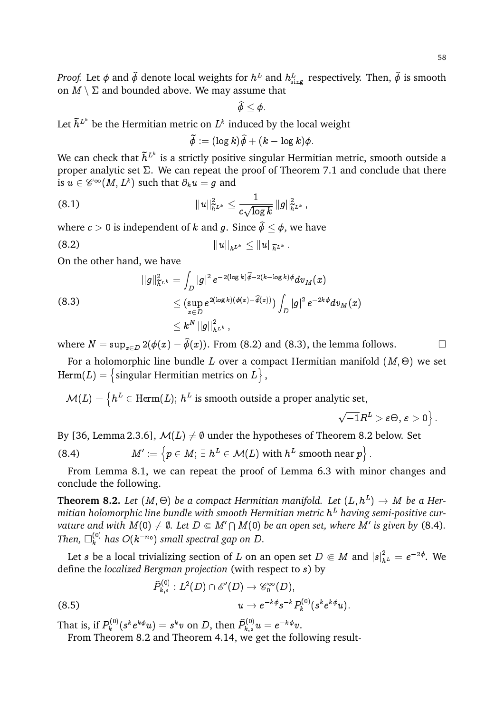*Proof.* Let  $\phi$  and  $\widetilde{\phi}$  denote local weights for  $h^L$  and  $h^L_{\text{sing}}$  respectively. Then,  $\widetilde{\phi}$  is smooth on  $M \setminus \Sigma$  and bounded above. We may assume that

$$
\widehat{\phi}\leq \phi.
$$

Let  $\tilde{h}^{L^k}$  be the Hermitian metric on  $L^k$  induced by the local weight

$$
\widetilde{\phi}:=(\log k)\widetilde{\phi}+(k-\log k)\phi.
$$

We can check that  $\tilde{h}^{L^k}$  is a strictly positive singular Hermitian metric, smooth outside a proper analytic set  $\Sigma$ . We can repeat the proof of Theorem 7.1 and conclude that there is  $u \in \mathscr{C}^\infty(M,L^k)$  such that  $\overline{\partial}_k u = g$  and

(8.1) 
$$
||u||_{\tilde{h}^{L^k}}^2 \leq \frac{1}{c\sqrt{\log k}} ||g||_{\tilde{h}^{L^k}}^2,
$$

where  $c > 0$  is independent of k and g. Since  $\hat{\phi} \le \phi$ , we have

(8.2) 
$$
||u||_{h^{L^k}} \leq ||u||_{\widetilde{h}^{L^k}}.
$$

On the other hand, we have

(8.3)  
\n
$$
||g||_{\tilde{h}^{L^k}}^2 = \int_D |g|^2 e^{-2(\log k)\widehat{\phi}-2(k-\log k)\phi} dv_M(x)
$$
\n
$$
\leq (\sup_{x \in D} e^{2(\log k)(\phi(x)-\widehat{\phi}(x))}) \int_D |g|^2 e^{-2k\phi} dv_M(x)
$$
\n
$$
\leq k^N ||g||_{h^{L^k}}^2,
$$

where  $N = \sup_{x \in D} 2(\phi(x) - \hat{\phi}(x))$ . From (8.2) and (8.3), the lemma follows.

For a holomorphic line bundle  $L$  over a compact Hermitian manifold  $(M,\Theta)$  we set  $\text{Herm}(L) = \big\{ \text{singular Hermitian metrics on } L \big\}$  ,

 $\mathcal{M}(L) = \left\{h^L \in \text{Herm}(L); \ h^L \text{ is smooth outside a proper analytic set}, \right.$ 

$$
\sqrt{-1}R^L > \varepsilon \Theta, \, \varepsilon > 0 \big\} \, .
$$

By [36, Lemma 2.3.6],  $\mathcal{M}(L) \neq \emptyset$  under the hypotheses of Theorem 8.2 below. Set

(8.4) 
$$
M' := \left\{ p \in M; \exists h^L \in \mathcal{M}(L) \text{ with } h^L \text{ smooth near } p \right\}.
$$

From Lemma 8.1, we can repeat the proof of Lemma 6.3 with minor changes and conclude the following.

 ${\bf Theorem~8.2.}$  Let  $(M,\Theta)$  be a compact Hermitian manifold. Let  $(L,h^L)\rightarrow M$  be a Her*mitian holomorphic line bundle with smooth Hermitian metric* h <sup>L</sup> *having semi-positive curvature and with*  $M(0) \neq \emptyset$ *. Let*  $D \Subset M' \cap M(0)$  *be an open set, where*  $M'$  *is given by (8.4).* Then,  $\Box_k^{(0)}$  has  $O(k^{-n_0})$  small spectral gap on  $D.$ 

Let  $s$  be a local trivializing section of  $L$  on an open set  $D \Subset M$  and  $|s|^2_{h^L} = e^{-2\phi}.$  We define the *localized Bergman projection* (with respect to s) by

$$
\widehat{P}_{k,s}^{(0)}:L^2(D)\cap \mathscr{E}'(D)\rightarrow \mathscr{C}_0^\infty(D),\\ u\rightarrow e^{-k\phi}s^{-k}P_k^{(0)}(s^ke^{k\phi}u).
$$
 (8.5)

That is, if  $P_k^{(0)}$  $\hat{R}_k^{(0)}(s^k e^{k\phi}u) = s^k v \; \textrm{on} \; D, \, \textrm{then} \; \widehat{P}_{k,s}^{(0)}u = e^{-k\phi}v.$ 

From Theorem 8.2 and Theorem 4.14, we get the following result-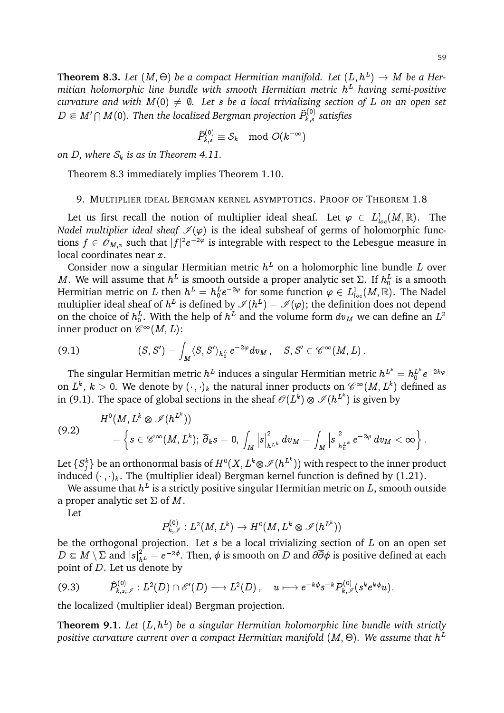$$
\widehat{P}_{k,s}^{(0)}\equiv \mathcal{S}_k\mod O(k^{-\infty})
$$

*on D*, where  $S_k$  *is as in Theorem 4.11.* 

Theorem 8.3 immediately implies Theorem 1.10.

## 9. MULTIPLIER IDEAL BERGMAN KERNEL ASYMPTOTICS. PROOF OF THEOREM 1.8

Let us first recall the notion of multiplier ideal sheaf. Let  $\varphi \in L^1_{loc}(M,\mathbb{R})$ . The *Nadel multiplier ideal sheaf*  $\mathcal{I}(\varphi)$  is the ideal subsheaf of germs of holomorphic functions  $f \in \mathscr{O}_{M,x}$  such that  $|f|^2e^{-2\varphi}$  is integrable with respect to the Lebesgue measure in local coordinates near x.

Consider now a singular Hermitian metric  $h^L$  on a holomorphic line bundle L over M. We will assume that  $h^L$  is smooth outside a proper analytic set  $\Sigma$ . If  $h_0^L$  is a smooth Hermitian metric on  $L$  then  $h^L = h_0^L e^{-2\varphi}$  for some function  $\varphi \in L^1_{loc}(M,\mathbb{R}).$  The Nadel multiplier ideal sheaf of  $h^L$  is defined by  $\mathscr{I}(h^L)=\mathscr{I}(\varphi);$  the definition does not depend on the choice of  $h_0^L$ . With the help of  $h^L$  and the volume form  $dv_M$  we can define an  $L^2$ inner product on  $\mathscr{C}^\infty(M,L)$ :

$$
(9.1) \hspace{3.1em} (S,S')=\int_M \langle S,S'\rangle_{h^L_0} \,e^{-2\varphi}dv_M\,,\quad S,S'\in \mathscr{C}^\infty(M,L)\,.
$$

The singular Hermitian metric  $h^L$  induces a singular Hermitian metric  $h^{L^k}=h_0^{L^k}e^{-2k\varphi}$ on  $L^k,\,k>0.$  We denote by  $(\cdot\,,\cdot)_k$  the natural inner products on  $\mathscr{C}^\infty(M,L^k)$  defined as in (9.1). The space of global sections in the sheaf  $\mathscr{O}(L^k) \otimes \mathscr{I}(h^{L^k})$  is given by

$$
(9.2) \qquad \qquad H^0(M,L^k\otimes \mathscr{I}(h^{L^k}))\\qquad \ \ =\left\{s\in \mathscr{C}^\infty(M,L^k);\ \overline{\partial}_k s=0,\ \int_M \left\vert s\right\vert^2_{h^{L^k}}dv_M=\int_M \left\vert s\right\vert^2_{h^{L^k}_0}e^{-2\varphi}\,dv_M<\infty\right\}.
$$

Let  $\{S_j^k\}$  be an orthonormal basis of  $H^0(X,L^k\otimes\mathscr{I}(h^{L^k}))$  with respect to the inner product induced  $(\cdot, \cdot)_k$ . The (multiplier ideal) Bergman kernel function is defined by (1.21).

We assume that  $h^L$  is a strictly positive singular Hermitian metric on  $L,$  smooth outside a proper analytic set  $\Sigma$  of M.

Let

$$
P_{k,\mathscr{I}}^{(0)}:L^2(M,L^k)\rightarrow H^0(M,L^k\otimes\mathscr{I}(h^{L^k}))
$$

be the orthogonal projection. Let  $s$  be a local trivializing section of  $L$  on an open set  $D\Subset M\setminus\Sigma$  and  $|s|^2_{h^L}=e^{-2\phi}.$  Then,  $\phi$  is smooth on  $D$  and  $\partial\overline{\partial}\phi$  is positive defined at each point of D. Let us denote by

$$
(9.3) \qquad \widehat{P}_{k,s,\mathscr{I}}^{(0)}: L^2(D) \cap \mathscr{E}'(D) \longrightarrow L^2(D), \quad u \longmapsto e^{-k\phi} s^{-k} P_{k,\mathscr{I}}^{(0)}(s^k e^{k\phi} u).
$$

the localized (multiplier ideal) Bergman projection.

**Theorem 9.1.** Let  $(L, h^L)$  be a singular Hermitian holomorphic line bundle with strictly positive curvature current over a compact Hermitian manifold  $(M,\Theta)$ . We assume that  $h^L$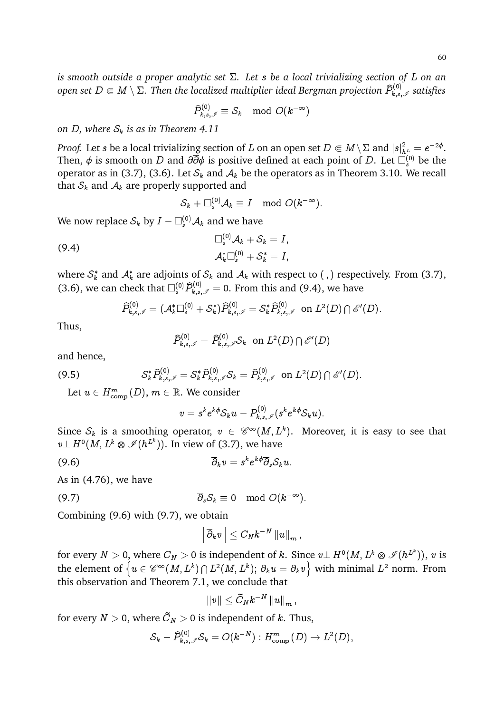*is smooth outside a proper analytic set . Let* s *be a local trivializing section of* L *on an* open set  $D\Subset M\setminus\Sigma.$  Then the localized multiplier ideal Bergman projection  $\widehat{P}_{k,s,\mathscr{I}}^{(0)}$  satisfies

 $\widehat{P}_{k,s,\mathscr{I}}^{(0)}\equiv \mathcal{S}_k \mod O(k^{-\infty})$ 

*on D*, where  $S_k$  *is as in Theorem 4.11* 

*Proof.* Let  $s$  be a local trivializing section of  $L$  on an open set  $D\Subset M\setminus\Sigma$  and  $|s|^2_{h^L_{\infty}}=e^{-2\phi}.$ Then,  $\phi$  is smooth on  $D$  and  $\partial\overline{\partial}\phi$  is positive defined at each point of  $D.$  Let  $\Box_s^{(0)}$  be the operator as in (3.7), (3.6). Let  $S_k$  and  $A_k$  be the operators as in Theorem 3.10. We recall that  $S_k$  and  $A_k$  are properly supported and

$$
\mathcal{S}_k + \Box_s^{(0)} \mathcal{A}_k \equiv I \mod O(k^{-\infty}).
$$

We now replace  $\mathcal{S}_k$  by  $I - \Box_s^{(0)} \mathcal{A}_k$  and we have

(9.4) 
$$
\Box_s^{(0)} \mathcal{A}_k + \mathcal{S}_k = I,
$$

$$
\mathcal{A}_k^* \Box_s^{(0)} + \mathcal{S}_k^* = I,
$$

where  $\mathcal{S}_k^*$  and  $\mathcal{A}_k^*$  are adjoints of  $\mathcal{S}_k$  and  $\mathcal{A}_k$  with respect to ( , ) respectively. From (3.7), (3.6), we can check that  $\square_s^{(0)} \widehat{P}_{k,s,\mathscr{I}}^{(0)} = 0$ . From this and (9.4), we have

$$
\widehat{P}_{k,s,\mathscr{I}}^{(0)} = (\mathcal{A}_{k}^*\Box_{s}^{(0)} + \mathcal{S}_{k}^*)\widehat{P}_{k,s,\mathscr{I}}^{(0)} = \mathcal{S}_{k}^*\widehat{P}_{k,s,\mathscr{I}}^{(0)} \ \ \text{on} \ L^2(D)\cap \mathscr{E}'(D).
$$

Thus,

$$
\widehat{P}_{k,s,\mathscr{I}}^{(0)} = \widehat{P}_{k,s,\mathscr{I}}^{(0)} \mathcal{S}_k \ \ \text{on} \ L^2(D) \cap \mathscr{E}'(D)
$$

and hence,

$$
(9.5) \tS_k^* \widehat{P}_{k,s,\mathscr{I}}^{(0)} = S_k^* \widehat{P}_{k,s,\mathscr{I}}^{(0)} S_k = \widehat{P}_{k,s,\mathscr{I}}^{(0)} \text{ on } L^2(D) \cap \mathscr{E}'(D).
$$

Let  $u \in H_{\mathrm{comp}}^m(D),\, m \in \mathbb{R}.$  We consider

$$
v=s^ke^{k\phi}\mathcal{S}_ku-P_{k,s,\mathscr{I}}^{(0)}(s^ke^{k\phi}\mathcal{S}_ku).
$$

Since  $\mathcal{S}_k$  is a smoothing operator,  $v \in \mathscr{C}^\infty(M,L^k).$  Moreover, it is easy to see that  $v\bot\, H^0(M,L^k\otimes\mathscr{I}(h^{L^k})).$  In view of (3.7), we have

$$
\overline{\partial}_k v = s^k e^{k\phi} \overline{\partial}_s \mathcal{S}_k u.
$$

As in (4.76), we have

$$
\overline{\partial}_s \mathcal{S}_k \equiv 0 \mod O(k^{-\infty}).
$$

Combining (9.6) with (9.7), we obtain

$$
\left\|\overline\partial_k v\right\|\le C_N k^{-N}\left\|u\right\|_m,
$$

for every  $N>0,$  where  $C_N>0$  is independent of  $k.$  Since  $v\bot \, H^0(M,L^k\otimes \mathscr{I}(h^{L^k})),$   $v$  is the element of  $\left\{u\in \mathscr{C}^\infty(M,L^k)\cap L^2(M,L^k);\ \overline{\partial}_ku=\overline{\partial}_kv\right\}$  with minimal  $L^2$  norm. From this observation and Theorem 7.1, we conclude that

$$
\left\|v\right\|\leq \tilde{C}_Nk^{-N}\left\|u\right\|_m,
$$

for every  $N>0,$  where  $C_N>0$  is independent of  $k.$  Thus,

$$
\mathcal{S}_k - \widehat{P}_{k,s,\mathscr{I}}^{(0)}\mathcal{S}_k = O(k^{-N}) : H^m_{\text{comp}}(D) \to L^2(D),
$$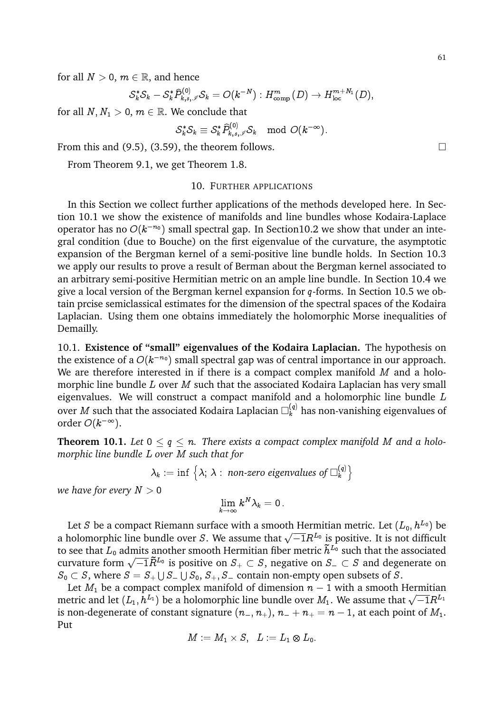for all  $N > 0$ ,  $m \in \mathbb{R}$ , and hence

$$
\mathcal{S}_{k}^{*} \mathcal{S}_{k} - \mathcal{S}_{k}^{*} \widehat{P}_{k,s,\mathscr{I}}^{(0)} \mathcal{S}_{k} = O(k^{-N}) : H^{m}_{\text{comp}}(D) \to H^{m+N_{1}}_{\text{loc}}(D),
$$

for all  $N, N_1 > 0, m \in \mathbb{R}$ . We conclude that

$$
\mathcal{S}_k^*\mathcal{S}_k\equiv\mathcal{S}_k^*\widehat{P}_{k,s,\mathscr{I}}^{(0)}\mathcal{S}_k\mod O(k^{-\infty}).
$$

From this and  $(9.5)$ ,  $(3.59)$ , the theorem follows.

From Theorem 9.1, we get Theorem 1.8.

## 10. FURTHER APPLICATIONS

In this Section we collect further applications of the methods developed here. In Section 10.1 we show the existence of manifolds and line bundles whose Kodaira-Laplace operator has no  $O(k^{-n_0})$  small spectral gap. In Section10.2 we show that under an integral condition (due to Bouche) on the first eigenvalue of the curvature, the asymptotic expansion of the Bergman kernel of a semi-positive line bundle holds. In Section 10.3 we apply our results to prove a result of Berman about the Bergman kernel associated to an arbitrary semi-positive Hermitian metric on an ample line bundle. In Section 10.4 we give a local version of the Bergman kernel expansion for  $q$ -forms. In Section 10.5 we obtain prcise semiclassical estimates for the dimension of the spectral spaces of the Kodaira Laplacian. Using them one obtains immediately the holomorphic Morse inequalities of Demailly.

10.1. **Existence of "small" eigenvalues of the Kodaira Laplacian.** The hypothesis on the existence of a  $O(k^{-n_0})$  small spectral gap was of central importance in our approach. We are therefore interested in if there is a compact complex manifold  $M$  and a holomorphic line bundle  $L$  over  $M$  such that the associated Kodaira Laplacian has very small eigenvalues. We will construct a compact manifold and a holomorphic line bundle  $L$ over  $M$  such that the associated Kodaira Laplacian  $\Box^{(q)}_k$  has non-vanishing eigenvalues of order  $O(k^{-\infty})$ .

**Theorem 10.1.** Let  $0 \leq q \leq n$ . There exists a compact complex manifold M and a holo*morphic line bundle* L *over* M *such that for*

> $\lambda_k := \inf \big\{ \lambda; \, \lambda : \textit{ non-zero eigenvalues of } \square_k^{(q)} \big\}$ k  $\mathfrak{d}$

*we have for every*  $N > 0$ 

$$
\lim_{k\to\infty}k^N\lambda_k=0\,.
$$

Let S be a compact Riemann surface with a smooth Hermitian metric. Let  $(L_0, h^{L_0})$  be Let b be a compact Niemann surface with a smooth Hermitian metric. Let  $(D_0, h^{-1})$  be a holomorphic line bundle over S. We assume that  $\sqrt{-1}R^{L_0}$  is positive. It is not difficult to see that  $L_0$  admits another smooth Hermitian fiber metric  $\tilde{h}^{L_0}$  such that the associated to see that  $L_0$  admits another smooth Hernmian fiber metric  $n \rightarrow$  such that the associated curvature form  $\sqrt{-1}\tilde{R}^{L_0}$  is positive on  $S_+ \subset S$ , negative on  $S_- \subset S$  and degenerate on  $S_0 \subset S$ , where  $S = S_+ \cup S_- \cup S_0$ ,  $S_+, S_-$  contain non-empty open subsets of S.

Let  $M_1$  be a compact complex manifold of dimension  $n - 1$  with a smooth Hermitian Let  $m_1$  be a compact complex manhold of dimension  $n-1$  with a smooth riefultion<br>metric and let  $(L_1, h^{L_1})$  be a holomorphic line bundle over  $M_1$ . We assume that  $\sqrt{-1}R^{L_1}$ is non-degenerate of constant signature  $(n_-, n_+), n_- + n_+ = n - 1$ , at each point of  $M_1$ . Put

$$
M:=M_1\times S,\;\; L:=L_1\otimes L_0.
$$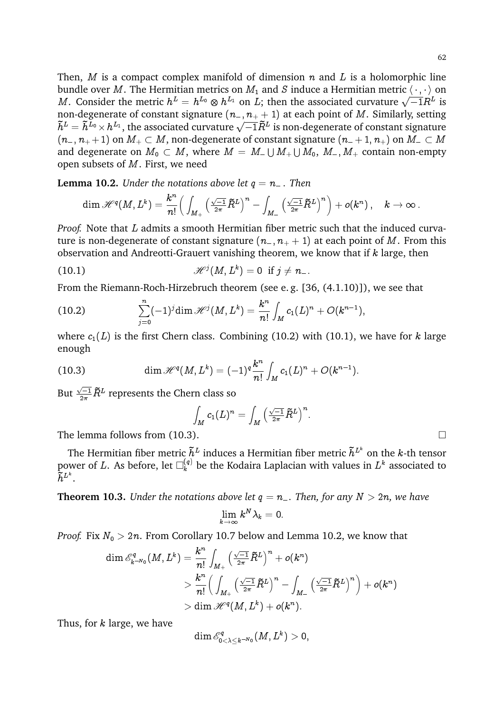Then, M is a compact complex manifold of dimension  $n$  and L is a holomorphic line bundle over M. The Hermitian metrics on  $M_1$  and S induce a Hermitian metric  $\langle \cdot, \cdot \rangle$  on bundle over  $M$ . The Hermitian metrics on  $M_1$  and B mode a Hermitian metric  $\langle \cdot, \cdot \rangle$  on  $M$ . Consider the metric  $h^L = h^{L_0} \otimes h^{L_1}$  on  $L$ ; then the associated curvature  $\sqrt{-1}R^L$  is non-degenerate of constant signature  $(n_-, n_+ + 1)$  at each point of M. Similarly, setting non-degenerate of constant signature  $(n_-, n_+ + 1)$  at each point of *m* . Similarly, setting  $\tilde{h}^L = \tilde{h}^{L_0} \times h^{L_1}$ , the associated curvature  $\sqrt{-1} \tilde{R}^L$  is non-degenerate of constant signature  $(n_-, n_+ + 1)$  on  $M_+ \subset M$ , non-degenerate of constant signature  $(n_- + 1, n_+)$  on  $M_- \subset M$ and degenerate on  $M_0\, \subset\, M,$  where  $M\,=\, M_{-}\cup M_{+}\cup M_0,\ M_{-}, M_{+}$  contain non-empty open subsets of M. First, we need

**Lemma 10.2.** *Under the notations above let*  $q = n_-\$ . *Then* 

$$
\dim \mathscr{H}^q(M,L^k)=\frac{k^n}{n!}\Big(\int_{M_+}\Big(\tfrac{\sqrt{-1}}{2\pi}\tilde{R}^L\Big)^n-\int_{M_-}\Big(\tfrac{\sqrt{-1}}{2\pi}\tilde{R}^L\Big)^n\Big)+o(k^n)\,,\quad k\to\infty\,.
$$

*Proof.* Note that L admits a smooth Hermitian fiber metric such that the induced curvature is non-degenerate of constant signature  $(n_-, n_+ + 1)$  at each point of M. From this observation and Andreotti-Grauert vanishing theorem, we know that if  $k$  large, then

(10.1) 
$$
\mathscr{H}^{j}(M,L^{k})=0 \text{ if } j \neq n_{-}.
$$

From the Riemann-Roch-Hirzebruch theorem (see e. g. [36, (4.1.10)]), we see that

(10.2) 
$$
\sum_{j=0}^n (-1)^j \dim \mathscr{H}^j(M,L^k) = \frac{k^n}{n!} \int_M c_1(L)^n + O(k^{n-1}),
$$

where  $c_1(L)$  is the first Chern class. Combining (10.2) with (10.1), we have for k large enough

(10.3) 
$$
\dim \mathscr{H}^q(M,L^k) = (-1)^q \frac{k^n}{n!} \int_M c_1(L)^n + O(k^{n-1}).
$$

But  $\frac{\sqrt{-1}}{2\pi}\tilde{R}^L$  represents the Chern class so

$$
\int_M c_1(L)^n = \int_M \left( \tfrac{\sqrt{-1}}{2\pi} \widetilde{R}^L \right)^n.
$$

The lemma follows from  $(10.3)$ .

The Hermitian fiber metric  $\tilde{h}^L$  induces a Hermitian fiber metric  $\tilde{h}^{L^k}$  on the  $k$ -th tensor power of  $L.$  As before, let  $\square^{(q)}_k$  be the Kodaira Laplacian with values in  $L^k$  associated to  $\tilde{h}^{L^k}.$ 

**Theorem 10.3.** *Under the notations above let*  $q = n_$ . *Then, for any*  $N > 2n$ *, we have* 

$$
\lim_{k\to\infty}k^N\lambda_k=0.
$$

*Proof.* Fix  $N_0 > 2n$ . From Corollary 10.7 below and Lemma 10.2, we know that

$$
\begin{aligned}\dim \mathscr{E}^q_{k^{-N_0}}(M,L^k) &= \frac{k^n}{n!} \int_{M_+} \Big(\frac{\sqrt{-1}}{2\pi}\tilde{R}^L\Big)^n + o(k^n) \\&> \frac{k^n}{n!} \Big(\int_{M_+} \Big(\frac{\sqrt{-1}}{2\pi}\tilde{R}^L\Big)^n - \int_{M_-} \Big(\frac{\sqrt{-1}}{2\pi}\tilde{R}^L\Big)^n \Big) + o(k^n) \\&> \dim \mathscr{H}^q(M,L^k) + o(k^n).\end{aligned}
$$

Thus, for  $k$  large, we have

$$
\dim \mathscr{E}^q_{0<\lambda\leq k^{-N_0}}(M,L^k)>0,
$$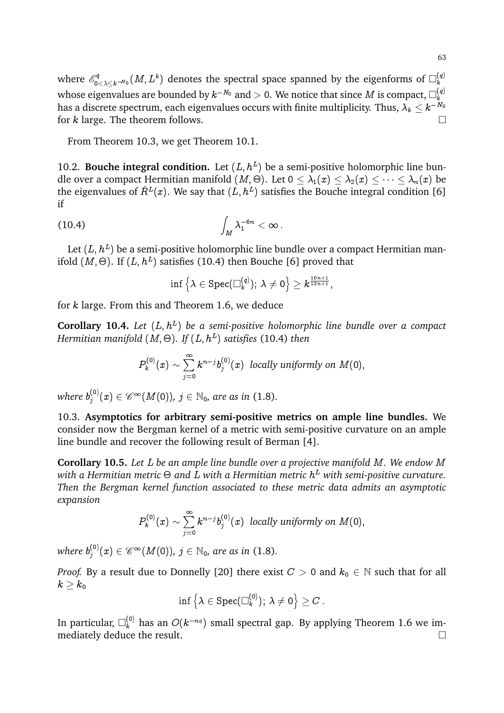where  $\mathscr{E}^q_{0}$ .  $\sum_{0<\lambda\leq k^{-N_0}}^{\infty}(M,L^k)$  denotes the spectral space spanned by the eigenforms of  $\square^{(q)}_k$ k whose eigenvalues are bounded by  $k^{-N_0}$  and  $>$  0. We notice that since  $M$  is compact,  $\Box_k^{(q)}$ k has a discrete spectrum, each eigenvalues occurs with finite multiplicity. Thus,  $\lambda_k \leq k^{-N_0}$ for k large. The theorem follows.  $\Box$ 

From Theorem 10.3, we get Theorem 10.1.

10.2. **Bouche integral condition.** Let  $(L, h^L)$  be a semi-positive holomorphic line bundle over a compact Hermitian manifold  $(M,\Theta).$  Let  $0\leq\lambda_1(x)\leq\lambda_2(x)\leq\cdots\leq\lambda_n(x)$  be the eigenvalues of  $\dot{R}^L(x)$ . We say that  $(L,h^L)$  satisfies the Bouche integral condition [6] if

$$
\int_M \lambda_1^{-6n} < \infty.
$$

Let  $(L,h^L)$  be a semi-positive holomorphic line bundle over a compact Hermitian manifold  $(M, \Theta)$ . If  $(L, h^L)$  satisfies (10.4) then Bouche [6] proved that

$$
\inf\left\{\lambda\in\text{Spec}(\square_k^{(q)});\ \lambda\neq 0\right\}\geq k^{\frac{10n+1}{12n+1}},
$$

for k large. From this and Theorem 1.6, we deduce

**Corollary 10.4.** Let  $(L, h^L)$  be a semi-positive holomorphic line bundle over a compact *Hermitian manifold* (M; -)*. If* (L; h<sup>L</sup> ) *satisfies* (10.4) *then*

$$
P_k^{(0)}(x)\sim \sum_{j=0}^\infty k^{n-j} b_j^{(0)}(x)\;\; locally\; uniformly\; on\; M(0),
$$

where  $b_j^{(0)}$  $j_j^{(0)}(x)\in \mathscr{C}^\infty(M(0)),$   $j\in \mathbb{N}_0,$  are as in (1.8).

10.3. **Asymptotics for arbitrary semi-positive metrics on ample line bundles.** We consider now the Bergman kernel of a metric with semi-positive curvature on an ample line bundle and recover the following result of Berman [4].

**Corollary 10.5.** *Let* L *be an ample line bundle over a projective manifold* M*. We endow* M with a Hermitian metric  $\Theta$  and  $L$  with a Hermitian metric  $h^L$  with semi-positive curvature. *Then the Bergman kernel function associated to these metric data admits an asymptotic expansion*

$$
P_k^{(0)}(x) \sim \sum_{j=0}^{\infty} k^{n-j} b_j^{(0)}(x)
$$
 locally uniformly on  $M(0)$ ,

where  $b_j^{(0)}$  $j_j^{(0)}(x)\in \mathscr{C}^\infty(M(0)),$   $j\in \mathbb{N}_0,$  are as in (1.8).

*Proof.* By a result due to Donnelly [20] there exist  $C > 0$  and  $k_0 \in \mathbb{N}$  such that for all  $k\geq k_0$ 

$$
\inf\left\{\lambda\in\text{Spec}(\square^{(0)}_k);\, \lambda\neq 0\right\}\geq C\,.
$$

In particular,  $\Box_k^{(0)}$  has an  $O(k^{-n_0})$  small spectral gap. By applying Theorem 1.6 we immediately deduce the result.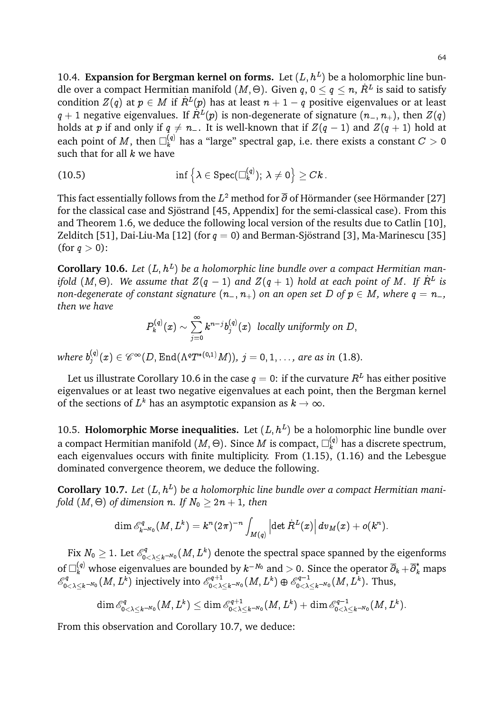10.4. **Expansion for Bergman kernel on forms.** Let  $(L, h^L)$  be a holomorphic line bundle over a compact Hermitian manifold  $(M, \Theta).$  Given  $q$ ,  $0 \leq q \leq n,$   $\dot{R}^L$  is said to satisfy condition  $Z(q)$  at  $p\, \in\, M$  if  $\dot{R}^L(p)$  has at least  $n+1-q$  positive eigenvalues or at least  $q+1$  negative eigenvalues. If  $\dot{R}^L(p)$  is non-degenerate of signature  $(n_{-},n_{+}),$  then  $Z(q)$ holds at p if and only if  $q \neq n_+$ . It is well-known that if  $Z(q-1)$  and  $Z(q+1)$  hold at each point of  $M,$  then  $\Box^{(q)}_k$  has a "large" spectral gap, i.e. there exists a constant  $C>0$ such that for all  $k$  we have

(10.5) 
$$
\inf \left\{ \lambda \in \text{Spec}(\Box_k^{(q)}); \ \lambda \neq 0 \right\} \geq Ck \, .
$$

This fact essentially follows from the  $L^2$  method for  $\overline{\partial}$  of Hörmander (see Hörmander [27] for the classical case and Sjöstrand [45, Appendix] for the semi-classical case). From this and Theorem 1.6, we deduce the following local version of the results due to Catlin [10], Zelditch [51], Dai-Liu-Ma [12] (for  $q = 0$ ) and Berman-Sjöstrand [3], Ma-Marinescu [35] (for  $q > 0$ ):

**Corollary 10.6.** Let  $(L, h^L)$  be a holomorphic line bundle over a compact Hermitian manifold  $(M, \Theta)$ . We assume that  $Z(q-1)$  and  $Z(q+1)$  hold at each point of M. If  $R^L$  is *non-degenerate of constant signature*  $(n_-, n_+)$  *on an open set* D *of*  $p \in M$ *, where*  $q = n_-,$ *then we have*

$$
P_k^{(q)}(x) \sim \sum_{j=0}^{\infty} k^{n-j} b_j^{(q)}(x) \ \ \text{locally uniformly on} \ D,
$$

where  $b_j^{\left(q\right)}$  $j_j^{(q)}(x)\in \mathscr{C}^{\infty}(D,\text{End}(\Lambda^qT^{\ast(0,1)}M)),\ j=0,1,\ldots,$  are as in (1.8).

Let us illustrate Corollary 10.6 in the case  $q = 0$ : if the curvature  $R<sup>L</sup>$  has either positive eigenvalues or at least two negative eigenvalues at each point, then the Bergman kernel of the sections of  $L^k$  has an asymptotic expansion as  $k\to\infty.$ 

10.5. **Holomorphic Morse inequalities.** Let  $(L, h^L)$  be a holomorphic line bundle over a compact Hermitian manifold  $(M,\Theta).$  Since  $M$  is compact,  $\Box^{(q)}_k$  has a discrete spectrum, each eigenvalues occurs with finite multiplicity. From (1.15), (1.16) and the Lebesgue dominated convergence theorem, we deduce the following.

**Corollary 10.7.** Let  $(L, h^L)$  be a holomorphic line bundle over a compact Hermitian manifold  $(M, \Theta)$  of dimension  $n.$  If  $N_0 \geq 2n+1,$  then

$$
\dim \mathscr{E}^q_{k^{-N_0}}(M,L^k)=k^n(2\pi)^{-n}\int_{M(q)}\left|\det \dot{R}^L(x)\right|dv_M(x)+o(k^n).
$$

Fix  $N_0 \geq 1$ . Let  $\mathscr{E}^q_0$ .  $\mathbb{C}^{\mathbb{P}^q}_{0<\lambda\leq k^{-N_0}}(M,L^k)$  denote the spectral space spanned by the eigenforms of  $\Box_k^{(q)}$  whose eigenvalues are bounded by  $k^{-N_0}$  and  $>$  0. Since the operator  $\overline\partial_k+\overline\partial_k^*$  maps  $\mathscr{E}^q_0$  $\int_{0<\lambda\leq k^{-N_0}}^{\infty}(M,L^k)$  injectively into  $\mathscr{E}^{q+1}_{0<\lambda}$  $\frac{\log+1}{0<\lambda\leq k^{-N_0}}(M,L^k)\oplus \mathscr{E}_{0<\lambda}^{q-1}$  $\frac{\partial^q q-1}{0<\lambda\leq k^{-N_0}}(M,L^k).$  Thus,

$$
\dim \mathscr{E}^q_{0<\lambda\leq k^{-N_0}}(M,L^k)\leq \dim \mathscr{E}^{q+1}_{0<\lambda\leq k^{-N_0}}(M,L^k)+\dim \mathscr{E}^{q-1}_{0<\lambda\leq k^{-N_0}}(M,L^k).
$$

From this observation and Corollary 10.7, we deduce: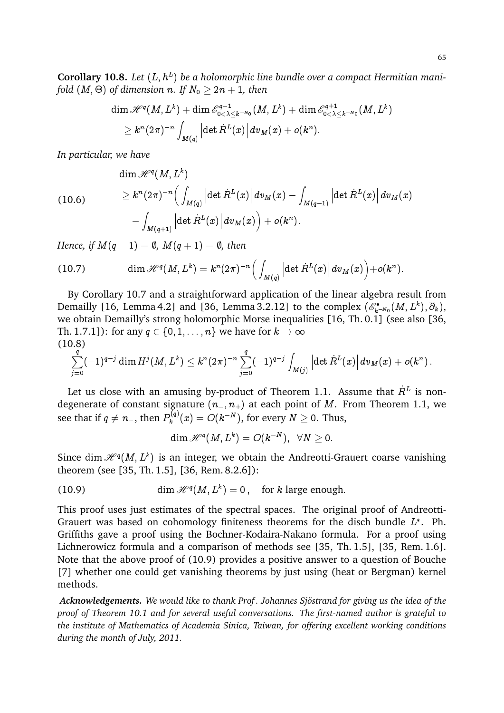**Corollary 10.8.** Let  $(L, h^L)$  be a holomorphic line bundle over a compact Hermitian manifold  $(M, \Theta)$  of dimension  $n.$  If  $N_0 \geq 2n+1,$  then

$$
\dim \mathscr{H}^q(M,L^k) + \dim \mathscr{E}^{q-1}_{0<\lambda\leq k^{-N_0}}(M,L^k) + \dim \mathscr{E}^{q+1}_{0<\lambda\leq k^{-N_0}}(M,L^k) \\ \geq k^n (2\pi)^{-n} \int_{M(q)} \left|\det \dot{R}^L(x)\right| dv_M(x) + o(k^n).
$$

*In particular, we have*

(10.6)

$$
\begin{aligned} &\dim \mathscr{H}^q(M,L^k)\\ &\geq k^n (2\pi)^{-n} \Big(\int_{M(q)} \Big|\!\det \dot R^L(x)\Big| \, dv_M(x) - \int_{M(q-1)} \Big|\!\det \dot R^L(x)\Big| \, dv_M(x)\\ &\quad - \int_{M(q+1)} \Big|\!\det \dot R^L(x)\Big| \, dv_M(x)\Big) + o(k^n). \end{aligned}
$$

*Hence, if*  $M(q-1) = \emptyset$ ,  $M(q+1) = \emptyset$ , then

(10.7) 
$$
\dim \mathscr{H}^q(M,L^k) = k^n (2\pi)^{-n} \Big( \int_{M(q)} \left| \det \dot{R}^L(x) \right| dv_M(x) \Big) + o(k^n).
$$

By Corollary 10.7 and a straightforward application of the linear algebra result from Demailly [16, Lemma 4.2] and [36, Lemma 3.2.12] to the complex  $(\mathscr{E}^\bullet_{k^{-N_0}}(M,L^k),\overline{\partial}_k),$ we obtain Demailly's strong holomorphic Morse inequalities [16, Th. 0.1] (see also [36, Th. 1.7.1]): for any  $q \in \{0, 1, \ldots, n\}$  we have for  $k \to \infty$ (10.8)

$$
\sum_{j=0}^q (-1)^{q-j} \dim H^j(M,L^k) \leq k^n (2\pi)^{-n} \sum_{j=0}^q (-1)^{q-j} \int_{M(j)} \left| \det \dot{R}^L(x) \right| dv_M(x) + o(k^n) \,.
$$

Let us close with an amusing by-product of Theorem 1.1. Assume that  $\dot{R}^L$  is nondegenerate of constant signature  $(n_-, n_+)$  at each point of M. From Theorem 1.1, we see that if  $q\neq n_{-},$  then  $P_{k}^{(q)}$  $\mathcal{D}_{k}^{(q)}(x)=O(k^{-N}),$  for every  $N\geq 0.$  Thus,

$$
\dim \mathscr{H}^q (M, L^k) = O(k^{-N}), \;\; \forall N \geq 0.
$$

Since dim  $\mathscr{H}^q(M,L^k)$  is an integer, we obtain the Andreotti-Grauert coarse vanishing theorem (see [35, Th. 1.5], [36, Rem. 8.2.6]):

(10.9) 
$$
\dim \mathcal{H}^q(M,L^k) = 0, \text{ for } k \text{ large enough.}
$$

This proof uses just estimates of the spectral spaces. The original proof of Andreotti-Grauert was based on cohomology finiteness theorems for the disch bundle  $L^*$ . Ph. Griffiths gave a proof using the Bochner-Kodaira-Nakano formula. For a proof using Lichnerowicz formula and a comparison of methods see [35, Th. 1.5], [35, Rem. 1.6]. Note that the above proof of (10.9) provides a positive answer to a question of Bouche [7] whether one could get vanishing theorems by just using (heat or Bergman) kernel methods.

*Acknowledgements. We would like to thank Prof . Johannes Sjostrand for giving us the idea of the ¨ proof of Theorem 10.1 and for several useful conversations. The first-named author is grateful to the institute of Mathematics of Academia Sinica, Taiwan, for offering excellent working conditions during the month of July, 2011.*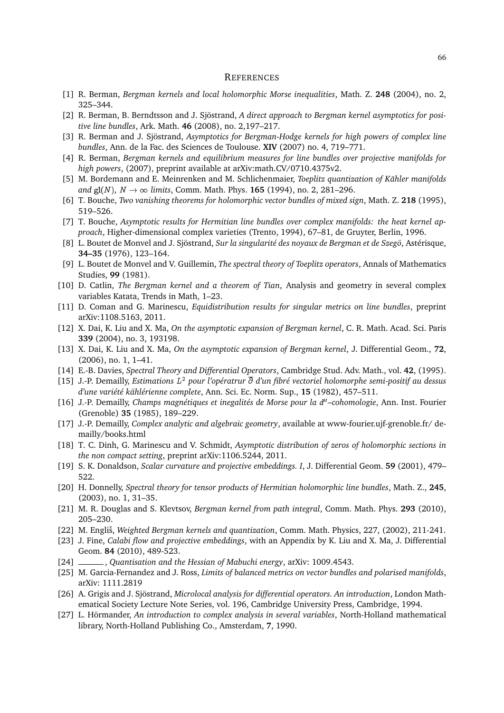#### **REFERENCES**

- [1] R. Berman, *Bergman kernels and local holomorphic Morse inequalities*, Math. Z. **248** (2004), no. 2, 325–344.
- [2] R. Berman, B. Berndtsson and J. Sjöstrand, A direct approach to Bergman kernel asymptotics for posi*tive line bundles*, Ark. Math. **46** (2008), no. 2,197–217.
- [3] R. Berman and J. Sjöstrand, Asymptotics for Bergman-Hodge kernels for high powers of complex line *bundles*, Ann. de la Fac. des Sciences de Toulouse. **XIV** (2007) no. 4, 719–771.
- [4] R. Berman, *Bergman kernels and equilibrium measures for line bundles over projective manifolds for high powers*, (2007), preprint available at arXiv:math.CV/0710.4375v2.
- [5] M. Bordemann and E. Meinrenken and M. Schlichenmaier, *Toeplitz quantization of Kahler manifolds ¨ and*  $gl(N)$ ,  $N \to \infty$  *limits*, Comm. Math. Phys. **165** (1994), no. 2, 281–296.
- [6] T. Bouche, *Two vanishing theorems for holomorphic vector bundles of mixed sign*, Math. Z. **218** (1995), 519–526.
- [7] T. Bouche, *Asymptotic results for Hermitian line bundles over complex manifolds: the heat kernel approach*, Higher-dimensional complex varieties (Trento, 1994), 67–81, de Gruyter, Berlin, 1996.
- [8] L. Boutet de Monvel and J. Sjöstrand, Sur la singularité des noyaux de Bergman et de Szegö, Astérisque, **34–35** (1976), 123–164.
- [9] L. Boutet de Monvel and V. Guillemin, *The spectral theory of Toeplitz operators*, Annals of Mathematics Studies, **99** (1981).
- [10] D. Catlin, *The Bergman kernel and a theorem of Tian*, Analysis and geometry in several complex variables Katata, Trends in Math, 1–23.
- [11] D. Coman and G. Marinescu, *Equidistribution results for singular metrics on line bundles*, preprint arXiv:1108.5163, 2011.
- [12] X. Dai, K. Liu and X. Ma, *On the asymptotic expansion of Bergman kernel*, C. R. Math. Acad. Sci. Paris **339** (2004), no. 3, 193198.
- [13] X. Dai, K. Liu and X. Ma, *On the asymptotic expansion of Bergman kernel*, J. Differential Geom., **72**, (2006), no. 1, 1–41.
- [14] E.-B. Davies, *Spectral Theory and Differential Operators*, Cambridge Stud. Adv. Math., vol. **42**, (1995).
- [15] J.-P. Demailly, *Estimations L<sup>2</sup> pour l'opératrur*  $\overline{\partial}$  *d'un fibré vectoriel holomorphe semi-positif au dessus d'une vari´et´e kahl ¨ ´erienne complete*, Ann. Sci. Ec. Norm. Sup., **15** (1982), 457–511.
- [16] J.-P. Demailly, Champs magnétiques et inegalités de Morse pour la d"-cohomologie, Ann. Inst. Fourier (Grenoble) **35** (1985), 189–229.
- [17] J.-P. Demailly, *Complex analytic and algebraic geometry*, available at www-fourier.ujf-grenoble.fr/ demailly/books.html
- [18] T. C. Dinh, G. Marinescu and V. Schmidt, *Asymptotic distribution of zeros of holomorphic sections in the non compact setting*, preprint arXiv:1106.5244, 2011.
- [19] S. K. Donaldson, *Scalar curvature and projective embeddings. I*, J. Differential Geom. **59** (2001), 479– 522.
- [20] H. Donnelly, *Spectral theory for tensor products of Hermitian holomorphic line bundles*, Math. Z., **245**, (2003), no. 1, 31–35.
- [21] M. R. Douglas and S. Klevtsov, *Bergman kernel from path integral*, Comm. Math. Phys. **293** (2010), 205–230.
- [22] M. Engliš, *Weighted Bergman kernels and quantization*, Comm. Math. Physics, 227, (2002), 211-241.
- [23] J. Fine, *Calabi flow and projective embeddings*, with an Appendix by K. Liu and X. Ma, J. Differential Geom. **84** (2010), 489-523.
- [24] , *Quantisation and the Hessian of Mabuchi energy*, arXiv: 1009.4543.
- [25] M. Garcia-Fernandez and J. Ross, *Limits of balanced metrics on vector bundles and polarised manifolds*, arXiv: 1111.2819
- [26] A. Grigis and J. Sjöstrand, *Microlocal analysis for differential operators. An introduction*, London Mathematical Society Lecture Note Series, vol. 196, Cambridge University Press, Cambridge, 1994.
- [27] L. Hörmander, An introduction to complex analysis in several variables, North-Holland mathematical library, North-Holland Publishing Co., Amsterdam, **7**, 1990.